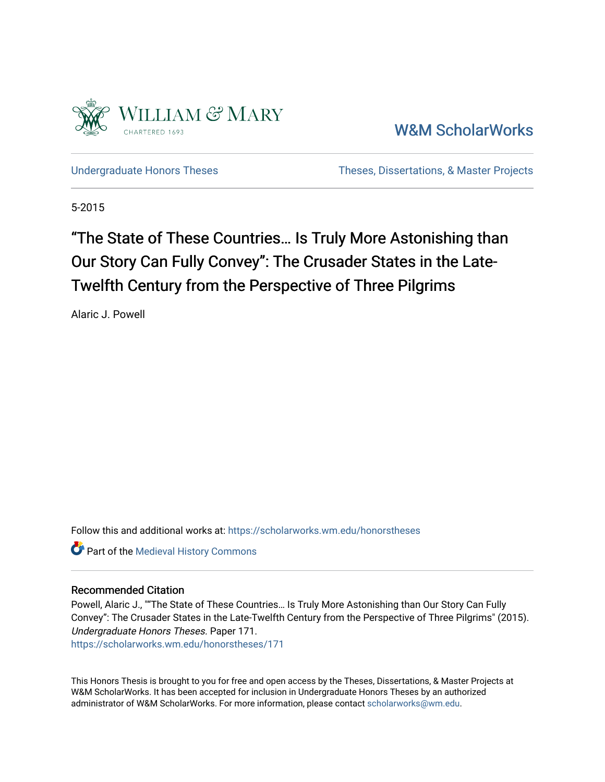

[W&M ScholarWorks](https://scholarworks.wm.edu/) 

[Undergraduate Honors Theses](https://scholarworks.wm.edu/honorstheses) Theses Theses, Dissertations, & Master Projects

5-2015

# "The State of These Countries… Is Truly More Astonishing than Our Story Can Fully Convey": The Crusader States in the Late-Twelfth Century from the Perspective of Three Pilgrims

Alaric J. Powell

Follow this and additional works at: [https://scholarworks.wm.edu/honorstheses](https://scholarworks.wm.edu/honorstheses?utm_source=scholarworks.wm.edu%2Fhonorstheses%2F171&utm_medium=PDF&utm_campaign=PDFCoverPages) 

**Part of the [Medieval History Commons](http://network.bepress.com/hgg/discipline/503?utm_source=scholarworks.wm.edu%2Fhonorstheses%2F171&utm_medium=PDF&utm_campaign=PDFCoverPages)** 

### Recommended Citation

Powell, Alaric J., ""The State of These Countries… Is Truly More Astonishing than Our Story Can Fully Convey": The Crusader States in the Late-Twelfth Century from the Perspective of Three Pilgrims" (2015). Undergraduate Honors Theses. Paper 171. [https://scholarworks.wm.edu/honorstheses/171](https://scholarworks.wm.edu/honorstheses/171?utm_source=scholarworks.wm.edu%2Fhonorstheses%2F171&utm_medium=PDF&utm_campaign=PDFCoverPages) 

This Honors Thesis is brought to you for free and open access by the Theses, Dissertations, & Master Projects at W&M ScholarWorks. It has been accepted for inclusion in Undergraduate Honors Theses by an authorized administrator of W&M ScholarWorks. For more information, please contact [scholarworks@wm.edu.](mailto:scholarworks@wm.edu)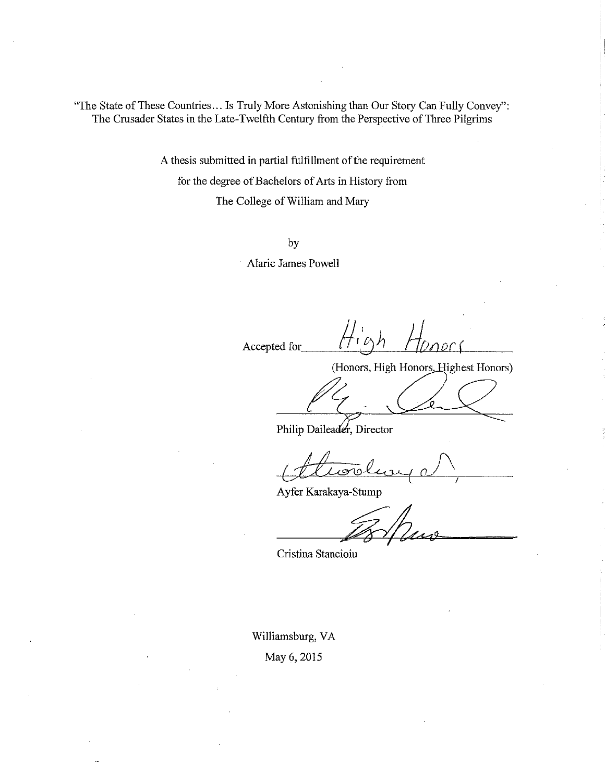"The State of These Countries... Is Truly More Astonishing than Our Story Can Fully Convey": The Crusader States in the Late-Twelfth Century from the Perspective of Three Pilgrims

> A thesis submitted in partial fulfillment of the requirement for the degree of Bachelors of Arts in History from The College of William and Mary

> > by

**Alaric James Powell** 

Accepted for

(Honors, High Honors, Highest Honors)

Philip Daileader, Director

Ayfer Karakaya-Stump

Cristina Stancioiu

Williamsburg, VA May 6, 2015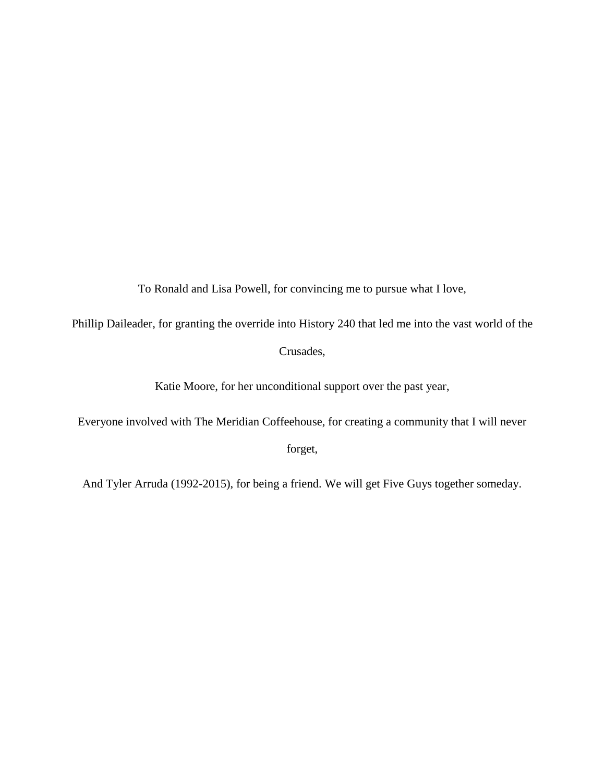To Ronald and Lisa Powell, for convincing me to pursue what I love,

Phillip Daileader, for granting the override into History 240 that led me into the vast world of the Crusades,

Katie Moore, for her unconditional support over the past year,

Everyone involved with The Meridian Coffeehouse, for creating a community that I will never

forget,

And Tyler Arruda (1992-2015), for being a friend. We will get Five Guys together someday.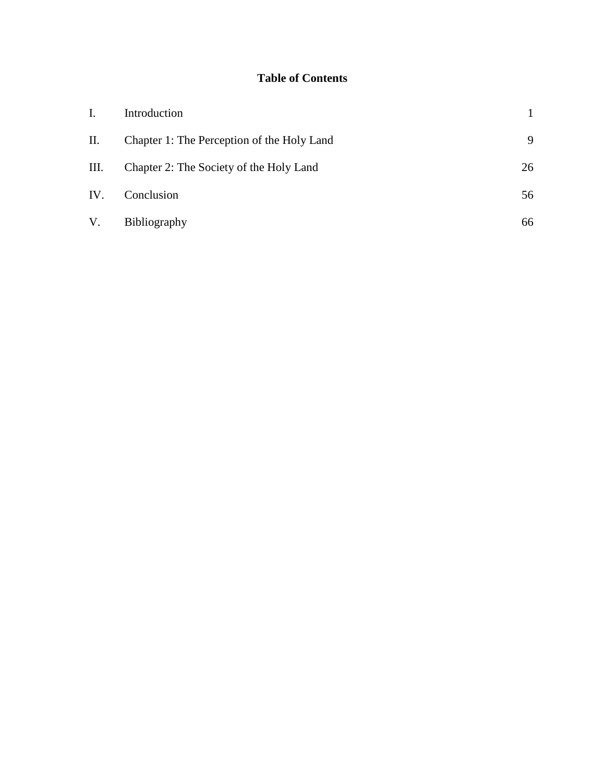## **Table of Contents**

| I.  | Introduction                               |    |
|-----|--------------------------------------------|----|
| П.  | Chapter 1: The Perception of the Holy Land | 9  |
| Ш.  | Chapter 2: The Society of the Holy Land    | 26 |
| IV. | Conclusion                                 | 56 |
| V.  | Bibliography                               | 66 |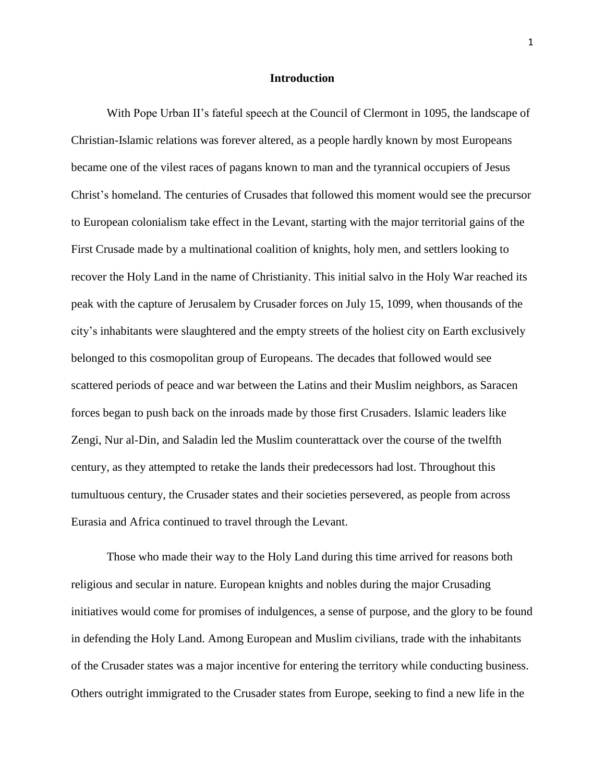#### **Introduction**

With Pope Urban II's fateful speech at the Council of Clermont in 1095, the landscape of Christian-Islamic relations was forever altered, as a people hardly known by most Europeans became one of the vilest races of pagans known to man and the tyrannical occupiers of Jesus Christ's homeland. The centuries of Crusades that followed this moment would see the precursor to European colonialism take effect in the Levant, starting with the major territorial gains of the First Crusade made by a multinational coalition of knights, holy men, and settlers looking to recover the Holy Land in the name of Christianity. This initial salvo in the Holy War reached its peak with the capture of Jerusalem by Crusader forces on July 15, 1099, when thousands of the city's inhabitants were slaughtered and the empty streets of the holiest city on Earth exclusively belonged to this cosmopolitan group of Europeans. The decades that followed would see scattered periods of peace and war between the Latins and their Muslim neighbors, as Saracen forces began to push back on the inroads made by those first Crusaders. Islamic leaders like Zengi, Nur al-Din, and Saladin led the Muslim counterattack over the course of the twelfth century, as they attempted to retake the lands their predecessors had lost. Throughout this tumultuous century, the Crusader states and their societies persevered, as people from across Eurasia and Africa continued to travel through the Levant.

Those who made their way to the Holy Land during this time arrived for reasons both religious and secular in nature. European knights and nobles during the major Crusading initiatives would come for promises of indulgences, a sense of purpose, and the glory to be found in defending the Holy Land. Among European and Muslim civilians, trade with the inhabitants of the Crusader states was a major incentive for entering the territory while conducting business. Others outright immigrated to the Crusader states from Europe, seeking to find a new life in the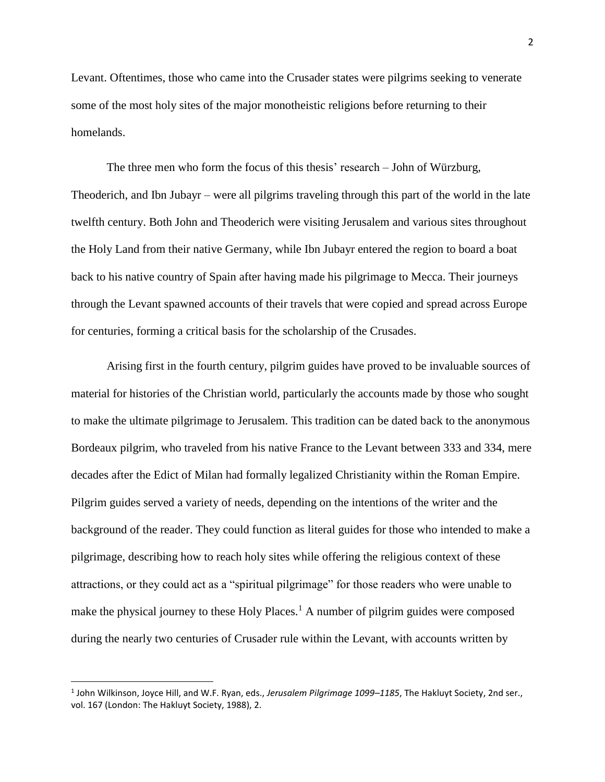Levant. Oftentimes, those who came into the Crusader states were pilgrims seeking to venerate some of the most holy sites of the major monotheistic religions before returning to their homelands.

The three men who form the focus of this thesis' research – John of Würzburg, Theoderich, and Ibn Jubayr – were all pilgrims traveling through this part of the world in the late twelfth century. Both John and Theoderich were visiting Jerusalem and various sites throughout the Holy Land from their native Germany, while Ibn Jubayr entered the region to board a boat back to his native country of Spain after having made his pilgrimage to Mecca. Their journeys through the Levant spawned accounts of their travels that were copied and spread across Europe for centuries, forming a critical basis for the scholarship of the Crusades.

Arising first in the fourth century, pilgrim guides have proved to be invaluable sources of material for histories of the Christian world, particularly the accounts made by those who sought to make the ultimate pilgrimage to Jerusalem. This tradition can be dated back to the anonymous Bordeaux pilgrim, who traveled from his native France to the Levant between 333 and 334, mere decades after the Edict of Milan had formally legalized Christianity within the Roman Empire. Pilgrim guides served a variety of needs, depending on the intentions of the writer and the background of the reader. They could function as literal guides for those who intended to make a pilgrimage, describing how to reach holy sites while offering the religious context of these attractions, or they could act as a "spiritual pilgrimage" for those readers who were unable to make the physical journey to these Holy Places.<sup>1</sup> A number of pilgrim guides were composed during the nearly two centuries of Crusader rule within the Levant, with accounts written by

<sup>1</sup> John Wilkinson, Joyce Hill, and W.F. Ryan, eds., *Jerusalem Pilgrimage 1099–1185*, The Hakluyt Society, 2nd ser., vol. 167 (London: The Hakluyt Society, 1988), 2.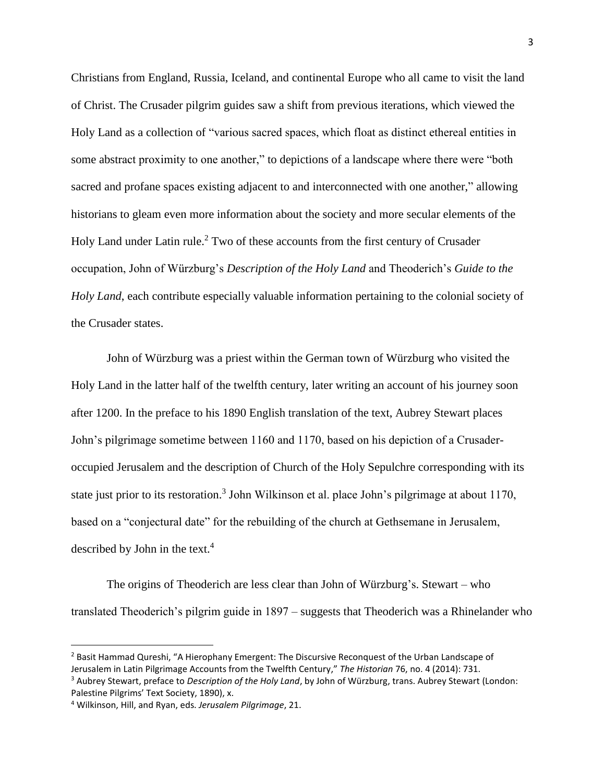Christians from England, Russia, Iceland, and continental Europe who all came to visit the land of Christ. The Crusader pilgrim guides saw a shift from previous iterations, which viewed the Holy Land as a collection of "various sacred spaces, which float as distinct ethereal entities in some abstract proximity to one another," to depictions of a landscape where there were "both sacred and profane spaces existing adjacent to and interconnected with one another," allowing historians to gleam even more information about the society and more secular elements of the Holy Land under Latin rule.<sup>2</sup> Two of these accounts from the first century of Crusader occupation, John of Würzburg's *Description of the Holy Land* and Theoderich's *Guide to the Holy Land*, each contribute especially valuable information pertaining to the colonial society of the Crusader states.

John of Würzburg was a priest within the German town of Würzburg who visited the Holy Land in the latter half of the twelfth century, later writing an account of his journey soon after 1200. In the preface to his 1890 English translation of the text, Aubrey Stewart places John's pilgrimage sometime between 1160 and 1170, based on his depiction of a Crusaderoccupied Jerusalem and the description of Church of the Holy Sepulchre corresponding with its state just prior to its restoration.<sup>3</sup> John Wilkinson et al. place John's pilgrimage at about 1170, based on a "conjectural date" for the rebuilding of the church at Gethsemane in Jerusalem, described by John in the text.<sup>4</sup>

The origins of Theoderich are less clear than John of Würzburg's. Stewart – who translated Theoderich's pilgrim guide in 1897 – suggests that Theoderich was a Rhinelander who

 $<sup>2</sup>$  Basit Hammad Qureshi, "A Hierophany Emergent: The Discursive Reconquest of the Urban Landscape of</sup> Jerusalem in Latin Pilgrimage Accounts from the Twelfth Century," *The Historian* 76, no. 4 (2014): 731. <sup>3</sup> Aubrey Stewart, preface to *Description of the Holy Land*, by John of Würzburg, trans. Aubrey Stewart (London: Palestine Pilgrims' Text Society, 1890), x.

<sup>4</sup> Wilkinson, Hill, and Ryan, eds. *Jerusalem Pilgrimage*, 21.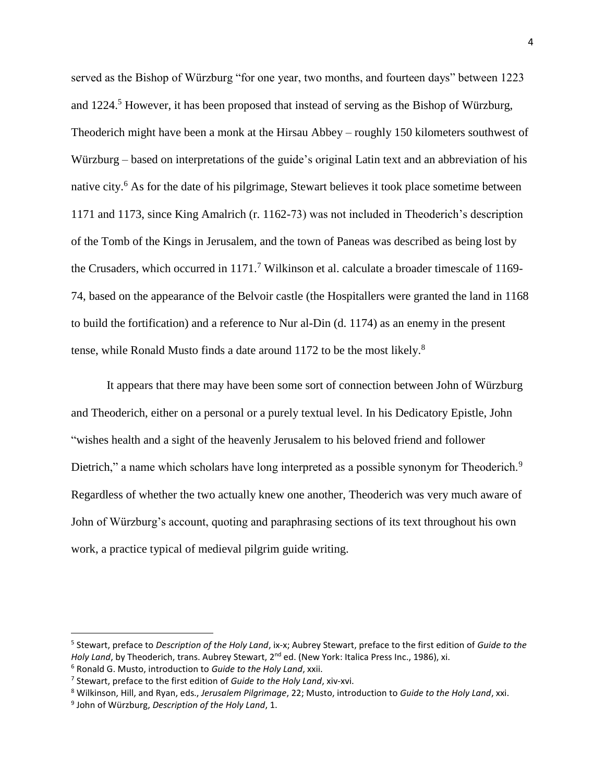served as the Bishop of Würzburg "for one year, two months, and fourteen days" between 1223 and 1224. <sup>5</sup> However, it has been proposed that instead of serving as the Bishop of Würzburg, Theoderich might have been a monk at the Hirsau Abbey – roughly 150 kilometers southwest of Würzburg – based on interpretations of the guide's original Latin text and an abbreviation of his native city.<sup>6</sup> As for the date of his pilgrimage, Stewart believes it took place sometime between 1171 and 1173, since King Amalrich (r. 1162-73) was not included in Theoderich's description of the Tomb of the Kings in Jerusalem, and the town of Paneas was described as being lost by the Crusaders, which occurred in  $1171$ .<sup>7</sup> Wilkinson et al. calculate a broader timescale of 1169-74, based on the appearance of the Belvoir castle (the Hospitallers were granted the land in 1168 to build the fortification) and a reference to Nur al-Din (d. 1174) as an enemy in the present tense, while Ronald Musto finds a date around 1172 to be the most likely.<sup>8</sup>

It appears that there may have been some sort of connection between John of Würzburg and Theoderich, either on a personal or a purely textual level. In his Dedicatory Epistle, John "wishes health and a sight of the heavenly Jerusalem to his beloved friend and follower Dietrich," a name which scholars have long interpreted as a possible synonym for Theoderich.<sup>9</sup> Regardless of whether the two actually knew one another, Theoderich was very much aware of John of Würzburg's account, quoting and paraphrasing sections of its text throughout his own work, a practice typical of medieval pilgrim guide writing.

<sup>8</sup> Wilkinson, Hill, and Ryan, eds., *Jerusalem Pilgrimage*, 22; Musto, introduction to *Guide to the Holy Land*, xxi.

 $\overline{a}$ 

<sup>5</sup> Stewart, preface to *Description of the Holy Land*, ix-x; Aubrey Stewart, preface to the first edition of *Guide to the*  Holy Land, by Theoderich, trans. Aubrey Stewart, 2<sup>nd</sup> ed. (New York: Italica Press Inc., 1986), xi.

<sup>6</sup> Ronald G. Musto, introduction to *Guide to the Holy Land*, xxii.

<sup>7</sup> Stewart, preface to the first edition of *Guide to the Holy Land*, xiv-xvi.

<sup>9</sup> John of Würzburg, *Description of the Holy Land*, 1.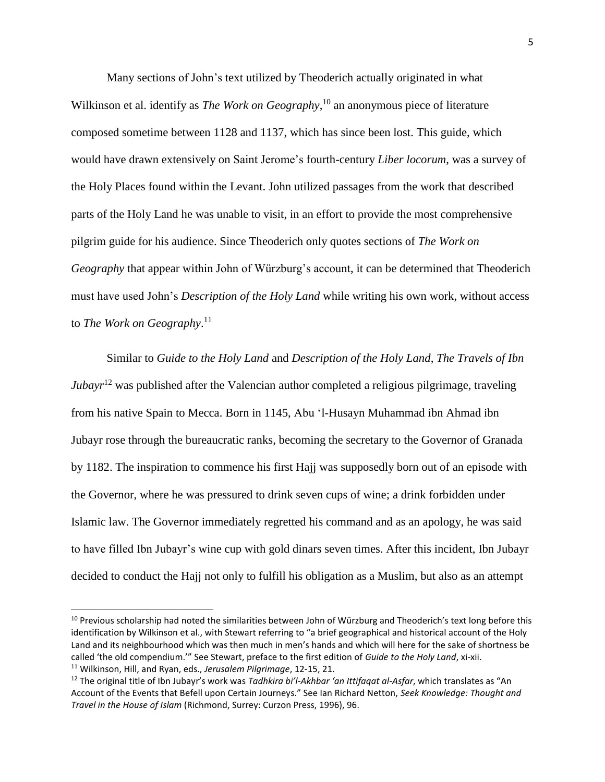Many sections of John's text utilized by Theoderich actually originated in what Wilkinson et al. identify as *The Work on Geography*, <sup>10</sup> an anonymous piece of literature composed sometime between 1128 and 1137, which has since been lost. This guide, which would have drawn extensively on Saint Jerome's fourth-century *Liber locorum*, was a survey of the Holy Places found within the Levant. John utilized passages from the work that described parts of the Holy Land he was unable to visit, in an effort to provide the most comprehensive pilgrim guide for his audience. Since Theoderich only quotes sections of *The Work on Geography* that appear within John of Würzburg's account, it can be determined that Theoderich must have used John's *Description of the Holy Land* while writing his own work, without access to *The Work on Geography*. 11

Similar to *Guide to the Holy Land* and *Description of the Holy Land*, *The Travels of Ibn Jubayr*<sup>12</sup> was published after the Valencian author completed a religious pilgrimage, traveling from his native Spain to Mecca. Born in 1145, Abu 'l-Husayn Muhammad ibn Ahmad ibn Jubayr rose through the bureaucratic ranks, becoming the secretary to the Governor of Granada by 1182. The inspiration to commence his first Hajj was supposedly born out of an episode with the Governor, where he was pressured to drink seven cups of wine; a drink forbidden under Islamic law. The Governor immediately regretted his command and as an apology, he was said to have filled Ibn Jubayr's wine cup with gold dinars seven times. After this incident, Ibn Jubayr decided to conduct the Hajj not only to fulfill his obligation as a Muslim, but also as an attempt

<sup>&</sup>lt;sup>10</sup> Previous scholarship had noted the similarities between John of Würzburg and Theoderich's text long before this identification by Wilkinson et al., with Stewart referring to "a brief geographical and historical account of the Holy Land and its neighbourhood which was then much in men's hands and which will here for the sake of shortness be called 'the old compendium.'" See Stewart, preface to the first edition of *Guide to the Holy Land*, xi-xii.

<sup>11</sup> Wilkinson, Hill, and Ryan, eds., *Jerusalem Pilgrimage*, 12-15, 21.

<sup>12</sup> The original title of Ibn Jubayr's work was *Tadhkira bi'l-Akhbar 'an Ittifaqat al-Asfar*, which translates as "An Account of the Events that Befell upon Certain Journeys." See Ian Richard Netton, *Seek Knowledge: Thought and Travel in the House of Islam* (Richmond, Surrey: Curzon Press, 1996), 96.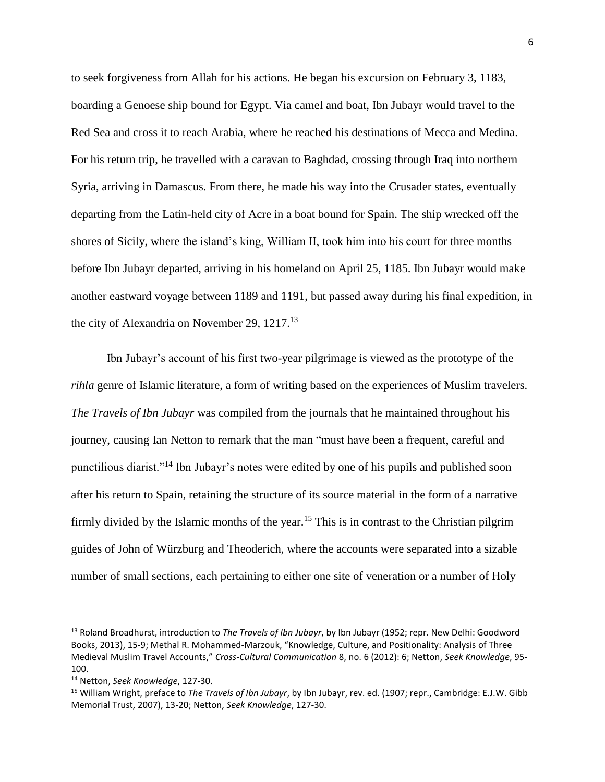to seek forgiveness from Allah for his actions. He began his excursion on February 3, 1183, boarding a Genoese ship bound for Egypt. Via camel and boat, Ibn Jubayr would travel to the Red Sea and cross it to reach Arabia, where he reached his destinations of Mecca and Medina. For his return trip, he travelled with a caravan to Baghdad, crossing through Iraq into northern Syria, arriving in Damascus. From there, he made his way into the Crusader states, eventually departing from the Latin-held city of Acre in a boat bound for Spain. The ship wrecked off the shores of Sicily, where the island's king, William II, took him into his court for three months before Ibn Jubayr departed, arriving in his homeland on April 25, 1185. Ibn Jubayr would make another eastward voyage between 1189 and 1191, but passed away during his final expedition, in the city of Alexandria on November 29, 1217.<sup>13</sup>

Ibn Jubayr's account of his first two-year pilgrimage is viewed as the prototype of the *rihla* genre of Islamic literature, a form of writing based on the experiences of Muslim travelers. *The Travels of Ibn Jubayr* was compiled from the journals that he maintained throughout his journey, causing Ian Netton to remark that the man "must have been a frequent, careful and punctilious diarist."<sup>14</sup> Ibn Jubayr's notes were edited by one of his pupils and published soon after his return to Spain, retaining the structure of its source material in the form of a narrative firmly divided by the Islamic months of the year.<sup>15</sup> This is in contrast to the Christian pilgrim guides of John of Würzburg and Theoderich, where the accounts were separated into a sizable number of small sections, each pertaining to either one site of veneration or a number of Holy

<sup>13</sup> Roland Broadhurst, introduction to *The Travels of Ibn Jubayr*, by Ibn Jubayr (1952; repr. New Delhi: Goodword Books, 2013), 15-9; Methal R. Mohammed-Marzouk, "Knowledge, Culture, and Positionality: Analysis of Three Medieval Muslim Travel Accounts," *Cross-Cultural Communication* 8, no. 6 (2012): 6; Netton, *Seek Knowledge*, 95- 100.

<sup>14</sup> Netton, *Seek Knowledge*, 127-30.

<sup>15</sup> William Wright, preface to *The Travels of Ibn Jubayr*, by Ibn Jubayr, rev. ed. (1907; repr., Cambridge: E.J.W. Gibb Memorial Trust, 2007), 13-20; Netton, *Seek Knowledge*, 127-30.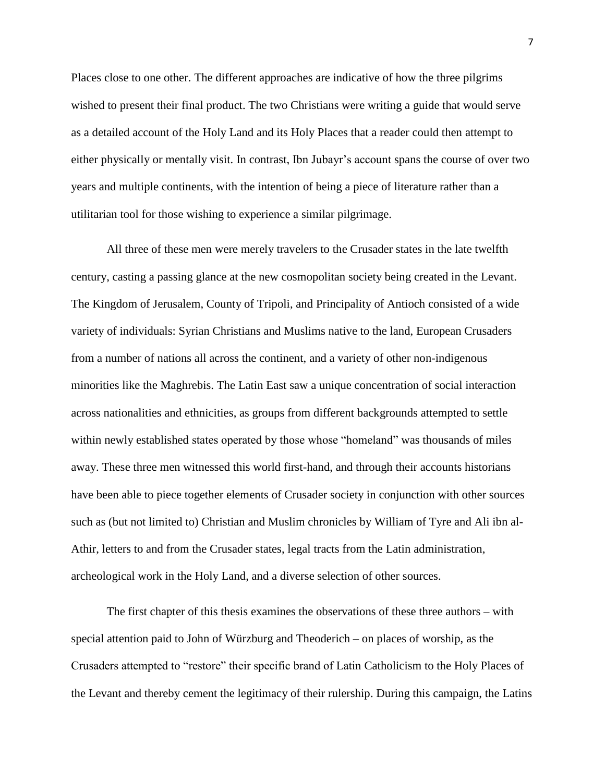Places close to one other. The different approaches are indicative of how the three pilgrims wished to present their final product. The two Christians were writing a guide that would serve as a detailed account of the Holy Land and its Holy Places that a reader could then attempt to either physically or mentally visit. In contrast, Ibn Jubayr's account spans the course of over two years and multiple continents, with the intention of being a piece of literature rather than a utilitarian tool for those wishing to experience a similar pilgrimage.

All three of these men were merely travelers to the Crusader states in the late twelfth century, casting a passing glance at the new cosmopolitan society being created in the Levant. The Kingdom of Jerusalem, County of Tripoli, and Principality of Antioch consisted of a wide variety of individuals: Syrian Christians and Muslims native to the land, European Crusaders from a number of nations all across the continent, and a variety of other non-indigenous minorities like the Maghrebis. The Latin East saw a unique concentration of social interaction across nationalities and ethnicities, as groups from different backgrounds attempted to settle within newly established states operated by those whose "homeland" was thousands of miles away. These three men witnessed this world first-hand, and through their accounts historians have been able to piece together elements of Crusader society in conjunction with other sources such as (but not limited to) Christian and Muslim chronicles by William of Tyre and Ali ibn al-Athir, letters to and from the Crusader states, legal tracts from the Latin administration, archeological work in the Holy Land, and a diverse selection of other sources.

The first chapter of this thesis examines the observations of these three authors – with special attention paid to John of Würzburg and Theoderich – on places of worship, as the Crusaders attempted to "restore" their specific brand of Latin Catholicism to the Holy Places of the Levant and thereby cement the legitimacy of their rulership. During this campaign, the Latins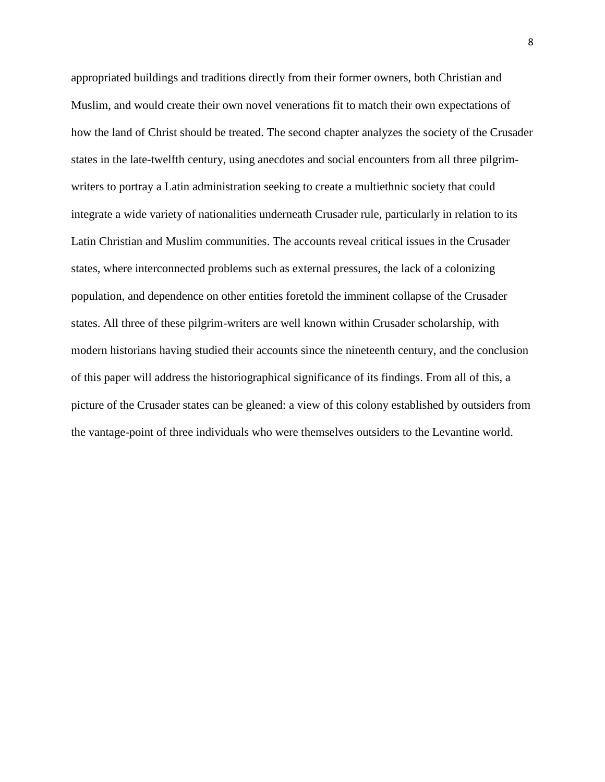appropriated buildings and traditions directly from their former owners, both Christian and Muslim, and would create their own novel venerations fit to match their own expectations of how the land of Christ should be treated. The second chapter analyzes the society of the Crusader states in the late-twelfth century, using anecdotes and social encounters from all three pilgrimwriters to portray a Latin administration seeking to create a multiethnic society that could integrate a wide variety of nationalities underneath Crusader rule, particularly in relation to its Latin Christian and Muslim communities. The accounts reveal critical issues in the Crusader states, where interconnected problems such as external pressures, the lack of a colonizing population, and dependence on other entities foretold the imminent collapse of the Crusader states. All three of these pilgrim-writers are well known within Crusader scholarship, with modern historians having studied their accounts since the nineteenth century, and the conclusion of this paper will address the historiographical significance of its findings. From all of this, a picture of the Crusader states can be gleaned: a view of this colony established by outsiders from the vantage-point of three individuals who were themselves outsiders to the Levantine world.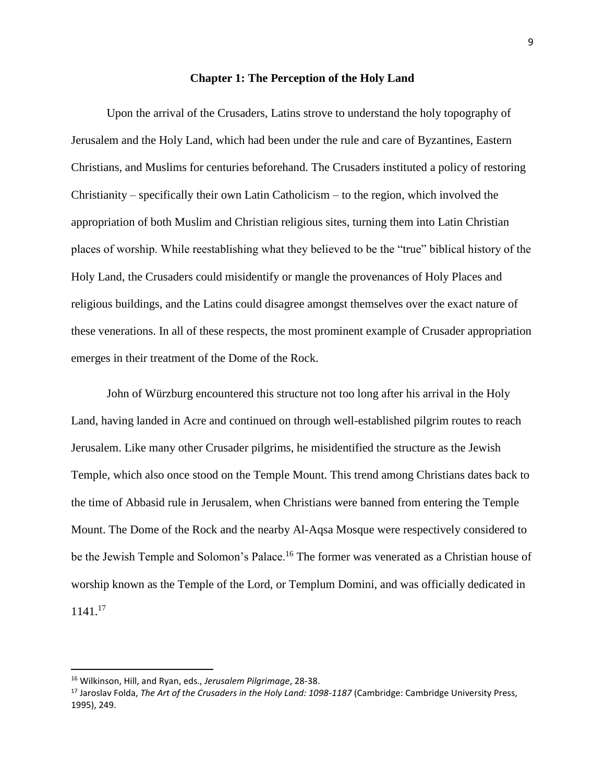### **Chapter 1: The Perception of the Holy Land**

Upon the arrival of the Crusaders, Latins strove to understand the holy topography of Jerusalem and the Holy Land, which had been under the rule and care of Byzantines, Eastern Christians, and Muslims for centuries beforehand. The Crusaders instituted a policy of restoring Christianity – specifically their own Latin Catholicism – to the region, which involved the appropriation of both Muslim and Christian religious sites, turning them into Latin Christian places of worship. While reestablishing what they believed to be the "true" biblical history of the Holy Land, the Crusaders could misidentify or mangle the provenances of Holy Places and religious buildings, and the Latins could disagree amongst themselves over the exact nature of these venerations. In all of these respects, the most prominent example of Crusader appropriation emerges in their treatment of the Dome of the Rock.

John of Würzburg encountered this structure not too long after his arrival in the Holy Land, having landed in Acre and continued on through well-established pilgrim routes to reach Jerusalem. Like many other Crusader pilgrims, he misidentified the structure as the Jewish Temple, which also once stood on the Temple Mount. This trend among Christians dates back to the time of Abbasid rule in Jerusalem, when Christians were banned from entering the Temple Mount. The Dome of the Rock and the nearby Al-Aqsa Mosque were respectively considered to be the Jewish Temple and Solomon's Palace.<sup>16</sup> The former was venerated as a Christian house of worship known as the Temple of the Lord, or Templum Domini, and was officially dedicated in 1141.<sup>17</sup>

<sup>16</sup> Wilkinson, Hill, and Ryan, eds., *Jerusalem Pilgrimage*, 28-38.

<sup>17</sup> Jaroslav Folda, *The Art of the Crusaders in the Holy Land: 1098-1187* (Cambridge: Cambridge University Press, 1995), 249.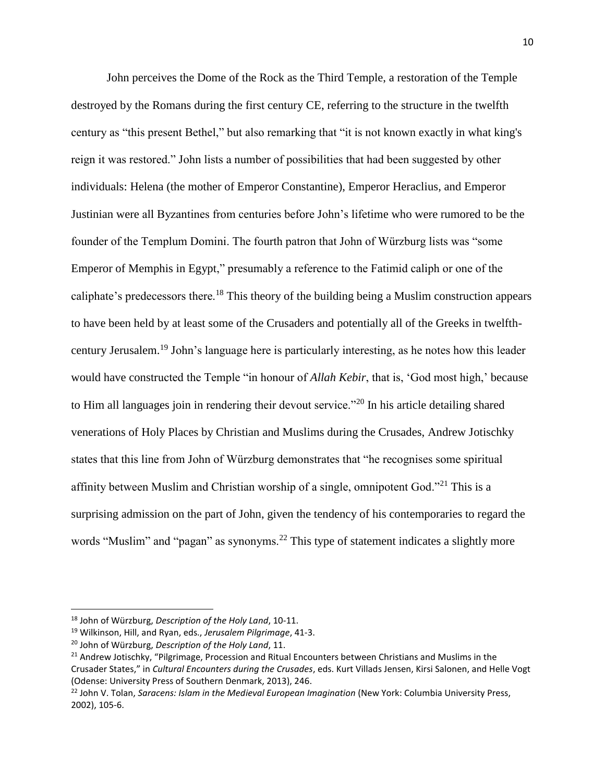John perceives the Dome of the Rock as the Third Temple, a restoration of the Temple destroyed by the Romans during the first century CE, referring to the structure in the twelfth century as "this present Bethel," but also remarking that "it is not known exactly in what king's reign it was restored." John lists a number of possibilities that had been suggested by other individuals: Helena (the mother of Emperor Constantine), Emperor Heraclius, and Emperor Justinian were all Byzantines from centuries before John's lifetime who were rumored to be the founder of the Templum Domini. The fourth patron that John of Würzburg lists was "some Emperor of Memphis in Egypt," presumably a reference to the Fatimid caliph or one of the caliphate's predecessors there.<sup>18</sup> This theory of the building being a Muslim construction appears to have been held by at least some of the Crusaders and potentially all of the Greeks in twelfthcentury Jerusalem.<sup>19</sup> John's language here is particularly interesting, as he notes how this leader would have constructed the Temple "in honour of *Allah Kebir*, that is, 'God most high,' because to Him all languages join in rendering their devout service."<sup>20</sup> In his article detailing shared venerations of Holy Places by Christian and Muslims during the Crusades, Andrew Jotischky states that this line from John of Würzburg demonstrates that "he recognises some spiritual affinity between Muslim and Christian worship of a single, omnipotent God."<sup>21</sup> This is a surprising admission on the part of John, given the tendency of his contemporaries to regard the words "Muslim" and "pagan" as synonyms.<sup>22</sup> This type of statement indicates a slightly more

<sup>18</sup> John of Würzburg, *Description of the Holy Land*, 10-11.

<sup>19</sup> Wilkinson, Hill, and Ryan, eds., *Jerusalem Pilgrimage*, 41-3.

<sup>20</sup> John of Würzburg, *Description of the Holy Land*, 11.

<sup>&</sup>lt;sup>21</sup> Andrew Jotischky, "Pilgrimage, Procession and Ritual Encounters between Christians and Muslims in the Crusader States," in *Cultural Encounters during the Crusades*, eds. Kurt Villads Jensen, Kirsi Salonen, and Helle Vogt (Odense: University Press of Southern Denmark, 2013), 246.

<sup>&</sup>lt;sup>22</sup> John V. Tolan, *Saracens: Islam in the Medieval European Imagination* (New York: Columbia University Press, 2002), 105-6.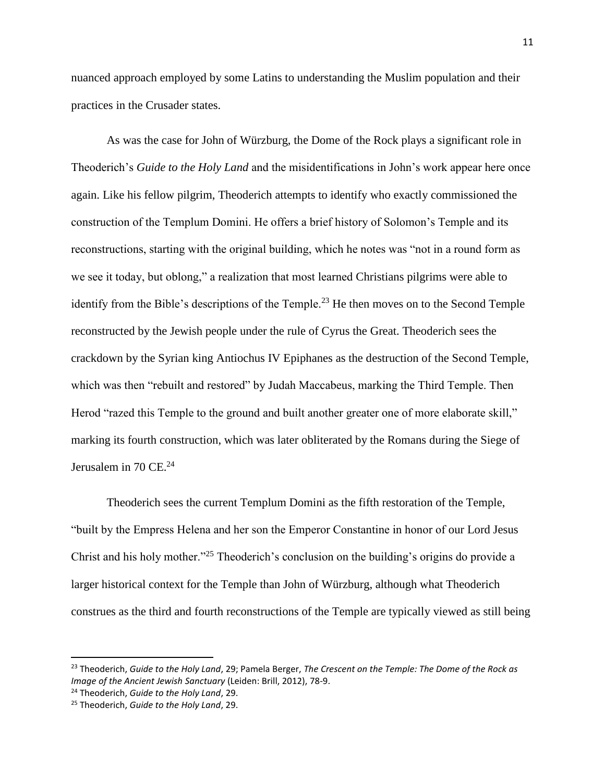nuanced approach employed by some Latins to understanding the Muslim population and their practices in the Crusader states.

As was the case for John of Würzburg, the Dome of the Rock plays a significant role in Theoderich's *Guide to the Holy Land* and the misidentifications in John's work appear here once again. Like his fellow pilgrim, Theoderich attempts to identify who exactly commissioned the construction of the Templum Domini. He offers a brief history of Solomon's Temple and its reconstructions, starting with the original building, which he notes was "not in a round form as we see it today, but oblong," a realization that most learned Christians pilgrims were able to identify from the Bible's descriptions of the Temple.<sup>23</sup> He then moves on to the Second Temple reconstructed by the Jewish people under the rule of Cyrus the Great. Theoderich sees the crackdown by the Syrian king Antiochus IV Epiphanes as the destruction of the Second Temple, which was then "rebuilt and restored" by Judah Maccabeus, marking the Third Temple. Then Herod "razed this Temple to the ground and built another greater one of more elaborate skill," marking its fourth construction, which was later obliterated by the Romans during the Siege of Jerusalem in 70 CE. $^{24}$ 

Theoderich sees the current Templum Domini as the fifth restoration of the Temple, "built by the Empress Helena and her son the Emperor Constantine in honor of our Lord Jesus Christ and his holy mother."<sup>25</sup> Theoderich's conclusion on the building's origins do provide a larger historical context for the Temple than John of Würzburg, although what Theoderich construes as the third and fourth reconstructions of the Temple are typically viewed as still being

 $\overline{a}$ 

<sup>23</sup> Theoderich, *Guide to the Holy Land*, 29; Pamela Berger, *The Crescent on the Temple: The Dome of the Rock as Image of the Ancient Jewish Sanctuary* (Leiden: Brill, 2012), 78-9.

<sup>24</sup> Theoderich, *Guide to the Holy Land*, 29.

<sup>25</sup> Theoderich, *Guide to the Holy Land*, 29.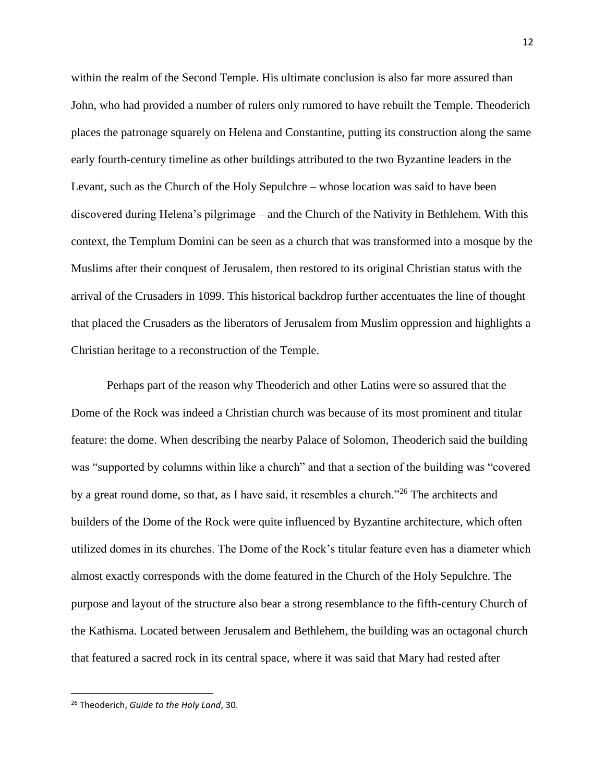within the realm of the Second Temple. His ultimate conclusion is also far more assured than John, who had provided a number of rulers only rumored to have rebuilt the Temple. Theoderich places the patronage squarely on Helena and Constantine, putting its construction along the same early fourth-century timeline as other buildings attributed to the two Byzantine leaders in the Levant, such as the Church of the Holy Sepulchre – whose location was said to have been discovered during Helena's pilgrimage – and the Church of the Nativity in Bethlehem. With this context, the Templum Domini can be seen as a church that was transformed into a mosque by the Muslims after their conquest of Jerusalem, then restored to its original Christian status with the arrival of the Crusaders in 1099. This historical backdrop further accentuates the line of thought that placed the Crusaders as the liberators of Jerusalem from Muslim oppression and highlights a Christian heritage to a reconstruction of the Temple.

Perhaps part of the reason why Theoderich and other Latins were so assured that the Dome of the Rock was indeed a Christian church was because of its most prominent and titular feature: the dome. When describing the nearby Palace of Solomon, Theoderich said the building was "supported by columns within like a church" and that a section of the building was "covered by a great round dome, so that, as I have said, it resembles a church."<sup>26</sup> The architects and builders of the Dome of the Rock were quite influenced by Byzantine architecture, which often utilized domes in its churches. The Dome of the Rock's titular feature even has a diameter which almost exactly corresponds with the dome featured in the Church of the Holy Sepulchre. The purpose and layout of the structure also bear a strong resemblance to the fifth-century Church of the Kathisma. Located between Jerusalem and Bethlehem, the building was an octagonal church that featured a sacred rock in its central space, where it was said that Mary had rested after

<sup>26</sup> Theoderich, *Guide to the Holy Land*, 30.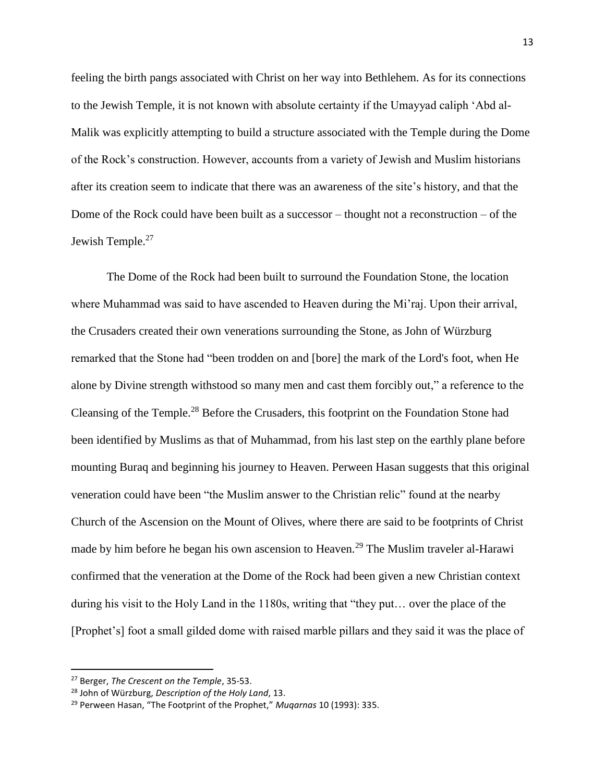feeling the birth pangs associated with Christ on her way into Bethlehem. As for its connections to the Jewish Temple, it is not known with absolute certainty if the Umayyad caliph 'Abd al-Malik was explicitly attempting to build a structure associated with the Temple during the Dome of the Rock's construction. However, accounts from a variety of Jewish and Muslim historians after its creation seem to indicate that there was an awareness of the site's history, and that the Dome of the Rock could have been built as a successor – thought not a reconstruction – of the Jewish Temple.<sup>27</sup>

The Dome of the Rock had been built to surround the Foundation Stone, the location where Muhammad was said to have ascended to Heaven during the Mi'raj. Upon their arrival, the Crusaders created their own venerations surrounding the Stone, as John of Würzburg remarked that the Stone had "been trodden on and [bore] the mark of the Lord's foot, when He alone by Divine strength withstood so many men and cast them forcibly out," a reference to the Cleansing of the Temple.<sup>28</sup> Before the Crusaders, this footprint on the Foundation Stone had been identified by Muslims as that of Muhammad, from his last step on the earthly plane before mounting Buraq and beginning his journey to Heaven. Perween Hasan suggests that this original veneration could have been "the Muslim answer to the Christian relic" found at the nearby Church of the Ascension on the Mount of Olives, where there are said to be footprints of Christ made by him before he began his own ascension to Heaven.<sup>29</sup> The Muslim traveler al-Harawi confirmed that the veneration at the Dome of the Rock had been given a new Christian context during his visit to the Holy Land in the 1180s, writing that "they put… over the place of the [Prophet's] foot a small gilded dome with raised marble pillars and they said it was the place of

<sup>27</sup> Berger, *The Crescent on the Temple*, 35-53.

<sup>28</sup> John of Würzburg, *Description of the Holy Land*, 13.

<sup>29</sup> Perween Hasan, "The Footprint of the Prophet," *Muqarnas* 10 (1993): 335.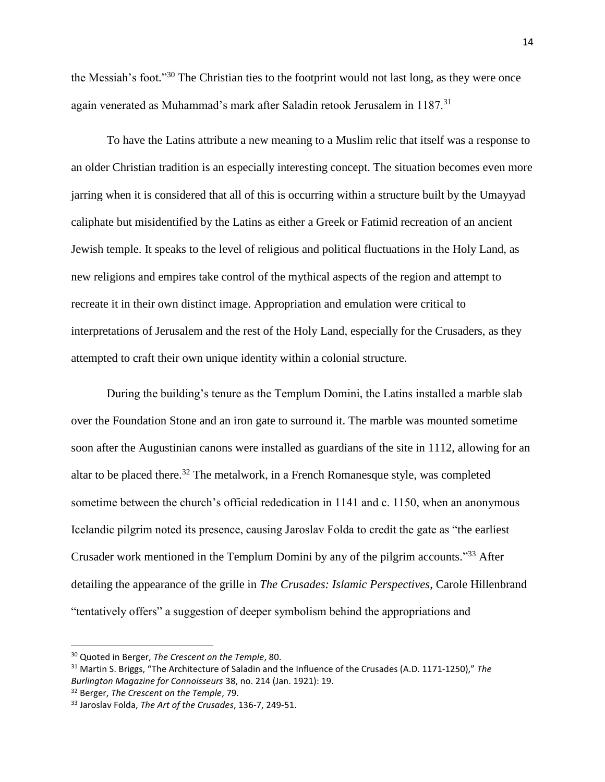the Messiah's foot."<sup>30</sup> The Christian ties to the footprint would not last long, as they were once again venerated as Muhammad's mark after Saladin retook Jerusalem in 1187.<sup>31</sup>

To have the Latins attribute a new meaning to a Muslim relic that itself was a response to an older Christian tradition is an especially interesting concept. The situation becomes even more jarring when it is considered that all of this is occurring within a structure built by the Umayyad caliphate but misidentified by the Latins as either a Greek or Fatimid recreation of an ancient Jewish temple. It speaks to the level of religious and political fluctuations in the Holy Land, as new religions and empires take control of the mythical aspects of the region and attempt to recreate it in their own distinct image. Appropriation and emulation were critical to interpretations of Jerusalem and the rest of the Holy Land, especially for the Crusaders, as they attempted to craft their own unique identity within a colonial structure.

During the building's tenure as the Templum Domini, the Latins installed a marble slab over the Foundation Stone and an iron gate to surround it. The marble was mounted sometime soon after the Augustinian canons were installed as guardians of the site in 1112, allowing for an altar to be placed there.<sup>32</sup> The metalwork, in a French Romanesque style, was completed sometime between the church's official rededication in 1141 and c. 1150, when an anonymous Icelandic pilgrim noted its presence, causing Jaroslav Folda to credit the gate as "the earliest Crusader work mentioned in the Templum Domini by any of the pilgrim accounts."<sup>33</sup> After detailing the appearance of the grille in *The Crusades: Islamic Perspectives*, Carole Hillenbrand "tentatively offers" a suggestion of deeper symbolism behind the appropriations and

<sup>30</sup> Quoted in Berger, *The Crescent on the Temple*, 80.

<sup>31</sup> Martin S. Briggs, "The Architecture of Saladin and the Influence of the Crusades (A.D. 1171-1250)," *The Burlington Magazine for Connoisseurs* 38, no. 214 (Jan. 1921): 19.

<sup>32</sup> Berger, *The Crescent on the Temple*, 79.

<sup>33</sup> Jaroslav Folda, *The Art of the Crusades*, 136-7, 249-51.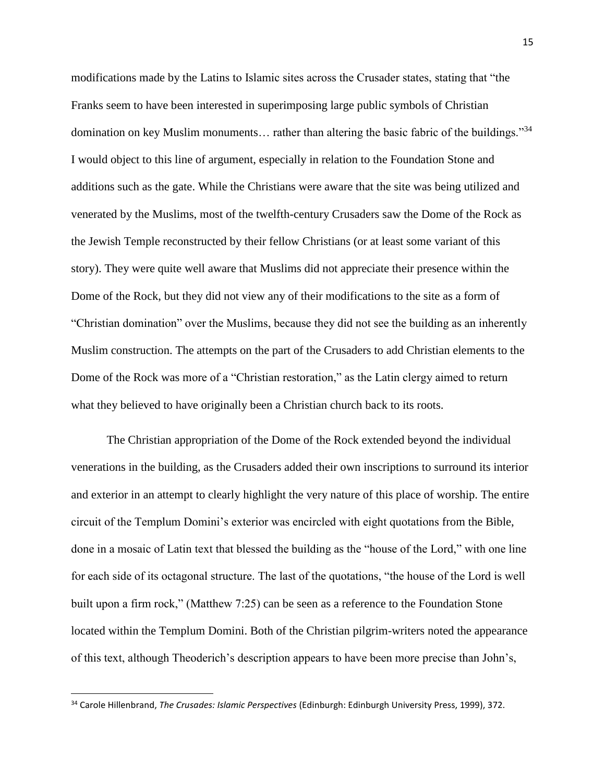modifications made by the Latins to Islamic sites across the Crusader states, stating that "the Franks seem to have been interested in superimposing large public symbols of Christian domination on key Muslim monuments… rather than altering the basic fabric of the buildings."<sup>34</sup> I would object to this line of argument, especially in relation to the Foundation Stone and additions such as the gate. While the Christians were aware that the site was being utilized and venerated by the Muslims, most of the twelfth-century Crusaders saw the Dome of the Rock as the Jewish Temple reconstructed by their fellow Christians (or at least some variant of this story). They were quite well aware that Muslims did not appreciate their presence within the Dome of the Rock, but they did not view any of their modifications to the site as a form of "Christian domination" over the Muslims, because they did not see the building as an inherently Muslim construction. The attempts on the part of the Crusaders to add Christian elements to the Dome of the Rock was more of a "Christian restoration," as the Latin clergy aimed to return what they believed to have originally been a Christian church back to its roots.

The Christian appropriation of the Dome of the Rock extended beyond the individual venerations in the building, as the Crusaders added their own inscriptions to surround its interior and exterior in an attempt to clearly highlight the very nature of this place of worship. The entire circuit of the Templum Domini's exterior was encircled with eight quotations from the Bible, done in a mosaic of Latin text that blessed the building as the "house of the Lord," with one line for each side of its octagonal structure. The last of the quotations, "the house of the Lord is well built upon a firm rock," (Matthew 7:25) can be seen as a reference to the Foundation Stone located within the Templum Domini. Both of the Christian pilgrim-writers noted the appearance of this text, although Theoderich's description appears to have been more precise than John's,

<sup>34</sup> Carole Hillenbrand, *The Crusades: Islamic Perspectives* (Edinburgh: Edinburgh University Press, 1999), 372.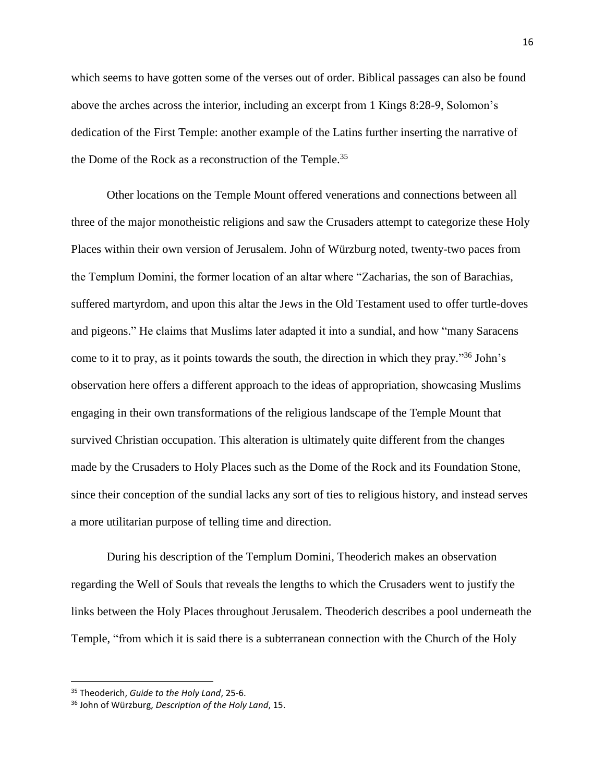which seems to have gotten some of the verses out of order. Biblical passages can also be found above the arches across the interior, including an excerpt from 1 Kings 8:28-9, Solomon's dedication of the First Temple: another example of the Latins further inserting the narrative of the Dome of the Rock as a reconstruction of the Temple.<sup>35</sup>

Other locations on the Temple Mount offered venerations and connections between all three of the major monotheistic religions and saw the Crusaders attempt to categorize these Holy Places within their own version of Jerusalem. John of Würzburg noted, twenty-two paces from the Templum Domini, the former location of an altar where "Zacharias, the son of Barachias, suffered martyrdom, and upon this altar the Jews in the Old Testament used to offer turtle-doves and pigeons." He claims that Muslims later adapted it into a sundial, and how "many Saracens come to it to pray, as it points towards the south, the direction in which they pray." <sup>36</sup> John's observation here offers a different approach to the ideas of appropriation, showcasing Muslims engaging in their own transformations of the religious landscape of the Temple Mount that survived Christian occupation. This alteration is ultimately quite different from the changes made by the Crusaders to Holy Places such as the Dome of the Rock and its Foundation Stone, since their conception of the sundial lacks any sort of ties to religious history, and instead serves a more utilitarian purpose of telling time and direction.

During his description of the Templum Domini, Theoderich makes an observation regarding the Well of Souls that reveals the lengths to which the Crusaders went to justify the links between the Holy Places throughout Jerusalem. Theoderich describes a pool underneath the Temple, "from which it is said there is a subterranean connection with the Church of the Holy

<sup>35</sup> Theoderich, *Guide to the Holy Land*, 25-6.

<sup>36</sup> John of Würzburg, *Description of the Holy Land*, 15.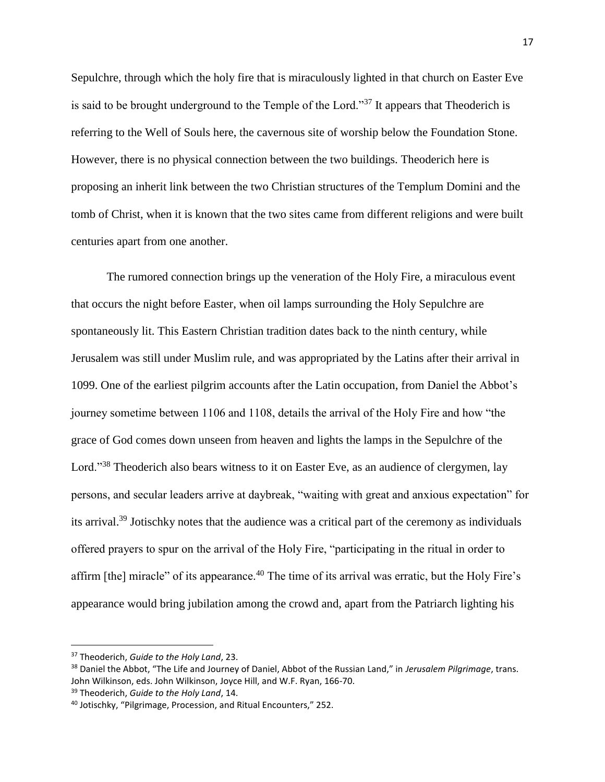Sepulchre, through which the holy fire that is miraculously lighted in that church on Easter Eve is said to be brought underground to the Temple of the Lord."<sup>37</sup> It appears that Theoderich is referring to the Well of Souls here, the cavernous site of worship below the Foundation Stone. However, there is no physical connection between the two buildings. Theoderich here is proposing an inherit link between the two Christian structures of the Templum Domini and the tomb of Christ, when it is known that the two sites came from different religions and were built centuries apart from one another.

The rumored connection brings up the veneration of the Holy Fire, a miraculous event that occurs the night before Easter, when oil lamps surrounding the Holy Sepulchre are spontaneously lit. This Eastern Christian tradition dates back to the ninth century, while Jerusalem was still under Muslim rule, and was appropriated by the Latins after their arrival in 1099. One of the earliest pilgrim accounts after the Latin occupation, from Daniel the Abbot's journey sometime between 1106 and 1108, details the arrival of the Holy Fire and how "the grace of God comes down unseen from heaven and lights the lamps in the Sepulchre of the Lord."<sup>38</sup> Theoderich also bears witness to it on Easter Eve, as an audience of clergymen, lay persons, and secular leaders arrive at daybreak, "waiting with great and anxious expectation" for its arrival.<sup>39</sup> Jotischky notes that the audience was a critical part of the ceremony as individuals offered prayers to spur on the arrival of the Holy Fire, "participating in the ritual in order to affirm [the] miracle" of its appearance.<sup>40</sup> The time of its arrival was erratic, but the Holy Fire's appearance would bring jubilation among the crowd and, apart from the Patriarch lighting his

<sup>37</sup> Theoderich, *Guide to the Holy Land*, 23.

<sup>38</sup> Daniel the Abbot, "The Life and Journey of Daniel, Abbot of the Russian Land," in *Jerusalem Pilgrimage*, trans. John Wilkinson, eds. John Wilkinson, Joyce Hill, and W.F. Ryan, 166-70.

<sup>39</sup> Theoderich, *Guide to the Holy Land*, 14.

<sup>40</sup> Jotischky, "Pilgrimage, Procession, and Ritual Encounters," 252.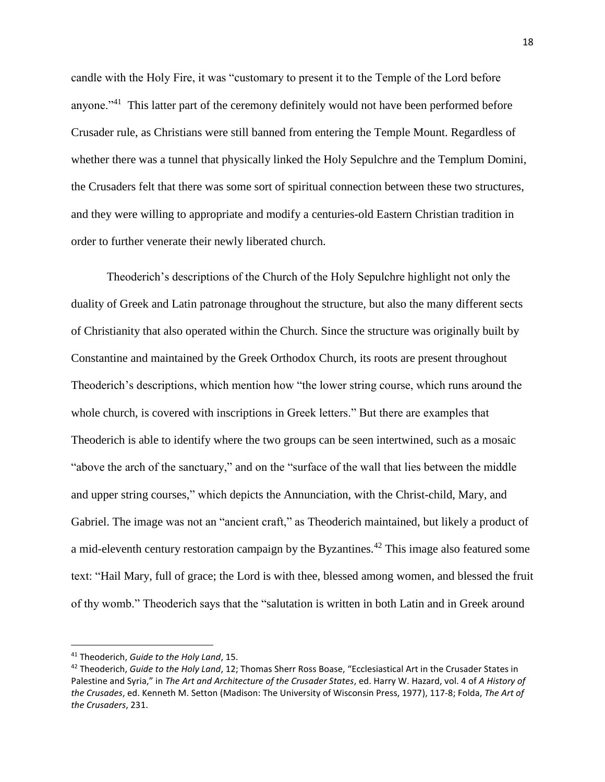candle with the Holy Fire, it was "customary to present it to the Temple of the Lord before anyone."<sup>41</sup> This latter part of the ceremony definitely would not have been performed before Crusader rule, as Christians were still banned from entering the Temple Mount. Regardless of whether there was a tunnel that physically linked the Holy Sepulchre and the Templum Domini, the Crusaders felt that there was some sort of spiritual connection between these two structures, and they were willing to appropriate and modify a centuries-old Eastern Christian tradition in order to further venerate their newly liberated church.

Theoderich's descriptions of the Church of the Holy Sepulchre highlight not only the duality of Greek and Latin patronage throughout the structure, but also the many different sects of Christianity that also operated within the Church. Since the structure was originally built by Constantine and maintained by the Greek Orthodox Church, its roots are present throughout Theoderich's descriptions, which mention how "the lower string course, which runs around the whole church, is covered with inscriptions in Greek letters." But there are examples that Theoderich is able to identify where the two groups can be seen intertwined, such as a mosaic "above the arch of the sanctuary," and on the "surface of the wall that lies between the middle and upper string courses," which depicts the Annunciation, with the Christ-child, Mary, and Gabriel. The image was not an "ancient craft," as Theoderich maintained, but likely a product of a mid-eleventh century restoration campaign by the Byzantines.<sup>42</sup> This image also featured some text: "Hail Mary, full of grace; the Lord is with thee, blessed among women, and blessed the fruit of thy womb." Theoderich says that the "salutation is written in both Latin and in Greek around

<sup>41</sup> Theoderich, *Guide to the Holy Land*, 15.

<sup>42</sup> Theoderich, *Guide to the Holy Land*, 12; Thomas Sherr Ross Boase, "Ecclesiastical Art in the Crusader States in Palestine and Syria," in *The Art and Architecture of the Crusader States*, ed. Harry W. Hazard, vol. 4 of *A History of the Crusades*, ed. Kenneth M. Setton (Madison: The University of Wisconsin Press, 1977), 117-8; Folda, *The Art of the Crusaders*, 231.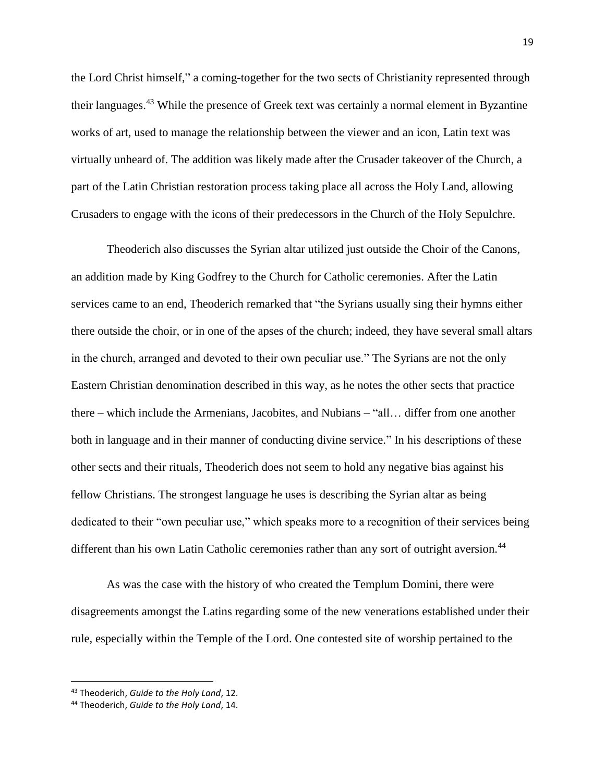the Lord Christ himself," a coming-together for the two sects of Christianity represented through their languages.<sup>43</sup> While the presence of Greek text was certainly a normal element in Byzantine works of art, used to manage the relationship between the viewer and an icon, Latin text was virtually unheard of. The addition was likely made after the Crusader takeover of the Church, a part of the Latin Christian restoration process taking place all across the Holy Land, allowing Crusaders to engage with the icons of their predecessors in the Church of the Holy Sepulchre.

Theoderich also discusses the Syrian altar utilized just outside the Choir of the Canons, an addition made by King Godfrey to the Church for Catholic ceremonies. After the Latin services came to an end, Theoderich remarked that "the Syrians usually sing their hymns either there outside the choir, or in one of the apses of the church; indeed, they have several small altars in the church, arranged and devoted to their own peculiar use." The Syrians are not the only Eastern Christian denomination described in this way, as he notes the other sects that practice there – which include the Armenians, Jacobites, and Nubians – "all… differ from one another both in language and in their manner of conducting divine service." In his descriptions of these other sects and their rituals, Theoderich does not seem to hold any negative bias against his fellow Christians. The strongest language he uses is describing the Syrian altar as being dedicated to their "own peculiar use," which speaks more to a recognition of their services being different than his own Latin Catholic ceremonies rather than any sort of outright aversion.<sup>44</sup>

As was the case with the history of who created the Templum Domini, there were disagreements amongst the Latins regarding some of the new venerations established under their rule, especially within the Temple of the Lord. One contested site of worship pertained to the

<sup>43</sup> Theoderich, *Guide to the Holy Land*, 12.

<sup>44</sup> Theoderich, *Guide to the Holy Land*, 14.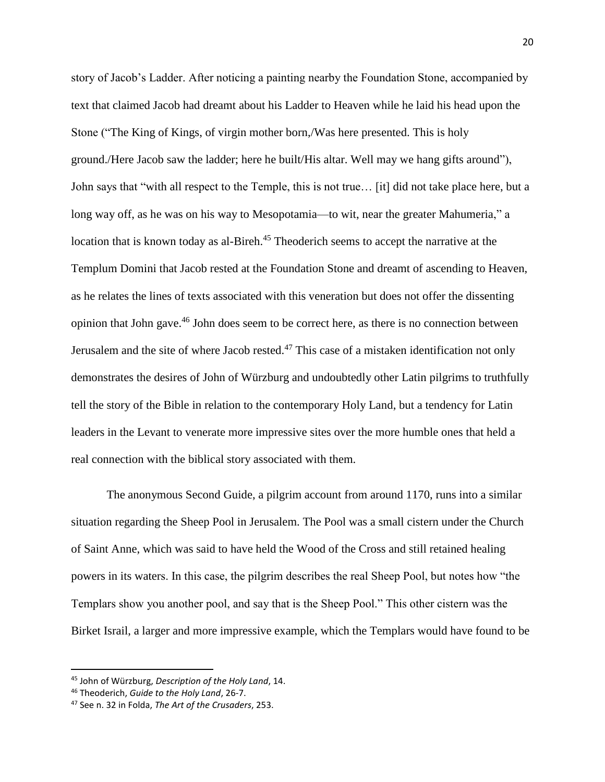story of Jacob's Ladder. After noticing a painting nearby the Foundation Stone, accompanied by text that claimed Jacob had dreamt about his Ladder to Heaven while he laid his head upon the Stone ("The King of Kings, of virgin mother born,/Was here presented. This is holy ground./Here Jacob saw the ladder; here he built/His altar. Well may we hang gifts around"), John says that "with all respect to the Temple, this is not true… [it] did not take place here, but a long way off, as he was on his way to Mesopotamia—to wit, near the greater Mahumeria," a location that is known today as al-Bireh.<sup>45</sup> Theoderich seems to accept the narrative at the Templum Domini that Jacob rested at the Foundation Stone and dreamt of ascending to Heaven, as he relates the lines of texts associated with this veneration but does not offer the dissenting opinion that John gave.<sup>46</sup> John does seem to be correct here, as there is no connection between Jerusalem and the site of where Jacob rested.<sup>47</sup> This case of a mistaken identification not only demonstrates the desires of John of Würzburg and undoubtedly other Latin pilgrims to truthfully tell the story of the Bible in relation to the contemporary Holy Land, but a tendency for Latin leaders in the Levant to venerate more impressive sites over the more humble ones that held a real connection with the biblical story associated with them.

The anonymous Second Guide, a pilgrim account from around 1170, runs into a similar situation regarding the Sheep Pool in Jerusalem. The Pool was a small cistern under the Church of Saint Anne, which was said to have held the Wood of the Cross and still retained healing powers in its waters. In this case, the pilgrim describes the real Sheep Pool, but notes how "the Templars show you another pool, and say that is the Sheep Pool." This other cistern was the Birket Israil, a larger and more impressive example, which the Templars would have found to be

<sup>45</sup> John of Würzburg, *Description of the Holy Land*, 14.

<sup>46</sup> Theoderich, *Guide to the Holy Land*, 26-7.

<sup>47</sup> See n. 32 in Folda, *The Art of the Crusaders*, 253.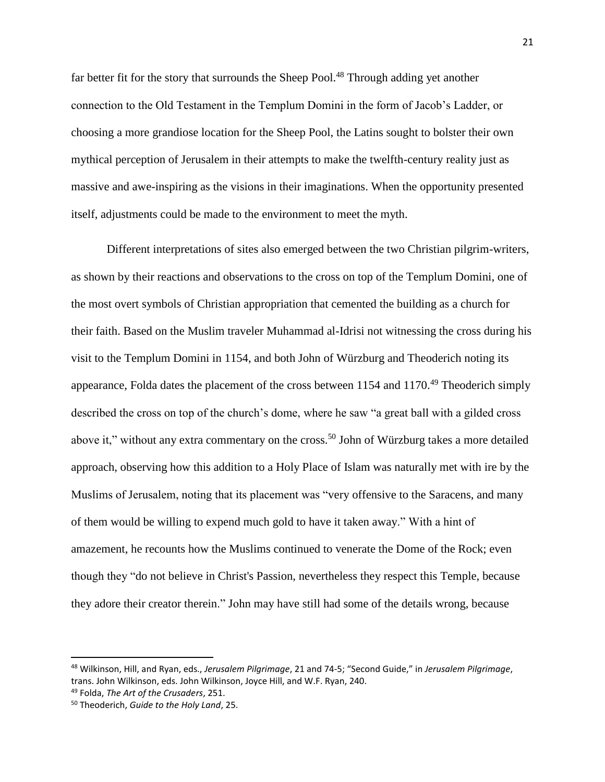far better fit for the story that surrounds the Sheep Pool.<sup>48</sup> Through adding yet another connection to the Old Testament in the Templum Domini in the form of Jacob's Ladder, or choosing a more grandiose location for the Sheep Pool, the Latins sought to bolster their own mythical perception of Jerusalem in their attempts to make the twelfth-century reality just as massive and awe-inspiring as the visions in their imaginations. When the opportunity presented itself, adjustments could be made to the environment to meet the myth.

Different interpretations of sites also emerged between the two Christian pilgrim-writers, as shown by their reactions and observations to the cross on top of the Templum Domini, one of the most overt symbols of Christian appropriation that cemented the building as a church for their faith. Based on the Muslim traveler Muhammad al-Idrisi not witnessing the cross during his visit to the Templum Domini in 1154, and both John of Würzburg and Theoderich noting its appearance, Folda dates the placement of the cross between  $1154$  and  $1170$ .<sup>49</sup> Theoderich simply described the cross on top of the church's dome, where he saw "a great ball with a gilded cross above it," without any extra commentary on the cross.<sup>50</sup> John of Würzburg takes a more detailed approach, observing how this addition to a Holy Place of Islam was naturally met with ire by the Muslims of Jerusalem, noting that its placement was "very offensive to the Saracens, and many of them would be willing to expend much gold to have it taken away." With a hint of amazement, he recounts how the Muslims continued to venerate the Dome of the Rock; even though they "do not believe in Christ's Passion, nevertheless they respect this Temple, because they adore their creator therein." John may have still had some of the details wrong, because

 $\overline{a}$ 

<sup>48</sup> Wilkinson, Hill, and Ryan, eds., *Jerusalem Pilgrimage*, 21 and 74-5; "Second Guide," in *Jerusalem Pilgrimage*, trans. John Wilkinson, eds. John Wilkinson, Joyce Hill, and W.F. Ryan, 240.

<sup>49</sup> Folda, *The Art of the Crusaders*, 251.

<sup>50</sup> Theoderich, *Guide to the Holy Land*, 25.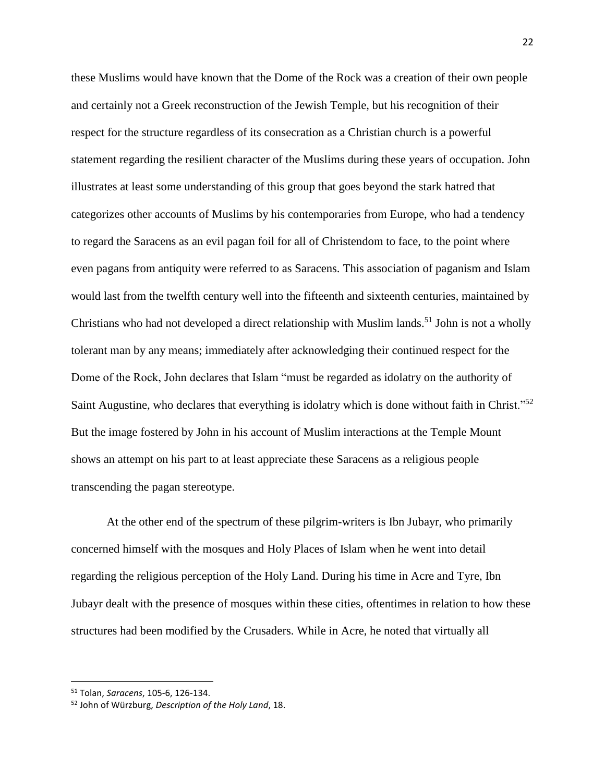these Muslims would have known that the Dome of the Rock was a creation of their own people and certainly not a Greek reconstruction of the Jewish Temple, but his recognition of their respect for the structure regardless of its consecration as a Christian church is a powerful statement regarding the resilient character of the Muslims during these years of occupation. John illustrates at least some understanding of this group that goes beyond the stark hatred that categorizes other accounts of Muslims by his contemporaries from Europe, who had a tendency to regard the Saracens as an evil pagan foil for all of Christendom to face, to the point where even pagans from antiquity were referred to as Saracens. This association of paganism and Islam would last from the twelfth century well into the fifteenth and sixteenth centuries, maintained by Christians who had not developed a direct relationship with Muslim lands.<sup>51</sup> John is not a wholly tolerant man by any means; immediately after acknowledging their continued respect for the Dome of the Rock, John declares that Islam "must be regarded as idolatry on the authority of Saint Augustine, who declares that everything is idolatry which is done without faith in Christ."<sup>52</sup> But the image fostered by John in his account of Muslim interactions at the Temple Mount shows an attempt on his part to at least appreciate these Saracens as a religious people transcending the pagan stereotype.

At the other end of the spectrum of these pilgrim-writers is Ibn Jubayr, who primarily concerned himself with the mosques and Holy Places of Islam when he went into detail regarding the religious perception of the Holy Land. During his time in Acre and Tyre, Ibn Jubayr dealt with the presence of mosques within these cities, oftentimes in relation to how these structures had been modified by the Crusaders. While in Acre, he noted that virtually all

<sup>51</sup> Tolan, *Saracens*, 105-6, 126-134.

<sup>52</sup> John of Würzburg, *Description of the Holy Land*, 18.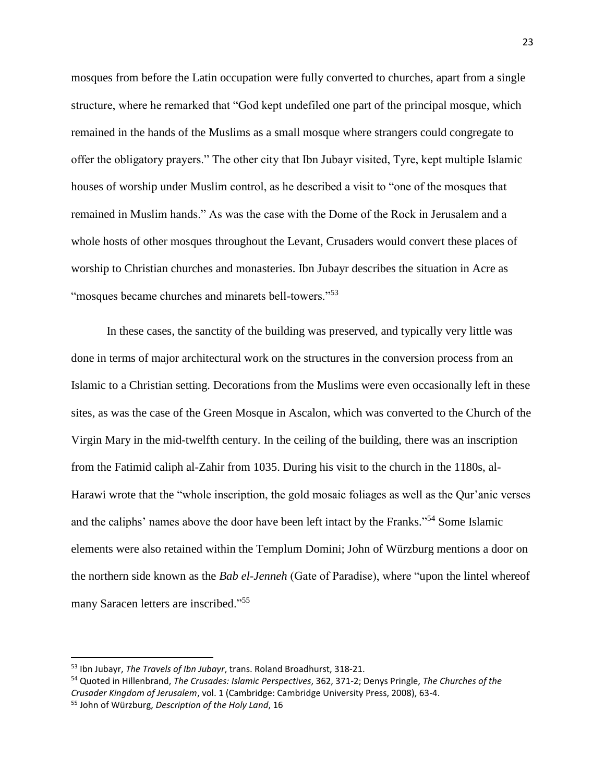mosques from before the Latin occupation were fully converted to churches, apart from a single structure, where he remarked that "God kept undefiled one part of the principal mosque, which remained in the hands of the Muslims as a small mosque where strangers could congregate to offer the obligatory prayers." The other city that Ibn Jubayr visited, Tyre, kept multiple Islamic houses of worship under Muslim control, as he described a visit to "one of the mosques that remained in Muslim hands." As was the case with the Dome of the Rock in Jerusalem and a whole hosts of other mosques throughout the Levant, Crusaders would convert these places of worship to Christian churches and monasteries. Ibn Jubayr describes the situation in Acre as "mosques became churches and minarets bell-towers."<sup>53</sup>

In these cases, the sanctity of the building was preserved, and typically very little was done in terms of major architectural work on the structures in the conversion process from an Islamic to a Christian setting. Decorations from the Muslims were even occasionally left in these sites, as was the case of the Green Mosque in Ascalon, which was converted to the Church of the Virgin Mary in the mid-twelfth century. In the ceiling of the building, there was an inscription from the Fatimid caliph al-Zahir from 1035. During his visit to the church in the 1180s, al-Harawi wrote that the "whole inscription, the gold mosaic foliages as well as the Qur'anic verses and the caliphs' names above the door have been left intact by the Franks."<sup>54</sup> Some Islamic elements were also retained within the Templum Domini; John of Würzburg mentions a door on the northern side known as the *Bab el-Jenneh* (Gate of Paradise), where "upon the lintel whereof many Saracen letters are inscribed."<sup>55</sup>

 $\overline{a}$ 

<sup>53</sup> Ibn Jubayr, *The Travels of Ibn Jubayr*, trans. Roland Broadhurst, 318-21.

<sup>54</sup> Quoted in Hillenbrand, *The Crusades: Islamic Perspectives*, 362, 371-2; Denys Pringle, *The Churches of the Crusader Kingdom of Jerusalem*, vol. 1 (Cambridge: Cambridge University Press, 2008), 63-4. <sup>55</sup> John of Würzburg, *Description of the Holy Land*, 16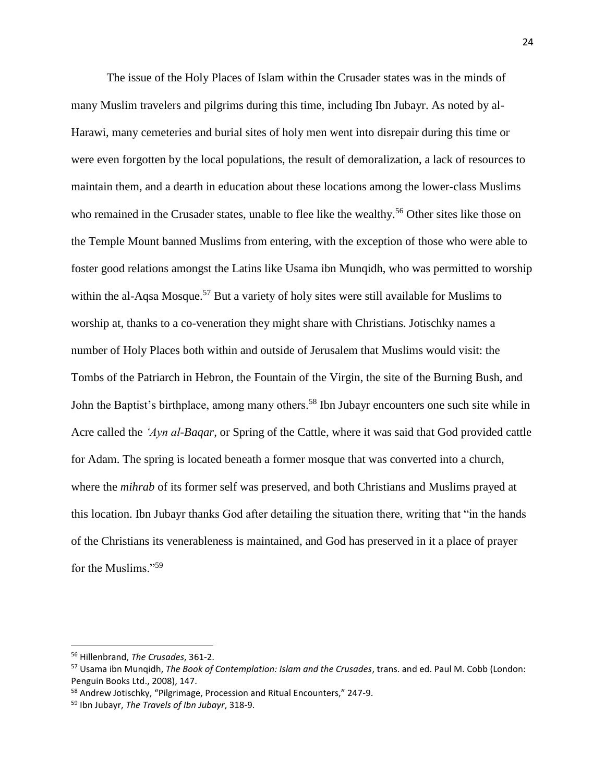The issue of the Holy Places of Islam within the Crusader states was in the minds of many Muslim travelers and pilgrims during this time, including Ibn Jubayr. As noted by al-Harawi, many cemeteries and burial sites of holy men went into disrepair during this time or were even forgotten by the local populations, the result of demoralization, a lack of resources to maintain them, and a dearth in education about these locations among the lower-class Muslims who remained in the Crusader states, unable to flee like the wealthy.<sup>56</sup> Other sites like those on the Temple Mount banned Muslims from entering, with the exception of those who were able to foster good relations amongst the Latins like Usama ibn Munqidh, who was permitted to worship within the al-Aqsa Mosque.<sup>57</sup> But a variety of holy sites were still available for Muslims to worship at, thanks to a co-veneration they might share with Christians. Jotischky names a number of Holy Places both within and outside of Jerusalem that Muslims would visit: the Tombs of the Patriarch in Hebron, the Fountain of the Virgin, the site of the Burning Bush, and John the Baptist's birthplace, among many others.<sup>58</sup> Ibn Jubayr encounters one such site while in Acre called the *'Ayn al-Baqar*, or Spring of the Cattle, where it was said that God provided cattle for Adam. The spring is located beneath a former mosque that was converted into a church, where the *mihrab* of its former self was preserved, and both Christians and Muslims prayed at this location. Ibn Jubayr thanks God after detailing the situation there, writing that "in the hands of the Christians its venerableness is maintained, and God has preserved in it a place of prayer for the Muslims."<sup>59</sup>

<sup>56</sup> Hillenbrand, *The Crusades*, 361-2.

<sup>57</sup> Usama ibn Munqidh, *The Book of Contemplation: Islam and the Crusades*, trans. and ed. Paul M. Cobb (London: Penguin Books Ltd., 2008), 147.

<sup>&</sup>lt;sup>58</sup> Andrew Jotischky, "Pilgrimage, Procession and Ritual Encounters," 247-9.

<sup>59</sup> Ibn Jubayr, *The Travels of Ibn Jubayr*, 318-9.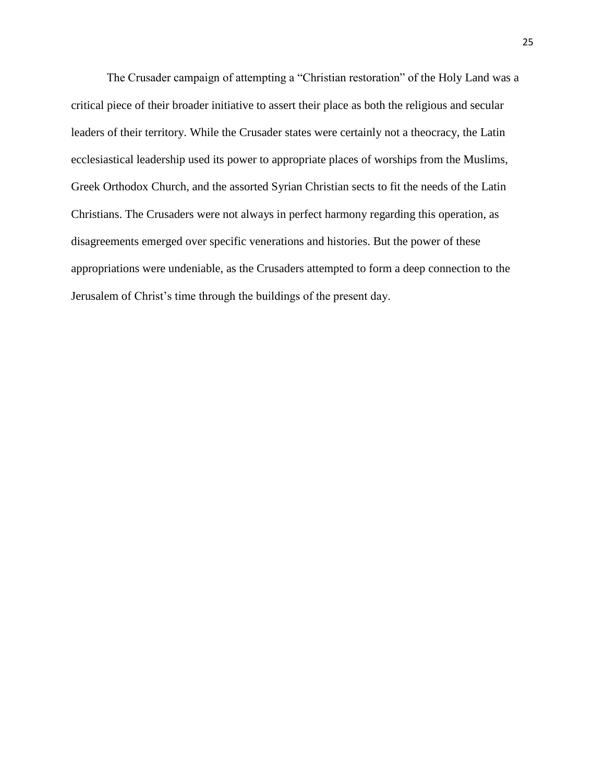The Crusader campaign of attempting a "Christian restoration" of the Holy Land was a critical piece of their broader initiative to assert their place as both the religious and secular leaders of their territory. While the Crusader states were certainly not a theocracy, the Latin ecclesiastical leadership used its power to appropriate places of worships from the Muslims, Greek Orthodox Church, and the assorted Syrian Christian sects to fit the needs of the Latin Christians. The Crusaders were not always in perfect harmony regarding this operation, as disagreements emerged over specific venerations and histories. But the power of these appropriations were undeniable, as the Crusaders attempted to form a deep connection to the Jerusalem of Christ's time through the buildings of the present day.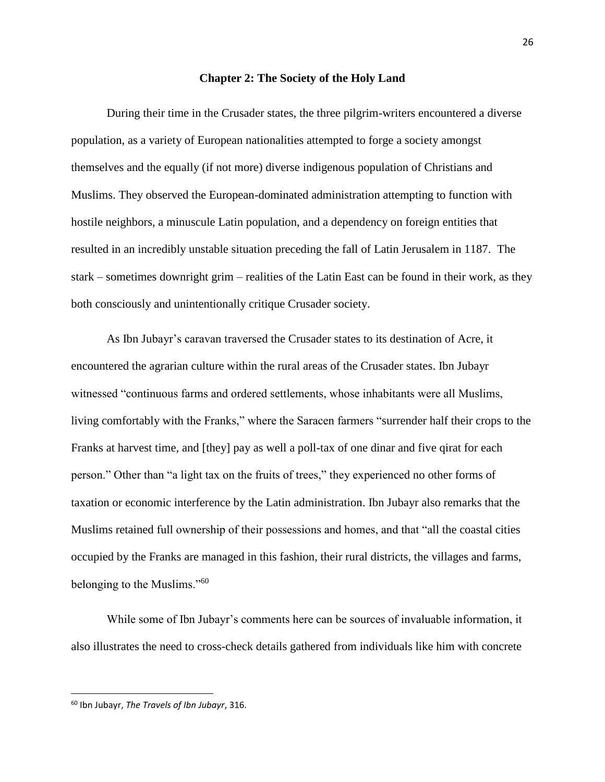#### **Chapter 2: The Society of the Holy Land**

During their time in the Crusader states, the three pilgrim-writers encountered a diverse population, as a variety of European nationalities attempted to forge a society amongst themselves and the equally (if not more) diverse indigenous population of Christians and Muslims. They observed the European-dominated administration attempting to function with hostile neighbors, a minuscule Latin population, and a dependency on foreign entities that resulted in an incredibly unstable situation preceding the fall of Latin Jerusalem in 1187. The stark – sometimes downright grim – realities of the Latin East can be found in their work, as they both consciously and unintentionally critique Crusader society.

As Ibn Jubayr's caravan traversed the Crusader states to its destination of Acre, it encountered the agrarian culture within the rural areas of the Crusader states. Ibn Jubayr witnessed "continuous farms and ordered settlements, whose inhabitants were all Muslims, living comfortably with the Franks," where the Saracen farmers "surrender half their crops to the Franks at harvest time, and [they] pay as well a poll-tax of one dinar and five qirat for each person." Other than "a light tax on the fruits of trees," they experienced no other forms of taxation or economic interference by the Latin administration. Ibn Jubayr also remarks that the Muslims retained full ownership of their possessions and homes, and that "all the coastal cities occupied by the Franks are managed in this fashion, their rural districts, the villages and farms, belonging to the Muslims."<sup>60</sup>

While some of Ibn Jubayr's comments here can be sources of invaluable information, it also illustrates the need to cross-check details gathered from individuals like him with concrete

<sup>60</sup> Ibn Jubayr, *The Travels of Ibn Jubayr*, 316.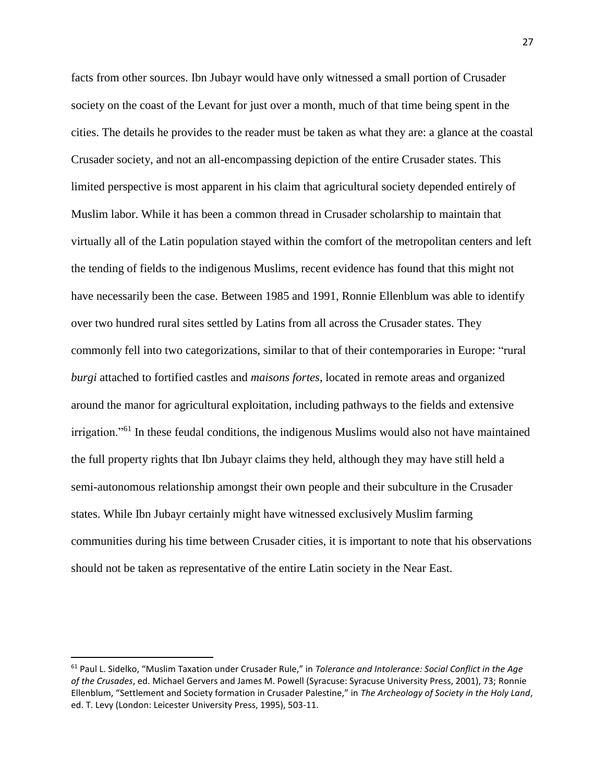facts from other sources. Ibn Jubayr would have only witnessed a small portion of Crusader society on the coast of the Levant for just over a month, much of that time being spent in the cities. The details he provides to the reader must be taken as what they are: a glance at the coastal Crusader society, and not an all-encompassing depiction of the entire Crusader states. This limited perspective is most apparent in his claim that agricultural society depended entirely of Muslim labor. While it has been a common thread in Crusader scholarship to maintain that virtually all of the Latin population stayed within the comfort of the metropolitan centers and left the tending of fields to the indigenous Muslims, recent evidence has found that this might not have necessarily been the case. Between 1985 and 1991, Ronnie Ellenblum was able to identify over two hundred rural sites settled by Latins from all across the Crusader states. They commonly fell into two categorizations, similar to that of their contemporaries in Europe: "rural *burgi* attached to fortified castles and *maisons fortes*, located in remote areas and organized around the manor for agricultural exploitation, including pathways to the fields and extensive irrigation."<sup>61</sup> In these feudal conditions, the indigenous Muslims would also not have maintained the full property rights that Ibn Jubayr claims they held, although they may have still held a semi-autonomous relationship amongst their own people and their subculture in the Crusader states. While Ibn Jubayr certainly might have witnessed exclusively Muslim farming communities during his time between Crusader cities, it is important to note that his observations should not be taken as representative of the entire Latin society in the Near East.

 $\overline{a}$ 

<sup>61</sup> Paul L. Sidelko, "Muslim Taxation under Crusader Rule," in *Tolerance and Intolerance: Social Conflict in the Age of the Crusades*, ed. Michael Gervers and James M. Powell (Syracuse: Syracuse University Press, 2001), 73; Ronnie Ellenblum, "Settlement and Society formation in Crusader Palestine," in *The Archeology of Society in the Holy Land*, ed. T. Levy (London: Leicester University Press, 1995), 503-11.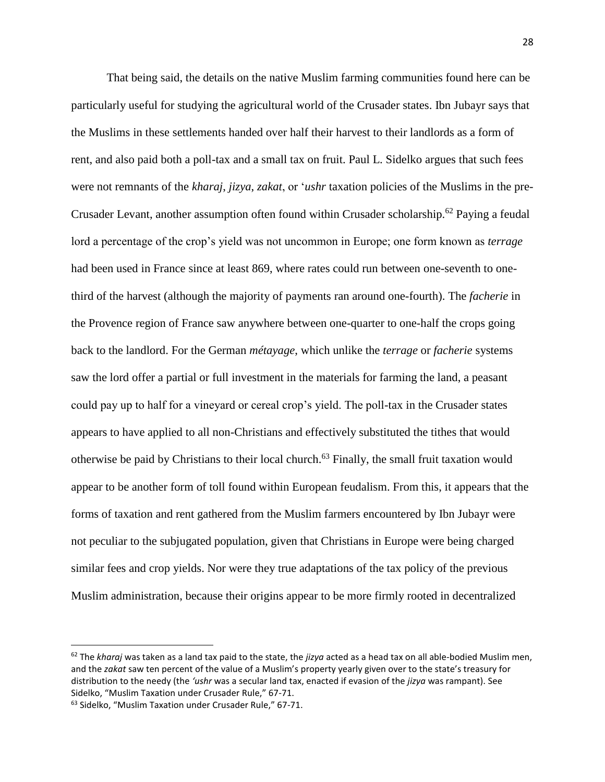That being said, the details on the native Muslim farming communities found here can be particularly useful for studying the agricultural world of the Crusader states. Ibn Jubayr says that the Muslims in these settlements handed over half their harvest to their landlords as a form of rent, and also paid both a poll-tax and a small tax on fruit. Paul L. Sidelko argues that such fees were not remnants of the *kharaj*, *jizya*, *zakat*, or '*ushr* taxation policies of the Muslims in the pre-Crusader Levant, another assumption often found within Crusader scholarship.<sup>62</sup> Paying a feudal lord a percentage of the crop's yield was not uncommon in Europe; one form known as *terrage*  had been used in France since at least 869, where rates could run between one-seventh to onethird of the harvest (although the majority of payments ran around one-fourth). The *facherie* in the Provence region of France saw anywhere between one-quarter to one-half the crops going back to the landlord. For the German *métayage*, which unlike the *terrage* or *facherie* systems saw the lord offer a partial or full investment in the materials for farming the land, a peasant could pay up to half for a vineyard or cereal crop's yield. The poll-tax in the Crusader states appears to have applied to all non-Christians and effectively substituted the tithes that would otherwise be paid by Christians to their local church.<sup>63</sup> Finally, the small fruit taxation would appear to be another form of toll found within European feudalism. From this, it appears that the forms of taxation and rent gathered from the Muslim farmers encountered by Ibn Jubayr were not peculiar to the subjugated population, given that Christians in Europe were being charged similar fees and crop yields. Nor were they true adaptations of the tax policy of the previous Muslim administration, because their origins appear to be more firmly rooted in decentralized

<sup>62</sup> The *kharaj* was taken as a land tax paid to the state, the *jizya* acted as a head tax on all able-bodied Muslim men, and the *zakat* saw ten percent of the value of a Muslim's property yearly given over to the state's treasury for distribution to the needy (the *'ushr* was a secular land tax, enacted if evasion of the *jizya* was rampant). See Sidelko, "Muslim Taxation under Crusader Rule," 67-71.

<sup>63</sup> Sidelko, "Muslim Taxation under Crusader Rule," 67-71.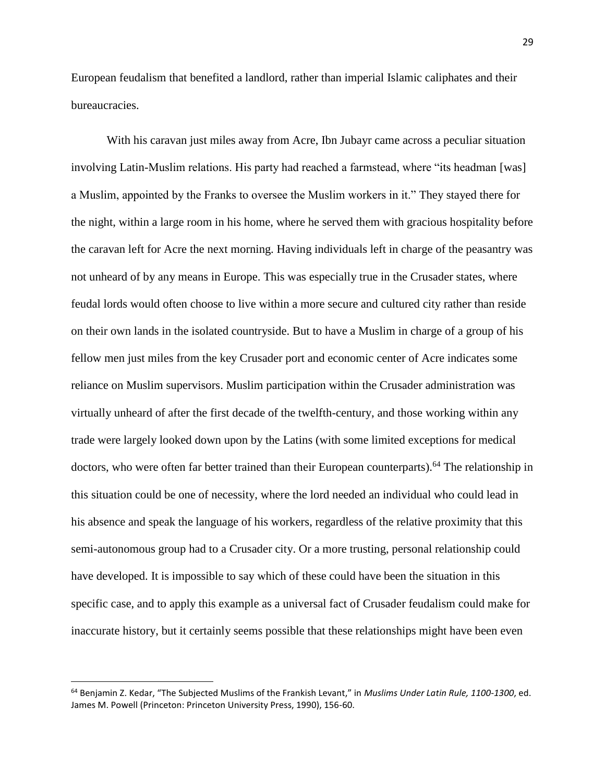European feudalism that benefited a landlord, rather than imperial Islamic caliphates and their bureaucracies.

With his caravan just miles away from Acre, Ibn Jubayr came across a peculiar situation involving Latin-Muslim relations. His party had reached a farmstead, where "its headman [was] a Muslim, appointed by the Franks to oversee the Muslim workers in it." They stayed there for the night, within a large room in his home, where he served them with gracious hospitality before the caravan left for Acre the next morning. Having individuals left in charge of the peasantry was not unheard of by any means in Europe. This was especially true in the Crusader states, where feudal lords would often choose to live within a more secure and cultured city rather than reside on their own lands in the isolated countryside. But to have a Muslim in charge of a group of his fellow men just miles from the key Crusader port and economic center of Acre indicates some reliance on Muslim supervisors. Muslim participation within the Crusader administration was virtually unheard of after the first decade of the twelfth-century, and those working within any trade were largely looked down upon by the Latins (with some limited exceptions for medical doctors, who were often far better trained than their European counterparts).<sup>64</sup> The relationship in this situation could be one of necessity, where the lord needed an individual who could lead in his absence and speak the language of his workers, regardless of the relative proximity that this semi-autonomous group had to a Crusader city. Or a more trusting, personal relationship could have developed. It is impossible to say which of these could have been the situation in this specific case, and to apply this example as a universal fact of Crusader feudalism could make for inaccurate history, but it certainly seems possible that these relationships might have been even

<sup>64</sup> Benjamin Z. Kedar, "The Subjected Muslims of the Frankish Levant," in *Muslims Under Latin Rule, 1100-1300*, ed. James M. Powell (Princeton: Princeton University Press, 1990), 156-60.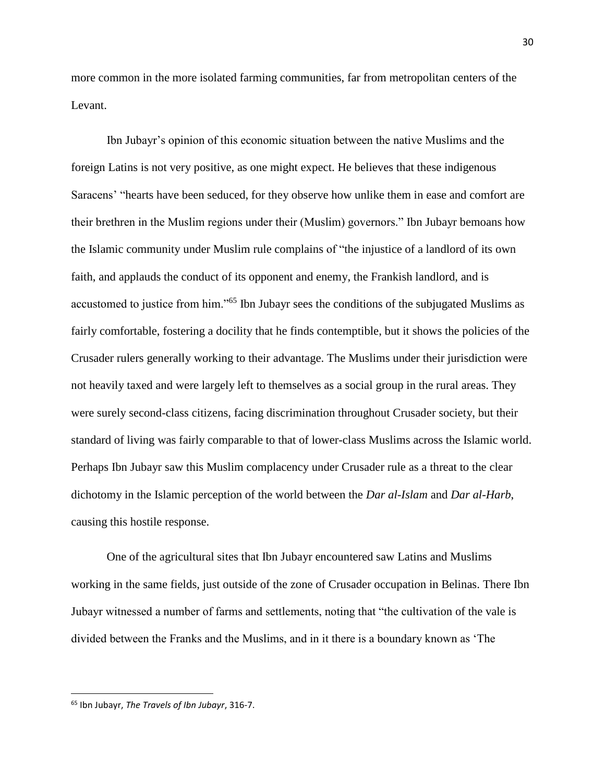more common in the more isolated farming communities, far from metropolitan centers of the Levant.

Ibn Jubayr's opinion of this economic situation between the native Muslims and the foreign Latins is not very positive, as one might expect. He believes that these indigenous Saracens' "hearts have been seduced, for they observe how unlike them in ease and comfort are their brethren in the Muslim regions under their (Muslim) governors." Ibn Jubayr bemoans how the Islamic community under Muslim rule complains of "the injustice of a landlord of its own faith, and applauds the conduct of its opponent and enemy, the Frankish landlord, and is accustomed to justice from him."<sup>65</sup> Ibn Jubayr sees the conditions of the subjugated Muslims as fairly comfortable, fostering a docility that he finds contemptible, but it shows the policies of the Crusader rulers generally working to their advantage. The Muslims under their jurisdiction were not heavily taxed and were largely left to themselves as a social group in the rural areas. They were surely second-class citizens, facing discrimination throughout Crusader society, but their standard of living was fairly comparable to that of lower-class Muslims across the Islamic world. Perhaps Ibn Jubayr saw this Muslim complacency under Crusader rule as a threat to the clear dichotomy in the Islamic perception of the world between the *Dar al-Islam* and *Dar al-Harb*, causing this hostile response.

One of the agricultural sites that Ibn Jubayr encountered saw Latins and Muslims working in the same fields, just outside of the zone of Crusader occupation in Belinas. There Ibn Jubayr witnessed a number of farms and settlements, noting that "the cultivation of the vale is divided between the Franks and the Muslims, and in it there is a boundary known as 'The

<sup>65</sup> Ibn Jubayr, *The Travels of Ibn Jubayr*, 316-7.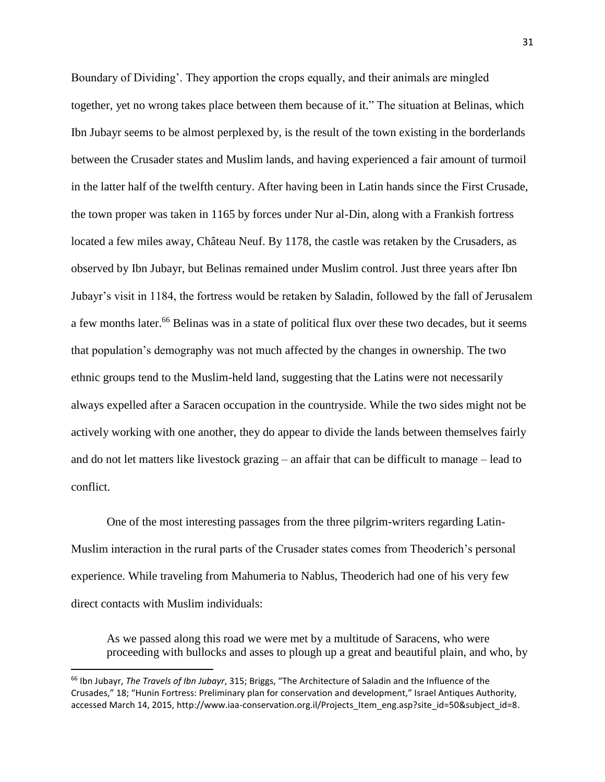Boundary of Dividing'. They apportion the crops equally, and their animals are mingled together, yet no wrong takes place between them because of it." The situation at Belinas, which Ibn Jubayr seems to be almost perplexed by, is the result of the town existing in the borderlands between the Crusader states and Muslim lands, and having experienced a fair amount of turmoil in the latter half of the twelfth century. After having been in Latin hands since the First Crusade, the town proper was taken in 1165 by forces under Nur al-Din, along with a Frankish fortress located a few miles away, Château Neuf. By 1178, the castle was retaken by the Crusaders, as observed by Ibn Jubayr, but Belinas remained under Muslim control. Just three years after Ibn Jubayr's visit in 1184, the fortress would be retaken by Saladin, followed by the fall of Jerusalem a few months later.<sup>66</sup> Belinas was in a state of political flux over these two decades, but it seems that population's demography was not much affected by the changes in ownership. The two ethnic groups tend to the Muslim-held land, suggesting that the Latins were not necessarily always expelled after a Saracen occupation in the countryside. While the two sides might not be actively working with one another, they do appear to divide the lands between themselves fairly and do not let matters like livestock grazing – an affair that can be difficult to manage – lead to conflict.

One of the most interesting passages from the three pilgrim-writers regarding Latin-Muslim interaction in the rural parts of the Crusader states comes from Theoderich's personal experience. While traveling from Mahumeria to Nablus, Theoderich had one of his very few direct contacts with Muslim individuals:

As we passed along this road we were met by a multitude of Saracens, who were proceeding with bullocks and asses to plough up a great and beautiful plain, and who, by

<sup>66</sup> Ibn Jubayr, *The Travels of Ibn Jubayr*, 315; Briggs, "The Architecture of Saladin and the Influence of the Crusades," 18; "Hunin Fortress: Preliminary plan for conservation and development," Israel Antiques Authority, accessed March 14, 2015, http://www.iaa-conservation.org.il/Projects\_Item\_eng.asp?site\_id=50&subject\_id=8.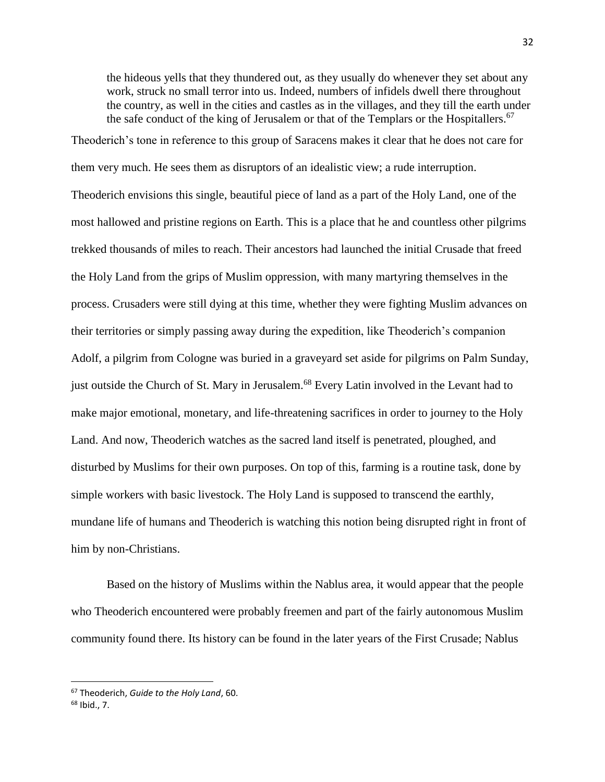the hideous yells that they thundered out, as they usually do whenever they set about any work, struck no small terror into us. Indeed, numbers of infidels dwell there throughout the country, as well in the cities and castles as in the villages, and they till the earth under the safe conduct of the king of Jerusalem or that of the Templars or the Hospitallers.<sup>67</sup>

Theoderich's tone in reference to this group of Saracens makes it clear that he does not care for them very much. He sees them as disruptors of an idealistic view; a rude interruption. Theoderich envisions this single, beautiful piece of land as a part of the Holy Land, one of the most hallowed and pristine regions on Earth. This is a place that he and countless other pilgrims trekked thousands of miles to reach. Their ancestors had launched the initial Crusade that freed the Holy Land from the grips of Muslim oppression, with many martyring themselves in the process. Crusaders were still dying at this time, whether they were fighting Muslim advances on their territories or simply passing away during the expedition, like Theoderich's companion Adolf, a pilgrim from Cologne was buried in a graveyard set aside for pilgrims on Palm Sunday, just outside the Church of St. Mary in Jerusalem.<sup>68</sup> Every Latin involved in the Levant had to make major emotional, monetary, and life-threatening sacrifices in order to journey to the Holy Land. And now, Theoderich watches as the sacred land itself is penetrated, ploughed, and disturbed by Muslims for their own purposes. On top of this, farming is a routine task, done by simple workers with basic livestock. The Holy Land is supposed to transcend the earthly, mundane life of humans and Theoderich is watching this notion being disrupted right in front of him by non-Christians.

Based on the history of Muslims within the Nablus area, it would appear that the people who Theoderich encountered were probably freemen and part of the fairly autonomous Muslim community found there. Its history can be found in the later years of the First Crusade; Nablus

<sup>67</sup> Theoderich, *Guide to the Holy Land*, 60.

 $68$  Ibid., 7.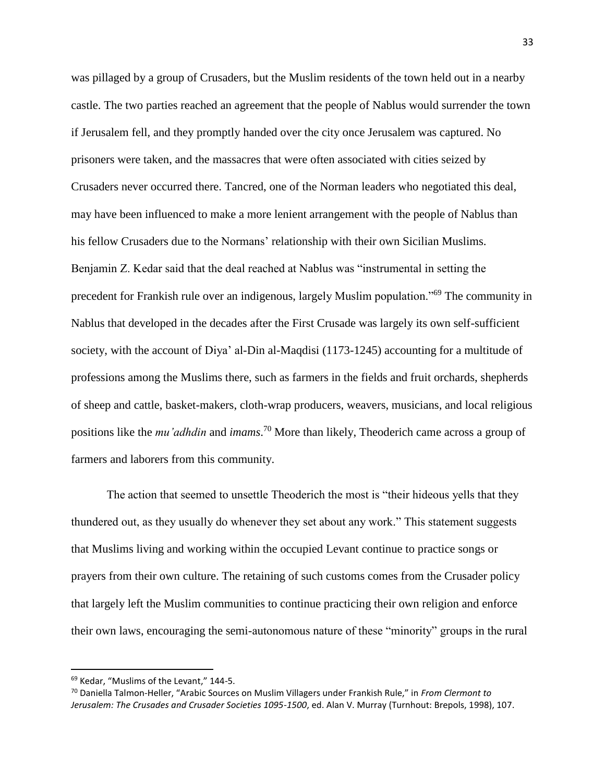was pillaged by a group of Crusaders, but the Muslim residents of the town held out in a nearby castle. The two parties reached an agreement that the people of Nablus would surrender the town if Jerusalem fell, and they promptly handed over the city once Jerusalem was captured. No prisoners were taken, and the massacres that were often associated with cities seized by Crusaders never occurred there. Tancred, one of the Norman leaders who negotiated this deal, may have been influenced to make a more lenient arrangement with the people of Nablus than his fellow Crusaders due to the Normans' relationship with their own Sicilian Muslims. Benjamin Z. Kedar said that the deal reached at Nablus was "instrumental in setting the precedent for Frankish rule over an indigenous, largely Muslim population."<sup>69</sup> The community in Nablus that developed in the decades after the First Crusade was largely its own self-sufficient society, with the account of Diya' al-Din al-Maqdisi (1173-1245) accounting for a multitude of professions among the Muslims there, such as farmers in the fields and fruit orchards, shepherds of sheep and cattle, basket-makers, cloth-wrap producers, weavers, musicians, and local religious positions like the *mu'adhdin* and *imams*. <sup>70</sup> More than likely, Theoderich came across a group of farmers and laborers from this community.

The action that seemed to unsettle Theoderich the most is "their hideous yells that they thundered out, as they usually do whenever they set about any work." This statement suggests that Muslims living and working within the occupied Levant continue to practice songs or prayers from their own culture. The retaining of such customs comes from the Crusader policy that largely left the Muslim communities to continue practicing their own religion and enforce their own laws, encouraging the semi-autonomous nature of these "minority" groups in the rural

<sup>69</sup> Kedar, "Muslims of the Levant," 144-5.

<sup>70</sup> Daniella Talmon-Heller, "Arabic Sources on Muslim Villagers under Frankish Rule," in *From Clermont to Jerusalem: The Crusades and Crusader Societies 1095-1500*, ed. Alan V. Murray (Turnhout: Brepols, 1998), 107.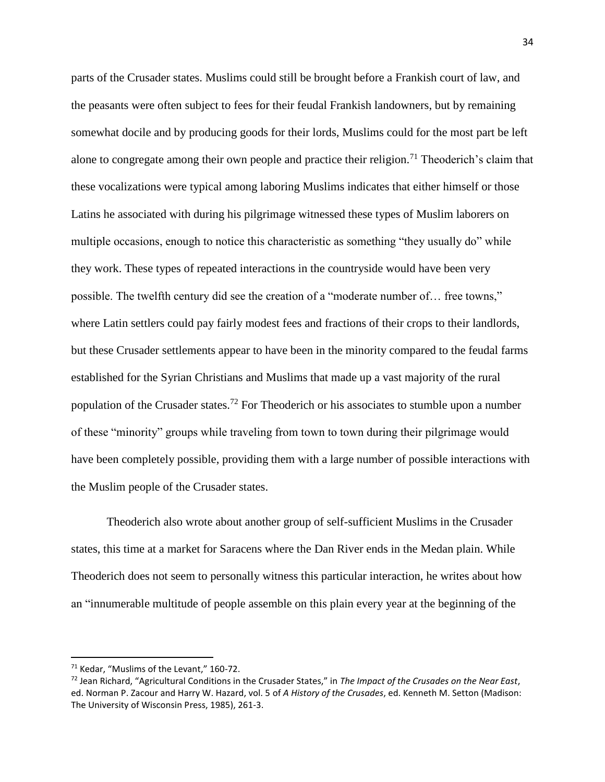parts of the Crusader states. Muslims could still be brought before a Frankish court of law, and the peasants were often subject to fees for their feudal Frankish landowners, but by remaining somewhat docile and by producing goods for their lords, Muslims could for the most part be left alone to congregate among their own people and practice their religion.<sup>71</sup> Theoderich's claim that these vocalizations were typical among laboring Muslims indicates that either himself or those Latins he associated with during his pilgrimage witnessed these types of Muslim laborers on multiple occasions, enough to notice this characteristic as something "they usually do" while they work. These types of repeated interactions in the countryside would have been very possible. The twelfth century did see the creation of a "moderate number of… free towns," where Latin settlers could pay fairly modest fees and fractions of their crops to their landlords, but these Crusader settlements appear to have been in the minority compared to the feudal farms established for the Syrian Christians and Muslims that made up a vast majority of the rural population of the Crusader states.<sup>72</sup> For Theoderich or his associates to stumble upon a number of these "minority" groups while traveling from town to town during their pilgrimage would have been completely possible, providing them with a large number of possible interactions with the Muslim people of the Crusader states.

Theoderich also wrote about another group of self-sufficient Muslims in the Crusader states, this time at a market for Saracens where the Dan River ends in the Medan plain. While Theoderich does not seem to personally witness this particular interaction, he writes about how an "innumerable multitude of people assemble on this plain every year at the beginning of the

<sup>71</sup> Kedar, "Muslims of the Levant," 160-72.

<sup>72</sup> Jean Richard, "Agricultural Conditions in the Crusader States," in *The Impact of the Crusades on the Near East*, ed. Norman P. Zacour and Harry W. Hazard, vol. 5 of *A History of the Crusades*, ed. Kenneth M. Setton (Madison: The University of Wisconsin Press, 1985), 261-3.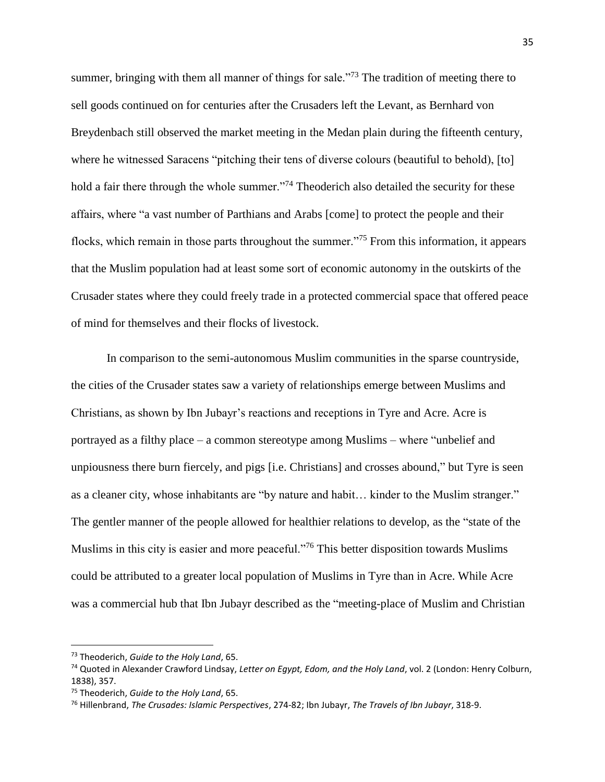summer, bringing with them all manner of things for sale."<sup>73</sup> The tradition of meeting there to sell goods continued on for centuries after the Crusaders left the Levant, as Bernhard von Breydenbach still observed the market meeting in the Medan plain during the fifteenth century, where he witnessed Saracens "pitching their tens of diverse colours (beautiful to behold), [to] hold a fair there through the whole summer."<sup>74</sup> Theoderich also detailed the security for these affairs, where "a vast number of Parthians and Arabs [come] to protect the people and their flocks, which remain in those parts throughout the summer."<sup>75</sup> From this information, it appears that the Muslim population had at least some sort of economic autonomy in the outskirts of the Crusader states where they could freely trade in a protected commercial space that offered peace of mind for themselves and their flocks of livestock.

In comparison to the semi-autonomous Muslim communities in the sparse countryside, the cities of the Crusader states saw a variety of relationships emerge between Muslims and Christians, as shown by Ibn Jubayr's reactions and receptions in Tyre and Acre. Acre is portrayed as a filthy place – a common stereotype among Muslims – where "unbelief and unpiousness there burn fiercely, and pigs [i.e. Christians] and crosses abound," but Tyre is seen as a cleaner city, whose inhabitants are "by nature and habit… kinder to the Muslim stranger." The gentler manner of the people allowed for healthier relations to develop, as the "state of the Muslims in this city is easier and more peaceful."<sup>76</sup> This better disposition towards Muslims could be attributed to a greater local population of Muslims in Tyre than in Acre. While Acre was a commercial hub that Ibn Jubayr described as the "meeting-place of Muslim and Christian

<sup>73</sup> Theoderich, *Guide to the Holy Land*, 65.

<sup>74</sup> Quoted in Alexander Crawford Lindsay, *Letter on Egypt, Edom, and the Holy Land*, vol. 2 (London: Henry Colburn, 1838), 357.

<sup>75</sup> Theoderich, *Guide to the Holy Land*, 65.

<sup>76</sup> Hillenbrand, *The Crusades: Islamic Perspectives*, 274-82; Ibn Jubayr, *The Travels of Ibn Jubayr*, 318-9.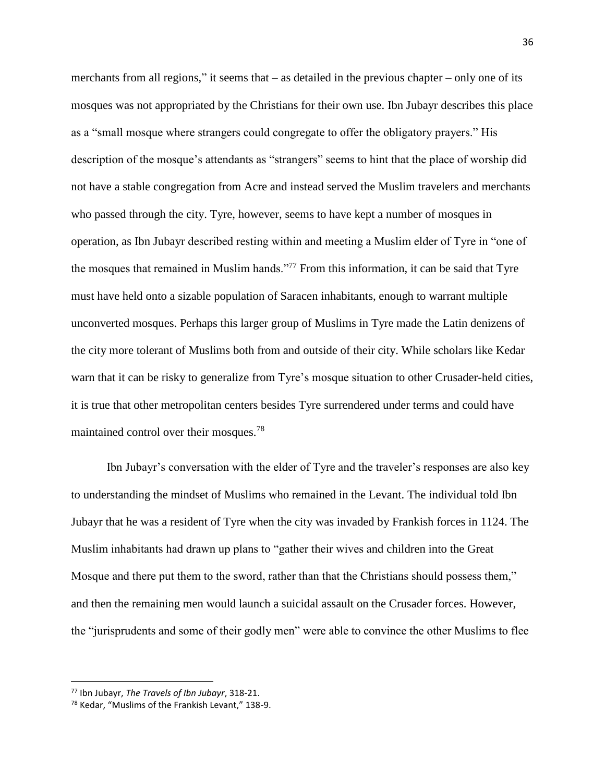merchants from all regions," it seems that – as detailed in the previous chapter – only one of its mosques was not appropriated by the Christians for their own use. Ibn Jubayr describes this place as a "small mosque where strangers could congregate to offer the obligatory prayers." His description of the mosque's attendants as "strangers" seems to hint that the place of worship did not have a stable congregation from Acre and instead served the Muslim travelers and merchants who passed through the city. Tyre, however, seems to have kept a number of mosques in operation, as Ibn Jubayr described resting within and meeting a Muslim elder of Tyre in "one of the mosques that remained in Muslim hands."<sup>77</sup> From this information, it can be said that Tyre must have held onto a sizable population of Saracen inhabitants, enough to warrant multiple unconverted mosques. Perhaps this larger group of Muslims in Tyre made the Latin denizens of the city more tolerant of Muslims both from and outside of their city. While scholars like Kedar warn that it can be risky to generalize from Tyre's mosque situation to other Crusader-held cities, it is true that other metropolitan centers besides Tyre surrendered under terms and could have maintained control over their mosques.<sup>78</sup>

Ibn Jubayr's conversation with the elder of Tyre and the traveler's responses are also key to understanding the mindset of Muslims who remained in the Levant. The individual told Ibn Jubayr that he was a resident of Tyre when the city was invaded by Frankish forces in 1124. The Muslim inhabitants had drawn up plans to "gather their wives and children into the Great Mosque and there put them to the sword, rather than that the Christians should possess them," and then the remaining men would launch a suicidal assault on the Crusader forces. However, the "jurisprudents and some of their godly men" were able to convince the other Muslims to flee

<sup>77</sup> Ibn Jubayr, *The Travels of Ibn Jubayr*, 318-21.

<sup>78</sup> Kedar, "Muslims of the Frankish Levant," 138-9.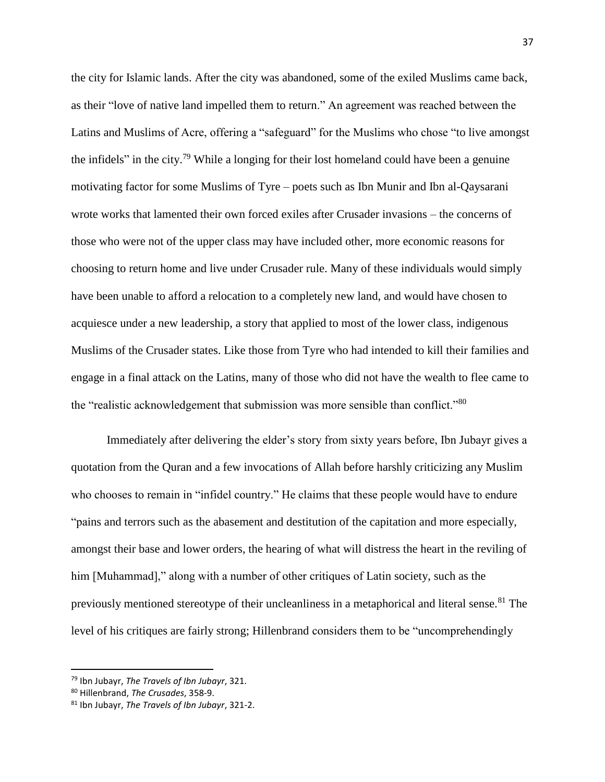the city for Islamic lands. After the city was abandoned, some of the exiled Muslims came back, as their "love of native land impelled them to return." An agreement was reached between the Latins and Muslims of Acre, offering a "safeguard" for the Muslims who chose "to live amongst the infidels" in the city.<sup>79</sup> While a longing for their lost homeland could have been a genuine motivating factor for some Muslims of Tyre – poets such as Ibn Munir and Ibn al-Qaysarani wrote works that lamented their own forced exiles after Crusader invasions – the concerns of those who were not of the upper class may have included other, more economic reasons for choosing to return home and live under Crusader rule. Many of these individuals would simply have been unable to afford a relocation to a completely new land, and would have chosen to acquiesce under a new leadership, a story that applied to most of the lower class, indigenous Muslims of the Crusader states. Like those from Tyre who had intended to kill their families and engage in a final attack on the Latins, many of those who did not have the wealth to flee came to the "realistic acknowledgement that submission was more sensible than conflict."<sup>80</sup>

Immediately after delivering the elder's story from sixty years before, Ibn Jubayr gives a quotation from the Quran and a few invocations of Allah before harshly criticizing any Muslim who chooses to remain in "infidel country." He claims that these people would have to endure "pains and terrors such as the abasement and destitution of the capitation and more especially, amongst their base and lower orders, the hearing of what will distress the heart in the reviling of him [Muhammad]," along with a number of other critiques of Latin society, such as the previously mentioned stereotype of their uncleanliness in a metaphorical and literal sense.<sup>81</sup> The level of his critiques are fairly strong; Hillenbrand considers them to be "uncomprehendingly

<sup>79</sup> Ibn Jubayr, *The Travels of Ibn Jubayr*, 321.

<sup>80</sup> Hillenbrand, *The Crusades*, 358-9.

<sup>81</sup> Ibn Jubayr, *The Travels of Ibn Jubayr*, 321-2.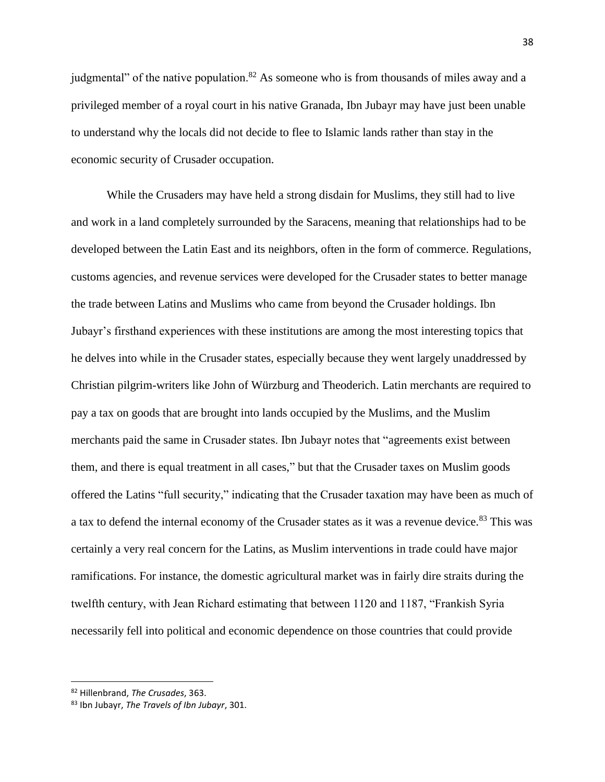judgmental" of the native population.<sup>82</sup> As someone who is from thousands of miles away and a privileged member of a royal court in his native Granada, Ibn Jubayr may have just been unable to understand why the locals did not decide to flee to Islamic lands rather than stay in the economic security of Crusader occupation.

While the Crusaders may have held a strong disdain for Muslims, they still had to live and work in a land completely surrounded by the Saracens, meaning that relationships had to be developed between the Latin East and its neighbors, often in the form of commerce. Regulations, customs agencies, and revenue services were developed for the Crusader states to better manage the trade between Latins and Muslims who came from beyond the Crusader holdings. Ibn Jubayr's firsthand experiences with these institutions are among the most interesting topics that he delves into while in the Crusader states, especially because they went largely unaddressed by Christian pilgrim-writers like John of Würzburg and Theoderich. Latin merchants are required to pay a tax on goods that are brought into lands occupied by the Muslims, and the Muslim merchants paid the same in Crusader states. Ibn Jubayr notes that "agreements exist between them, and there is equal treatment in all cases," but that the Crusader taxes on Muslim goods offered the Latins "full security," indicating that the Crusader taxation may have been as much of a tax to defend the internal economy of the Crusader states as it was a revenue device.<sup>83</sup> This was certainly a very real concern for the Latins, as Muslim interventions in trade could have major ramifications. For instance, the domestic agricultural market was in fairly dire straits during the twelfth century, with Jean Richard estimating that between 1120 and 1187, "Frankish Syria necessarily fell into political and economic dependence on those countries that could provide

<sup>82</sup> Hillenbrand, *The Crusades*, 363.

<sup>83</sup> Ibn Jubayr, *The Travels of Ibn Jubayr*, 301.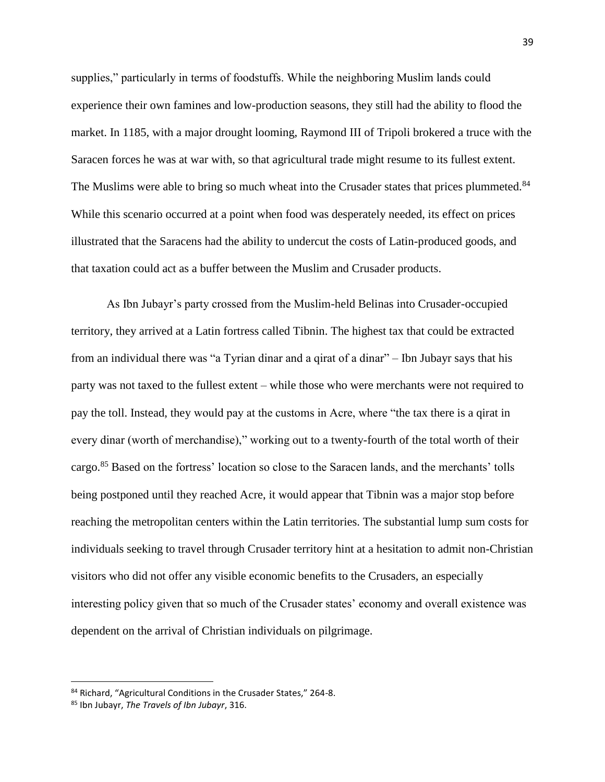supplies," particularly in terms of foodstuffs. While the neighboring Muslim lands could experience their own famines and low-production seasons, they still had the ability to flood the market. In 1185, with a major drought looming, Raymond III of Tripoli brokered a truce with the Saracen forces he was at war with, so that agricultural trade might resume to its fullest extent. The Muslims were able to bring so much wheat into the Crusader states that prices plummeted.<sup>84</sup> While this scenario occurred at a point when food was desperately needed, its effect on prices illustrated that the Saracens had the ability to undercut the costs of Latin-produced goods, and that taxation could act as a buffer between the Muslim and Crusader products.

As Ibn Jubayr's party crossed from the Muslim-held Belinas into Crusader-occupied territory, they arrived at a Latin fortress called Tibnin. The highest tax that could be extracted from an individual there was "a Tyrian dinar and a qirat of a dinar" – Ibn Jubayr says that his party was not taxed to the fullest extent – while those who were merchants were not required to pay the toll. Instead, they would pay at the customs in Acre, where "the tax there is a qirat in every dinar (worth of merchandise)," working out to a twenty-fourth of the total worth of their cargo.<sup>85</sup> Based on the fortress' location so close to the Saracen lands, and the merchants' tolls being postponed until they reached Acre, it would appear that Tibnin was a major stop before reaching the metropolitan centers within the Latin territories. The substantial lump sum costs for individuals seeking to travel through Crusader territory hint at a hesitation to admit non-Christian visitors who did not offer any visible economic benefits to the Crusaders, an especially interesting policy given that so much of the Crusader states' economy and overall existence was dependent on the arrival of Christian individuals on pilgrimage.

<sup>84</sup> Richard, "Agricultural Conditions in the Crusader States," 264-8.

<sup>85</sup> Ibn Jubayr, *The Travels of Ibn Jubayr*, 316.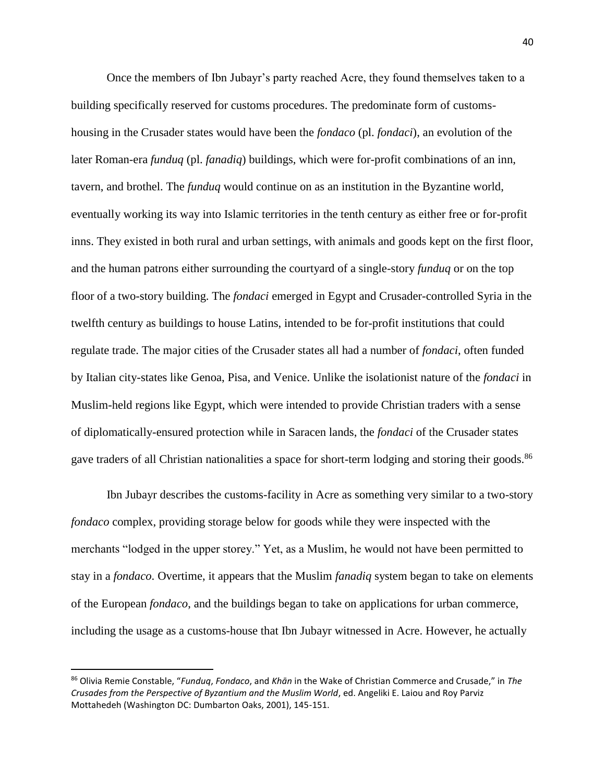Once the members of Ibn Jubayr's party reached Acre, they found themselves taken to a building specifically reserved for customs procedures. The predominate form of customshousing in the Crusader states would have been the *fondaco* (pl. *fondaci*), an evolution of the later Roman-era *funduq* (pl. *fanadiq*) buildings, which were for-profit combinations of an inn, tavern, and brothel. The *funduq* would continue on as an institution in the Byzantine world, eventually working its way into Islamic territories in the tenth century as either free or for-profit inns. They existed in both rural and urban settings, with animals and goods kept on the first floor, and the human patrons either surrounding the courtyard of a single-story *funduq* or on the top floor of a two-story building. The *fondaci* emerged in Egypt and Crusader-controlled Syria in the twelfth century as buildings to house Latins, intended to be for-profit institutions that could regulate trade. The major cities of the Crusader states all had a number of *fondaci*, often funded by Italian city-states like Genoa, Pisa, and Venice. Unlike the isolationist nature of the *fondaci* in Muslim-held regions like Egypt, which were intended to provide Christian traders with a sense of diplomatically-ensured protection while in Saracen lands, the *fondaci* of the Crusader states gave traders of all Christian nationalities a space for short-term lodging and storing their goods.<sup>86</sup>

Ibn Jubayr describes the customs-facility in Acre as something very similar to a two-story *fondaco* complex, providing storage below for goods while they were inspected with the merchants "lodged in the upper storey." Yet, as a Muslim, he would not have been permitted to stay in a *fondaco*. Overtime, it appears that the Muslim *fanadiq* system began to take on elements of the European *fondaco*, and the buildings began to take on applications for urban commerce, including the usage as a customs-house that Ibn Jubayr witnessed in Acre. However, he actually

<sup>86</sup> Olivia Remie Constable, "*Funduq*, *Fondaco*, and *Khān* in the Wake of Christian Commerce and Crusade," in *The Crusades from the Perspective of Byzantium and the Muslim World*, ed. Angeliki E. Laiou and Roy Parviz Mottahedeh (Washington DC: Dumbarton Oaks, 2001), 145-151.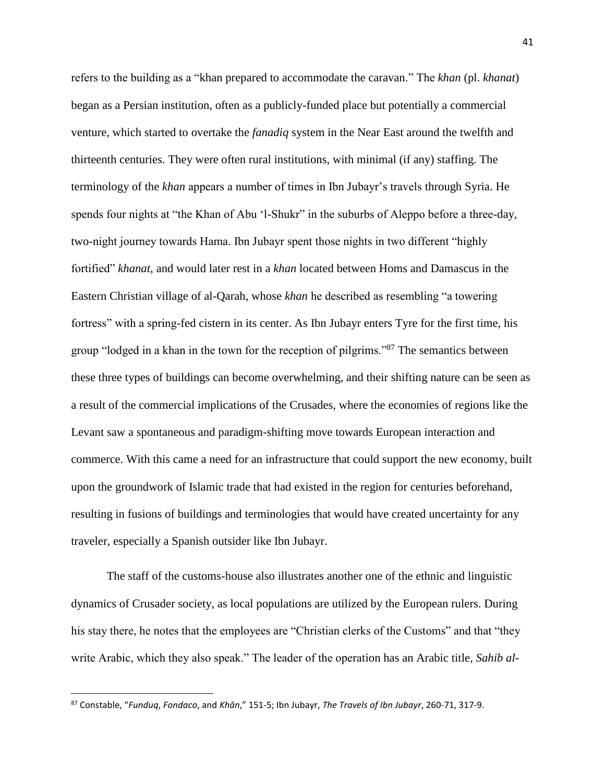refers to the building as a "khan prepared to accommodate the caravan." The *khan* (pl. *khanat*) began as a Persian institution, often as a publicly-funded place but potentially a commercial venture, which started to overtake the *fanadiq* system in the Near East around the twelfth and thirteenth centuries. They were often rural institutions, with minimal (if any) staffing. The terminology of the *khan* appears a number of times in Ibn Jubayr's travels through Syria. He spends four nights at "the Khan of Abu 'l-Shukr" in the suburbs of Aleppo before a three-day, two-night journey towards Hama. Ibn Jubayr spent those nights in two different "highly fortified" *khanat*, and would later rest in a *khan* located between Homs and Damascus in the Eastern Christian village of al-Qarah, whose *khan* he described as resembling "a towering fortress" with a spring-fed cistern in its center. As Ibn Jubayr enters Tyre for the first time, his group "lodged in a khan in the town for the reception of pilgrims."<sup>87</sup> The semantics between these three types of buildings can become overwhelming, and their shifting nature can be seen as a result of the commercial implications of the Crusades, where the economies of regions like the Levant saw a spontaneous and paradigm-shifting move towards European interaction and commerce. With this came a need for an infrastructure that could support the new economy, built upon the groundwork of Islamic trade that had existed in the region for centuries beforehand, resulting in fusions of buildings and terminologies that would have created uncertainty for any traveler, especially a Spanish outsider like Ibn Jubayr.

The staff of the customs-house also illustrates another one of the ethnic and linguistic dynamics of Crusader society, as local populations are utilized by the European rulers. During his stay there, he notes that the employees are "Christian clerks of the Customs" and that "they write Arabic, which they also speak." The leader of the operation has an Arabic title, *Sahib al-*

<sup>87</sup> Constable, "*Funduq*, *Fondaco*, and *Khān*," 151-5; Ibn Jubayr, *The Travels of Ibn Jubayr*, 260-71, 317-9.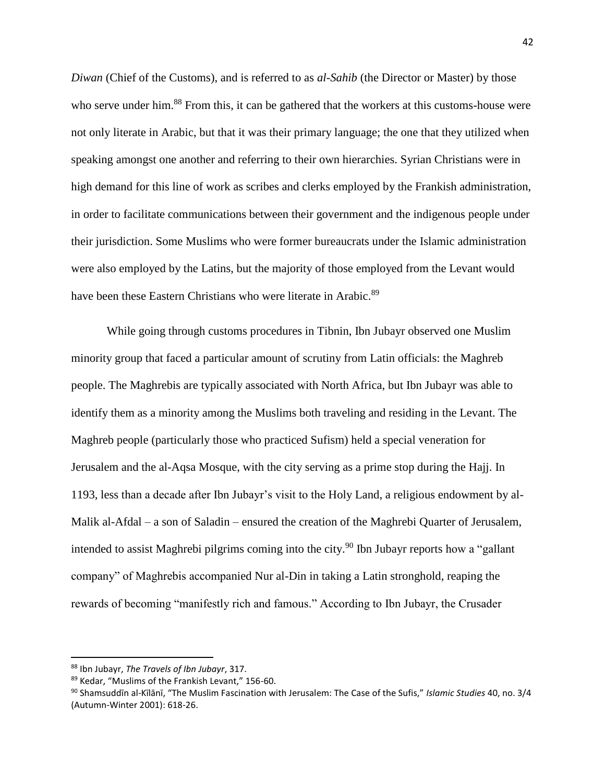*Diwan* (Chief of the Customs), and is referred to as *al-Sahib* (the Director or Master) by those who serve under him.<sup>88</sup> From this, it can be gathered that the workers at this customs-house were not only literate in Arabic, but that it was their primary language; the one that they utilized when speaking amongst one another and referring to their own hierarchies. Syrian Christians were in high demand for this line of work as scribes and clerks employed by the Frankish administration, in order to facilitate communications between their government and the indigenous people under their jurisdiction. Some Muslims who were former bureaucrats under the Islamic administration were also employed by the Latins, but the majority of those employed from the Levant would have been these Eastern Christians who were literate in Arabic.<sup>89</sup>

While going through customs procedures in Tibnin, Ibn Jubayr observed one Muslim minority group that faced a particular amount of scrutiny from Latin officials: the Maghreb people. The Maghrebis are typically associated with North Africa, but Ibn Jubayr was able to identify them as a minority among the Muslims both traveling and residing in the Levant. The Maghreb people (particularly those who practiced Sufism) held a special veneration for Jerusalem and the al-Aqsa Mosque, with the city serving as a prime stop during the Hajj. In 1193, less than a decade after Ibn Jubayr's visit to the Holy Land, a religious endowment by al-Malik al-Afdal – a son of Saladin – ensured the creation of the Maghrebi Quarter of Jerusalem, intended to assist Maghrebi pilgrims coming into the city.<sup>90</sup> Ibn Jubayr reports how a "gallant" company" of Maghrebis accompanied Nur al-Din in taking a Latin stronghold, reaping the rewards of becoming "manifestly rich and famous." According to Ibn Jubayr, the Crusader

<sup>88</sup> Ibn Jubayr, *The Travels of Ibn Jubayr*, 317.

<sup>89</sup> Kedar, "Muslims of the Frankish Levant," 156-60.

<sup>90</sup> Shamsuddīn al-Kīlānī, "The Muslim Fascination with Jerusalem: The Case of the Sufis," *Islamic Studies* 40, no. 3/4 (Autumn-Winter 2001): 618-26.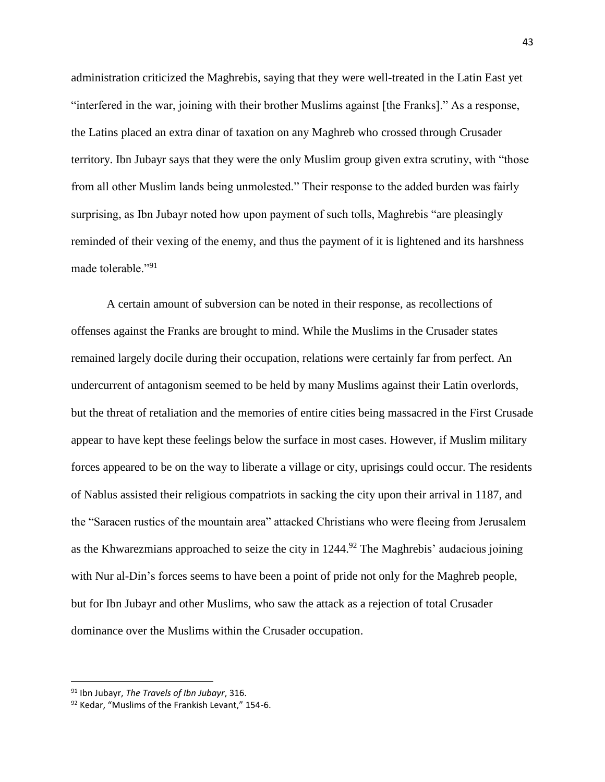administration criticized the Maghrebis, saying that they were well-treated in the Latin East yet "interfered in the war, joining with their brother Muslims against [the Franks]." As a response, the Latins placed an extra dinar of taxation on any Maghreb who crossed through Crusader territory. Ibn Jubayr says that they were the only Muslim group given extra scrutiny, with "those from all other Muslim lands being unmolested." Their response to the added burden was fairly surprising, as Ibn Jubayr noted how upon payment of such tolls, Maghrebis "are pleasingly reminded of their vexing of the enemy, and thus the payment of it is lightened and its harshness made tolerable "91"

A certain amount of subversion can be noted in their response, as recollections of offenses against the Franks are brought to mind. While the Muslims in the Crusader states remained largely docile during their occupation, relations were certainly far from perfect. An undercurrent of antagonism seemed to be held by many Muslims against their Latin overlords, but the threat of retaliation and the memories of entire cities being massacred in the First Crusade appear to have kept these feelings below the surface in most cases. However, if Muslim military forces appeared to be on the way to liberate a village or city, uprisings could occur. The residents of Nablus assisted their religious compatriots in sacking the city upon their arrival in 1187, and the "Saracen rustics of the mountain area" attacked Christians who were fleeing from Jerusalem as the Khwarezmians approached to seize the city in  $1244<sup>92</sup>$  The Maghrebis' audacious joining with Nur al-Din's forces seems to have been a point of pride not only for the Maghreb people, but for Ibn Jubayr and other Muslims, who saw the attack as a rejection of total Crusader dominance over the Muslims within the Crusader occupation.

<sup>91</sup> Ibn Jubayr, *The Travels of Ibn Jubayr*, 316.

<sup>92</sup> Kedar, "Muslims of the Frankish Levant," 154-6.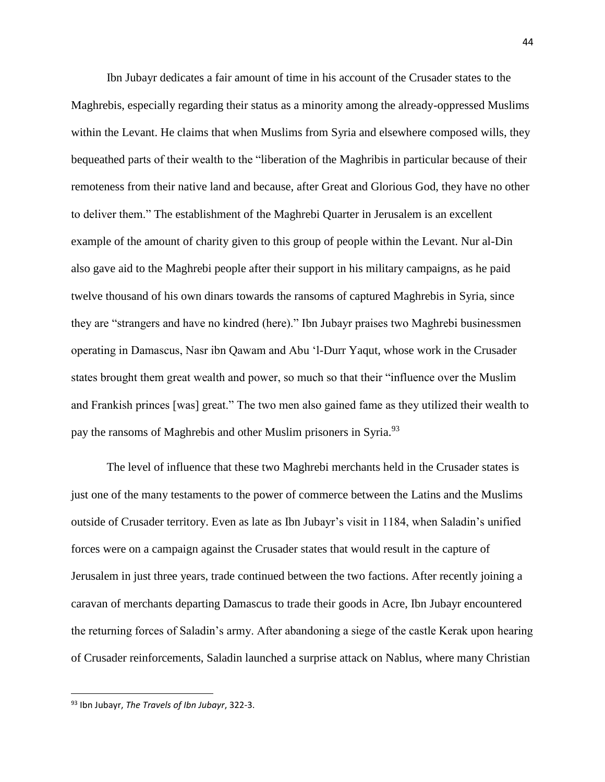Ibn Jubayr dedicates a fair amount of time in his account of the Crusader states to the Maghrebis, especially regarding their status as a minority among the already-oppressed Muslims within the Levant. He claims that when Muslims from Syria and elsewhere composed wills, they bequeathed parts of their wealth to the "liberation of the Maghribis in particular because of their remoteness from their native land and because, after Great and Glorious God, they have no other to deliver them." The establishment of the Maghrebi Quarter in Jerusalem is an excellent example of the amount of charity given to this group of people within the Levant. Nur al-Din also gave aid to the Maghrebi people after their support in his military campaigns, as he paid twelve thousand of his own dinars towards the ransoms of captured Maghrebis in Syria, since they are "strangers and have no kindred (here)." Ibn Jubayr praises two Maghrebi businessmen operating in Damascus, Nasr ibn Qawam and Abu 'l-Durr Yaqut, whose work in the Crusader states brought them great wealth and power, so much so that their "influence over the Muslim and Frankish princes [was] great." The two men also gained fame as they utilized their wealth to pay the ransoms of Maghrebis and other Muslim prisoners in Syria.<sup>93</sup>

The level of influence that these two Maghrebi merchants held in the Crusader states is just one of the many testaments to the power of commerce between the Latins and the Muslims outside of Crusader territory. Even as late as Ibn Jubayr's visit in 1184, when Saladin's unified forces were on a campaign against the Crusader states that would result in the capture of Jerusalem in just three years, trade continued between the two factions. After recently joining a caravan of merchants departing Damascus to trade their goods in Acre, Ibn Jubayr encountered the returning forces of Saladin's army. After abandoning a siege of the castle Kerak upon hearing of Crusader reinforcements, Saladin launched a surprise attack on Nablus, where many Christian

<sup>93</sup> Ibn Jubayr, *The Travels of Ibn Jubayr*, 322-3.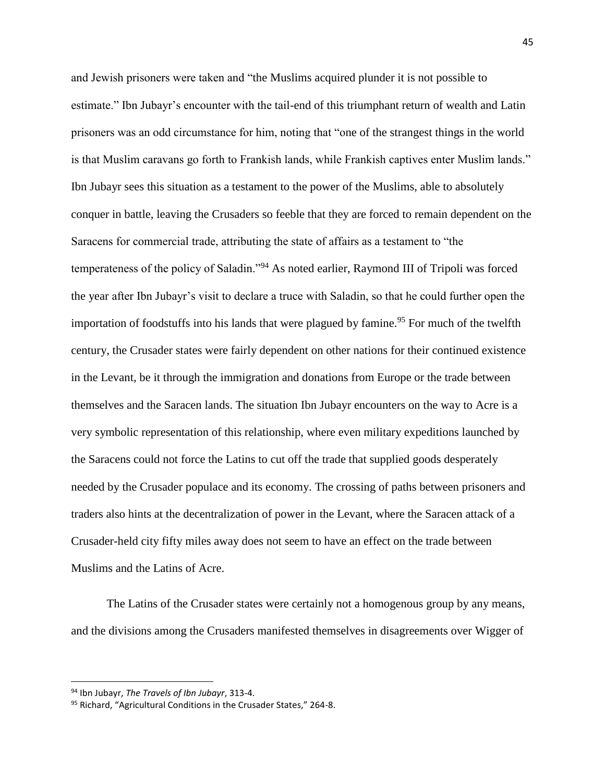and Jewish prisoners were taken and "the Muslims acquired plunder it is not possible to estimate." Ibn Jubayr's encounter with the tail-end of this triumphant return of wealth and Latin prisoners was an odd circumstance for him, noting that "one of the strangest things in the world is that Muslim caravans go forth to Frankish lands, while Frankish captives enter Muslim lands." Ibn Jubayr sees this situation as a testament to the power of the Muslims, able to absolutely conquer in battle, leaving the Crusaders so feeble that they are forced to remain dependent on the Saracens for commercial trade, attributing the state of affairs as a testament to "the temperateness of the policy of Saladin."<sup>94</sup> As noted earlier, Raymond III of Tripoli was forced the year after Ibn Jubayr's visit to declare a truce with Saladin, so that he could further open the importation of foodstuffs into his lands that were plagued by famine.<sup>95</sup> For much of the twelfth century, the Crusader states were fairly dependent on other nations for their continued existence in the Levant, be it through the immigration and donations from Europe or the trade between themselves and the Saracen lands. The situation Ibn Jubayr encounters on the way to Acre is a very symbolic representation of this relationship, where even military expeditions launched by the Saracens could not force the Latins to cut off the trade that supplied goods desperately needed by the Crusader populace and its economy. The crossing of paths between prisoners and traders also hints at the decentralization of power in the Levant, where the Saracen attack of a Crusader-held city fifty miles away does not seem to have an effect on the trade between Muslims and the Latins of Acre.

The Latins of the Crusader states were certainly not a homogenous group by any means, and the divisions among the Crusaders manifested themselves in disagreements over Wigger of

<sup>94</sup> Ibn Jubayr, *The Travels of Ibn Jubayr*, 313-4.

<sup>95</sup> Richard, "Agricultural Conditions in the Crusader States," 264-8.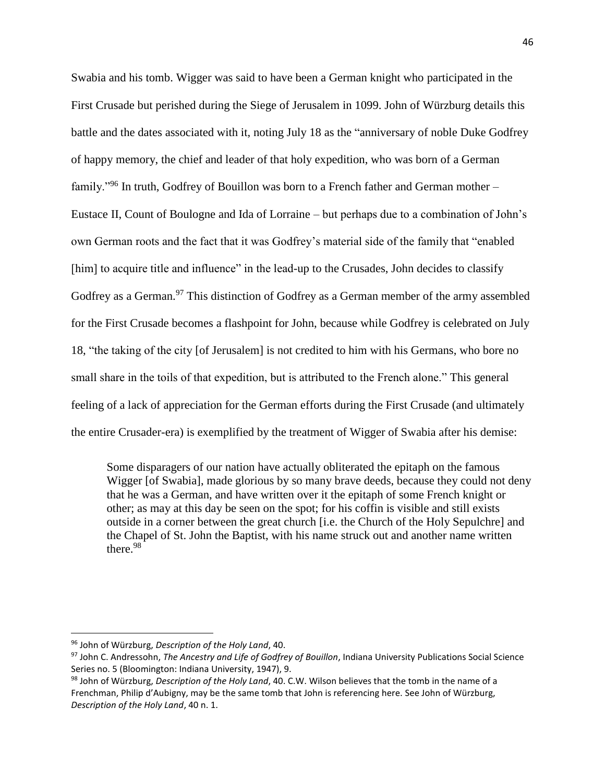Swabia and his tomb. Wigger was said to have been a German knight who participated in the First Crusade but perished during the Siege of Jerusalem in 1099. John of Würzburg details this battle and the dates associated with it, noting July 18 as the "anniversary of noble Duke Godfrey of happy memory, the chief and leader of that holy expedition, who was born of a German family."<sup>96</sup> In truth, Godfrey of Bouillon was born to a French father and German mother – Eustace II, Count of Boulogne and Ida of Lorraine – but perhaps due to a combination of John's own German roots and the fact that it was Godfrey's material side of the family that "enabled [him] to acquire title and influence" in the lead-up to the Crusades, John decides to classify Godfrey as a German.<sup>97</sup> This distinction of Godfrey as a German member of the army assembled for the First Crusade becomes a flashpoint for John, because while Godfrey is celebrated on July 18, "the taking of the city [of Jerusalem] is not credited to him with his Germans, who bore no small share in the toils of that expedition, but is attributed to the French alone." This general feeling of a lack of appreciation for the German efforts during the First Crusade (and ultimately the entire Crusader-era) is exemplified by the treatment of Wigger of Swabia after his demise:

Some disparagers of our nation have actually obliterated the epitaph on the famous Wigger [of Swabia], made glorious by so many brave deeds, because they could not deny that he was a German, and have written over it the epitaph of some French knight or other; as may at this day be seen on the spot; for his coffin is visible and still exists outside in a corner between the great church [i.e. the Church of the Holy Sepulchre] and the Chapel of St. John the Baptist, with his name struck out and another name written there. 98

<sup>96</sup> John of Würzburg, *Description of the Holy Land*, 40.

<sup>97</sup> John C. Andressohn, *The Ancestry and Life of Godfrey of Bouillon*, Indiana University Publications Social Science Series no. 5 (Bloomington: Indiana University, 1947), 9.

<sup>98</sup> John of Würzburg, *Description of the Holy Land*, 40. C.W. Wilson believes that the tomb in the name of a Frenchman, Philip d'Aubigny, may be the same tomb that John is referencing here. See John of Würzburg, *Description of the Holy Land*, 40 n. 1.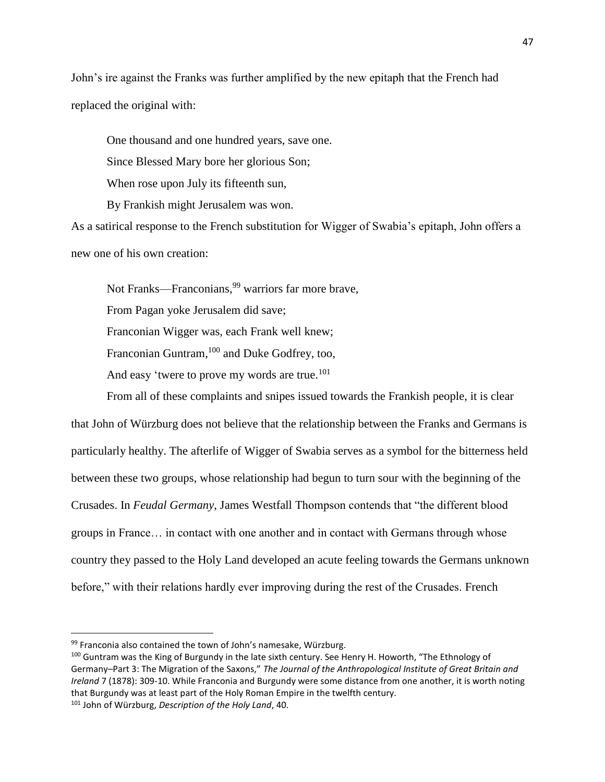John's ire against the Franks was further amplified by the new epitaph that the French had replaced the original with:

One thousand and one hundred years, save one.

Since Blessed Mary bore her glorious Son;

When rose upon July its fifteenth sun,

By Frankish might Jerusalem was won.

As a satirical response to the French substitution for Wigger of Swabia's epitaph, John offers a new one of his own creation:

Not Franks—Franconians,<sup>99</sup> warriors far more brave,

From Pagan yoke Jerusalem did save;

Franconian Wigger was, each Frank well knew;

Franconian Guntram,  $^{100}$  and Duke Godfrey, too,

And easy 'twere to prove my words are true.<sup>101</sup>

From all of these complaints and snipes issued towards the Frankish people, it is clear that John of Würzburg does not believe that the relationship between the Franks and Germans is particularly healthy. The afterlife of Wigger of Swabia serves as a symbol for the bitterness held between these two groups, whose relationship had begun to turn sour with the beginning of the Crusades. In *Feudal Germany*, James Westfall Thompson contends that "the different blood groups in France… in contact with one another and in contact with Germans through whose country they passed to the Holy Land developed an acute feeling towards the Germans unknown before," with their relations hardly ever improving during the rest of the Crusades. French

<sup>99</sup> Franconia also contained the town of John's namesake, Würzburg.

<sup>100</sup> Guntram was the King of Burgundy in the late sixth century. See Henry H. Howorth, "The Ethnology of Germany–Part 3: The Migration of the Saxons," *The Journal of the Anthropological Institute of Great Britain and Ireland* 7 (1878): 309-10. While Franconia and Burgundy were some distance from one another, it is worth noting that Burgundy was at least part of the Holy Roman Empire in the twelfth century.

<sup>101</sup> John of Würzburg, *Description of the Holy Land*, 40.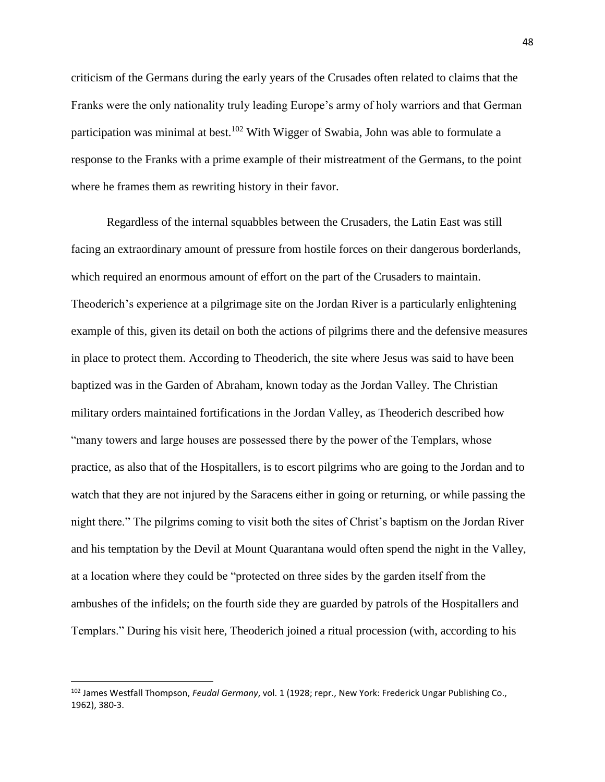criticism of the Germans during the early years of the Crusades often related to claims that the Franks were the only nationality truly leading Europe's army of holy warriors and that German participation was minimal at best.<sup>102</sup> With Wigger of Swabia, John was able to formulate a response to the Franks with a prime example of their mistreatment of the Germans, to the point where he frames them as rewriting history in their favor.

Regardless of the internal squabbles between the Crusaders, the Latin East was still facing an extraordinary amount of pressure from hostile forces on their dangerous borderlands, which required an enormous amount of effort on the part of the Crusaders to maintain. Theoderich's experience at a pilgrimage site on the Jordan River is a particularly enlightening example of this, given its detail on both the actions of pilgrims there and the defensive measures in place to protect them. According to Theoderich, the site where Jesus was said to have been baptized was in the Garden of Abraham, known today as the Jordan Valley. The Christian military orders maintained fortifications in the Jordan Valley, as Theoderich described how "many towers and large houses are possessed there by the power of the Templars, whose practice, as also that of the Hospitallers, is to escort pilgrims who are going to the Jordan and to watch that they are not injured by the Saracens either in going or returning, or while passing the night there." The pilgrims coming to visit both the sites of Christ's baptism on the Jordan River and his temptation by the Devil at Mount Quarantana would often spend the night in the Valley, at a location where they could be "protected on three sides by the garden itself from the ambushes of the infidels; on the fourth side they are guarded by patrols of the Hospitallers and Templars." During his visit here, Theoderich joined a ritual procession (with, according to his

<sup>102</sup> James Westfall Thompson, *Feudal Germany*, vol. 1 (1928; repr., New York: Frederick Ungar Publishing Co., 1962), 380-3.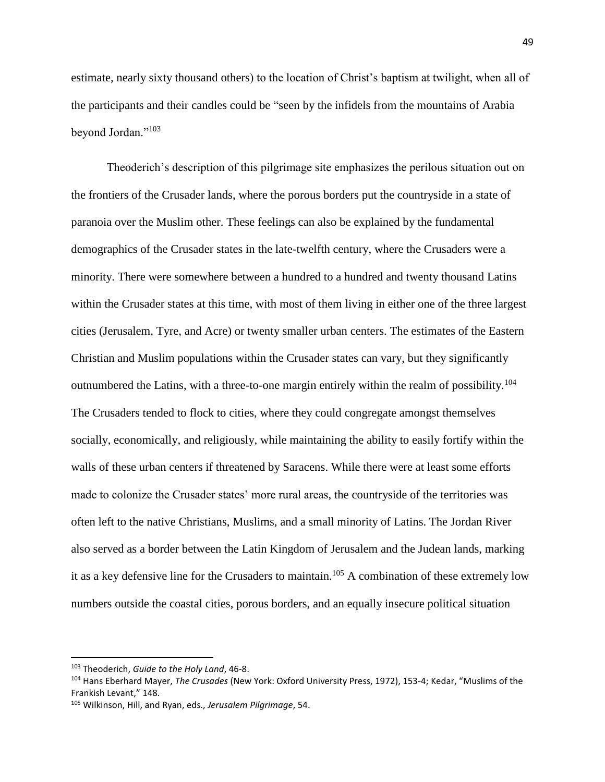estimate, nearly sixty thousand others) to the location of Christ's baptism at twilight, when all of the participants and their candles could be "seen by the infidels from the mountains of Arabia beyond Jordan."<sup>103</sup>

Theoderich's description of this pilgrimage site emphasizes the perilous situation out on the frontiers of the Crusader lands, where the porous borders put the countryside in a state of paranoia over the Muslim other. These feelings can also be explained by the fundamental demographics of the Crusader states in the late-twelfth century, where the Crusaders were a minority. There were somewhere between a hundred to a hundred and twenty thousand Latins within the Crusader states at this time, with most of them living in either one of the three largest cities (Jerusalem, Tyre, and Acre) or twenty smaller urban centers. The estimates of the Eastern Christian and Muslim populations within the Crusader states can vary, but they significantly outnumbered the Latins, with a three-to-one margin entirely within the realm of possibility.<sup>104</sup> The Crusaders tended to flock to cities, where they could congregate amongst themselves socially, economically, and religiously, while maintaining the ability to easily fortify within the walls of these urban centers if threatened by Saracens. While there were at least some efforts made to colonize the Crusader states' more rural areas, the countryside of the territories was often left to the native Christians, Muslims, and a small minority of Latins. The Jordan River also served as a border between the Latin Kingdom of Jerusalem and the Judean lands, marking it as a key defensive line for the Crusaders to maintain.<sup>105</sup> A combination of these extremely low numbers outside the coastal cities, porous borders, and an equally insecure political situation

<sup>103</sup> Theoderich, *Guide to the Holy Land*, 46-8.

<sup>104</sup> Hans Eberhard Mayer, *The Crusades* (New York: Oxford University Press, 1972), 153-4; Kedar, "Muslims of the Frankish Levant," 148.

<sup>105</sup> Wilkinson, Hill, and Ryan, eds., *Jerusalem Pilgrimage*, 54.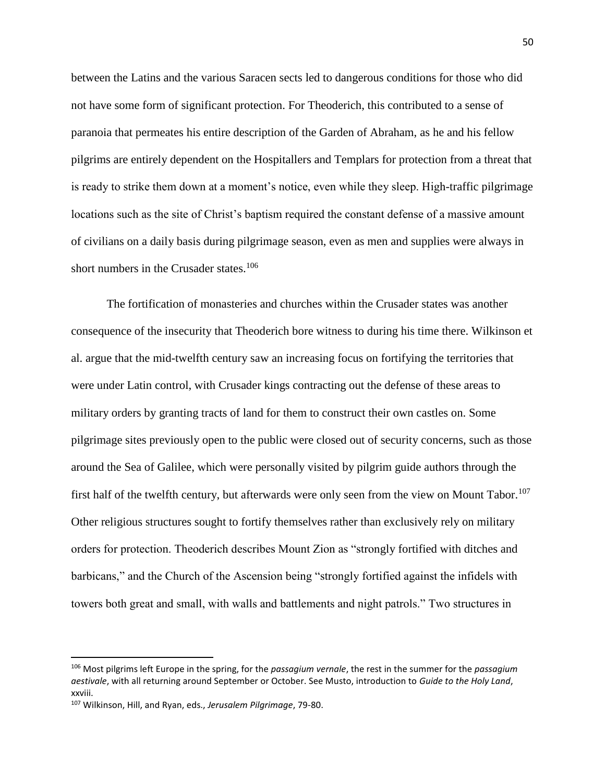between the Latins and the various Saracen sects led to dangerous conditions for those who did not have some form of significant protection. For Theoderich, this contributed to a sense of paranoia that permeates his entire description of the Garden of Abraham, as he and his fellow pilgrims are entirely dependent on the Hospitallers and Templars for protection from a threat that is ready to strike them down at a moment's notice, even while they sleep. High-traffic pilgrimage locations such as the site of Christ's baptism required the constant defense of a massive amount of civilians on a daily basis during pilgrimage season, even as men and supplies were always in short numbers in the Crusader states.<sup>106</sup>

The fortification of monasteries and churches within the Crusader states was another consequence of the insecurity that Theoderich bore witness to during his time there. Wilkinson et al. argue that the mid-twelfth century saw an increasing focus on fortifying the territories that were under Latin control, with Crusader kings contracting out the defense of these areas to military orders by granting tracts of land for them to construct their own castles on. Some pilgrimage sites previously open to the public were closed out of security concerns, such as those around the Sea of Galilee, which were personally visited by pilgrim guide authors through the first half of the twelfth century, but afterwards were only seen from the view on Mount Tabor.<sup>107</sup> Other religious structures sought to fortify themselves rather than exclusively rely on military orders for protection. Theoderich describes Mount Zion as "strongly fortified with ditches and barbicans," and the Church of the Ascension being "strongly fortified against the infidels with towers both great and small, with walls and battlements and night patrols." Two structures in

<sup>106</sup> Most pilgrims left Europe in the spring, for the *passagium vernale*, the rest in the summer for the *passagium aestivale*, with all returning around September or October. See Musto, introduction to *Guide to the Holy Land*, xxviii.

<sup>107</sup> Wilkinson, Hill, and Ryan, eds., *Jerusalem Pilgrimage*, 79-80.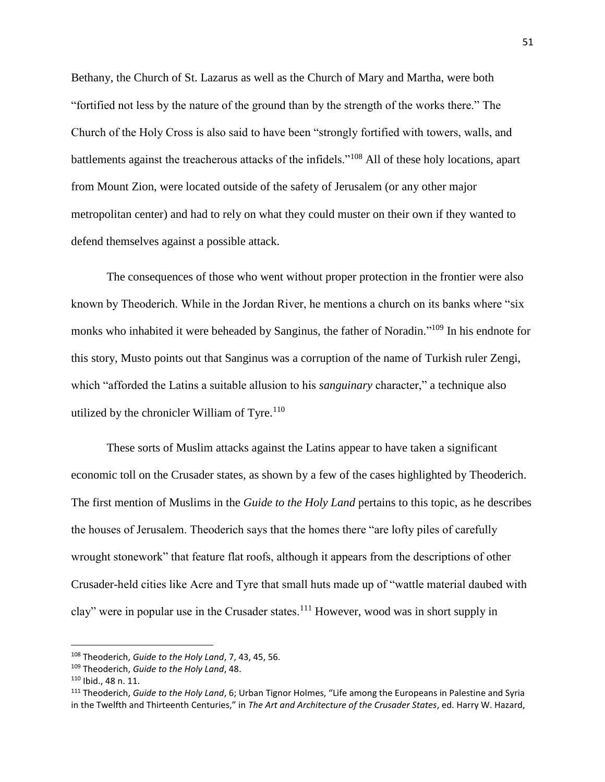Bethany, the Church of St. Lazarus as well as the Church of Mary and Martha, were both "fortified not less by the nature of the ground than by the strength of the works there." The Church of the Holy Cross is also said to have been "strongly fortified with towers, walls, and battlements against the treacherous attacks of the infidels."<sup>108</sup> All of these holy locations, apart from Mount Zion, were located outside of the safety of Jerusalem (or any other major metropolitan center) and had to rely on what they could muster on their own if they wanted to defend themselves against a possible attack.

The consequences of those who went without proper protection in the frontier were also known by Theoderich. While in the Jordan River, he mentions a church on its banks where "six monks who inhabited it were beheaded by Sanginus, the father of Noradin."<sup>109</sup> In his endnote for this story, Musto points out that Sanginus was a corruption of the name of Turkish ruler Zengi, which "afforded the Latins a suitable allusion to his *sanguinary* character," a technique also utilized by the chronicler William of Tyre.<sup>110</sup>

These sorts of Muslim attacks against the Latins appear to have taken a significant economic toll on the Crusader states, as shown by a few of the cases highlighted by Theoderich. The first mention of Muslims in the *Guide to the Holy Land* pertains to this topic, as he describes the houses of Jerusalem. Theoderich says that the homes there "are lofty piles of carefully wrought stonework" that feature flat roofs, although it appears from the descriptions of other Crusader-held cities like Acre and Tyre that small huts made up of "wattle material daubed with clay" were in popular use in the Crusader states.<sup>111</sup> However, wood was in short supply in

<sup>108</sup> Theoderich, *Guide to the Holy Land*, 7, 43, 45, 56.

<sup>109</sup> Theoderich, *Guide to the Holy Land*, 48.

<sup>110</sup> Ibid., 48 n. 11.

<sup>111</sup> Theoderich, *Guide to the Holy Land*, 6; Urban Tignor Holmes, "Life among the Europeans in Palestine and Syria in the Twelfth and Thirteenth Centuries," in *The Art and Architecture of the Crusader States*, ed. Harry W. Hazard,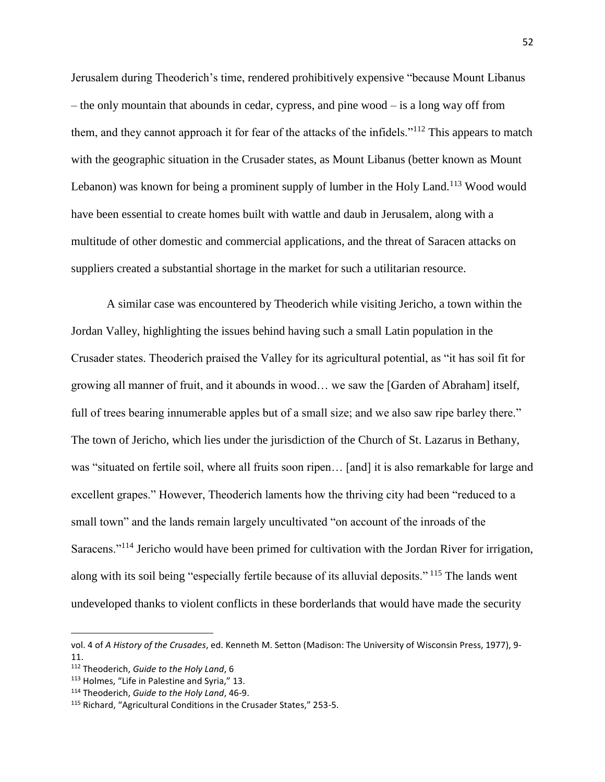Jerusalem during Theoderich's time, rendered prohibitively expensive "because Mount Libanus – the only mountain that abounds in cedar, cypress, and pine wood – is a long way off from them, and they cannot approach it for fear of the attacks of the infidels."<sup>112</sup> This appears to match with the geographic situation in the Crusader states, as Mount Libanus (better known as Mount Lebanon) was known for being a prominent supply of lumber in the Holy Land.<sup>113</sup> Wood would have been essential to create homes built with wattle and daub in Jerusalem, along with a multitude of other domestic and commercial applications, and the threat of Saracen attacks on suppliers created a substantial shortage in the market for such a utilitarian resource.

A similar case was encountered by Theoderich while visiting Jericho, a town within the Jordan Valley, highlighting the issues behind having such a small Latin population in the Crusader states. Theoderich praised the Valley for its agricultural potential, as "it has soil fit for growing all manner of fruit, and it abounds in wood… we saw the [Garden of Abraham] itself, full of trees bearing innumerable apples but of a small size; and we also saw ripe barley there." The town of Jericho, which lies under the jurisdiction of the Church of St. Lazarus in Bethany, was "situated on fertile soil, where all fruits soon ripen… [and] it is also remarkable for large and excellent grapes." However, Theoderich laments how the thriving city had been "reduced to a small town" and the lands remain largely uncultivated "on account of the inroads of the Saracens."<sup>114</sup> Jericho would have been primed for cultivation with the Jordan River for irrigation, along with its soil being "especially fertile because of its alluvial deposits." <sup>115</sup> The lands went undeveloped thanks to violent conflicts in these borderlands that would have made the security

vol. 4 of *A History of the Crusades*, ed. Kenneth M. Setton (Madison: The University of Wisconsin Press, 1977), 9- 11.

<sup>112</sup> Theoderich, *Guide to the Holy Land*, 6

<sup>113</sup> Holmes, "Life in Palestine and Syria," 13.

<sup>114</sup> Theoderich, *Guide to the Holy Land*, 46-9.

<sup>115</sup> Richard, "Agricultural Conditions in the Crusader States," 253-5.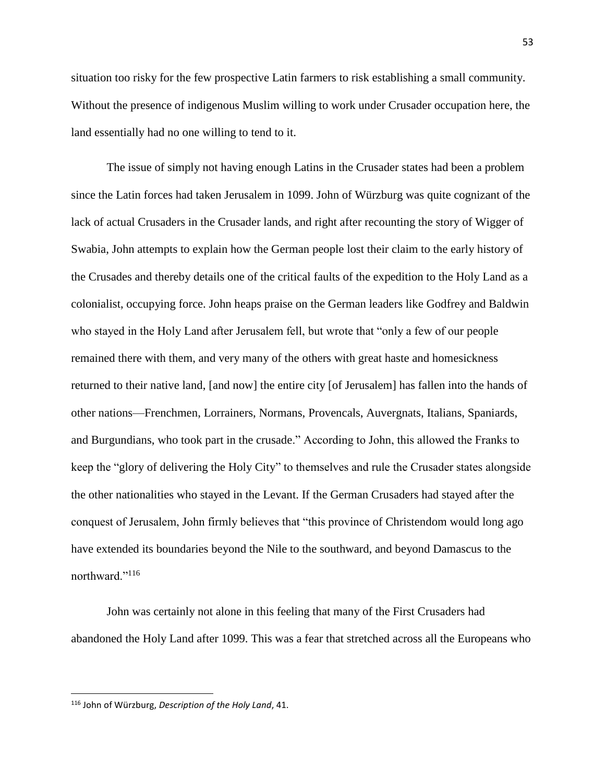situation too risky for the few prospective Latin farmers to risk establishing a small community. Without the presence of indigenous Muslim willing to work under Crusader occupation here, the land essentially had no one willing to tend to it.

The issue of simply not having enough Latins in the Crusader states had been a problem since the Latin forces had taken Jerusalem in 1099. John of Würzburg was quite cognizant of the lack of actual Crusaders in the Crusader lands, and right after recounting the story of Wigger of Swabia, John attempts to explain how the German people lost their claim to the early history of the Crusades and thereby details one of the critical faults of the expedition to the Holy Land as a colonialist, occupying force. John heaps praise on the German leaders like Godfrey and Baldwin who stayed in the Holy Land after Jerusalem fell, but wrote that "only a few of our people remained there with them, and very many of the others with great haste and homesickness returned to their native land, [and now] the entire city [of Jerusalem] has fallen into the hands of other nations—Frenchmen, Lorrainers, Normans, Provencals, Auvergnats, Italians, Spaniards, and Burgundians, who took part in the crusade." According to John, this allowed the Franks to keep the "glory of delivering the Holy City" to themselves and rule the Crusader states alongside the other nationalities who stayed in the Levant. If the German Crusaders had stayed after the conquest of Jerusalem, John firmly believes that "this province of Christendom would long ago have extended its boundaries beyond the Nile to the southward, and beyond Damascus to the northward."<sup>116</sup>

John was certainly not alone in this feeling that many of the First Crusaders had abandoned the Holy Land after 1099. This was a fear that stretched across all the Europeans who

<sup>116</sup> John of Würzburg, *Description of the Holy Land*, 41.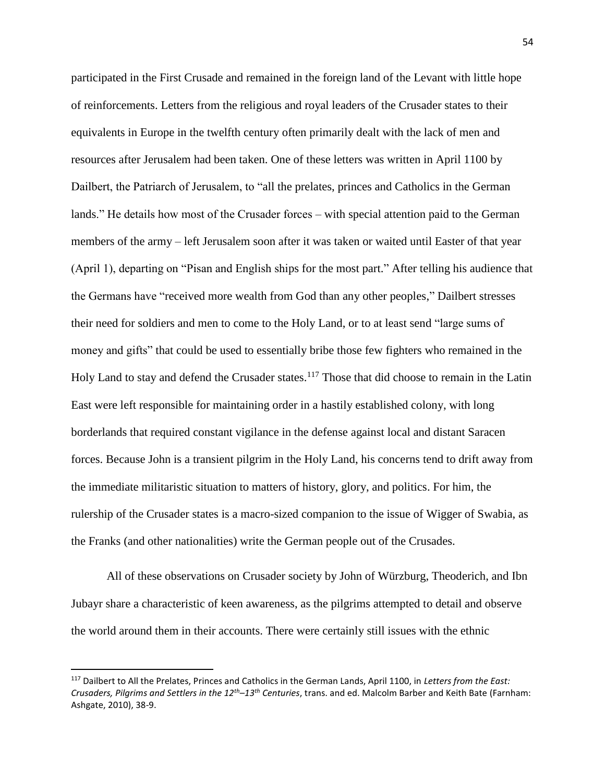participated in the First Crusade and remained in the foreign land of the Levant with little hope of reinforcements. Letters from the religious and royal leaders of the Crusader states to their equivalents in Europe in the twelfth century often primarily dealt with the lack of men and resources after Jerusalem had been taken. One of these letters was written in April 1100 by Dailbert, the Patriarch of Jerusalem, to "all the prelates, princes and Catholics in the German lands." He details how most of the Crusader forces – with special attention paid to the German members of the army – left Jerusalem soon after it was taken or waited until Easter of that year (April 1), departing on "Pisan and English ships for the most part." After telling his audience that the Germans have "received more wealth from God than any other peoples," Dailbert stresses their need for soldiers and men to come to the Holy Land, or to at least send "large sums of money and gifts" that could be used to essentially bribe those few fighters who remained in the Holy Land to stay and defend the Crusader states.<sup>117</sup> Those that did choose to remain in the Latin East were left responsible for maintaining order in a hastily established colony, with long borderlands that required constant vigilance in the defense against local and distant Saracen forces. Because John is a transient pilgrim in the Holy Land, his concerns tend to drift away from the immediate militaristic situation to matters of history, glory, and politics. For him, the rulership of the Crusader states is a macro-sized companion to the issue of Wigger of Swabia, as the Franks (and other nationalities) write the German people out of the Crusades.

All of these observations on Crusader society by John of Würzburg, Theoderich, and Ibn Jubayr share a characteristic of keen awareness, as the pilgrims attempted to detail and observe the world around them in their accounts. There were certainly still issues with the ethnic

<sup>117</sup> Dailbert to All the Prelates, Princes and Catholics in the German Lands, April 1100, in *Letters from the East: Crusaders, Pilgrims and Settlers in the 12th–13th Centuries*, trans. and ed. Malcolm Barber and Keith Bate (Farnham: Ashgate, 2010), 38-9.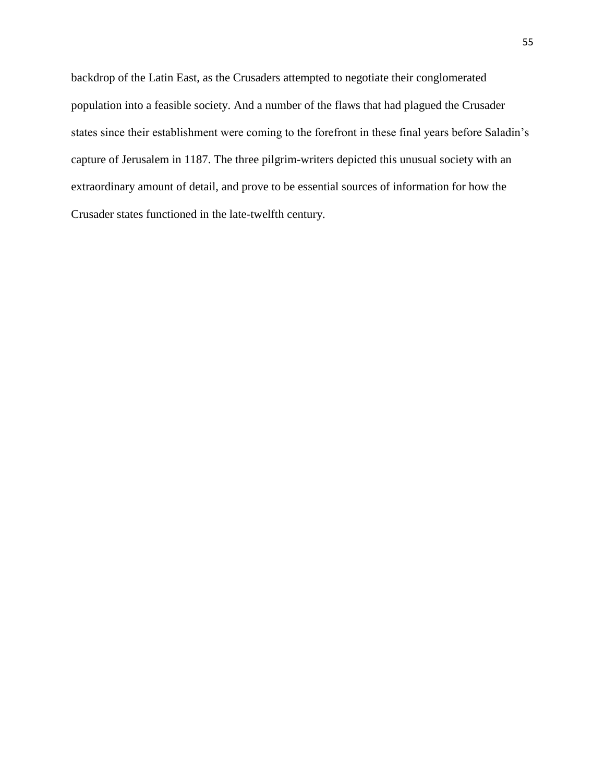backdrop of the Latin East, as the Crusaders attempted to negotiate their conglomerated population into a feasible society. And a number of the flaws that had plagued the Crusader states since their establishment were coming to the forefront in these final years before Saladin's capture of Jerusalem in 1187. The three pilgrim-writers depicted this unusual society with an extraordinary amount of detail, and prove to be essential sources of information for how the Crusader states functioned in the late-twelfth century.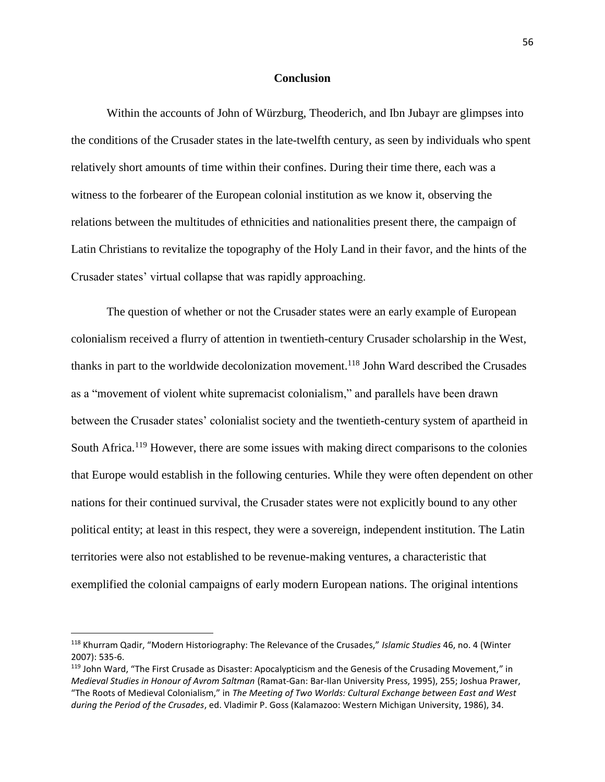## **Conclusion**

Within the accounts of John of Würzburg, Theoderich, and Ibn Jubayr are glimpses into the conditions of the Crusader states in the late-twelfth century, as seen by individuals who spent relatively short amounts of time within their confines. During their time there, each was a witness to the forbearer of the European colonial institution as we know it, observing the relations between the multitudes of ethnicities and nationalities present there, the campaign of Latin Christians to revitalize the topography of the Holy Land in their favor, and the hints of the Crusader states' virtual collapse that was rapidly approaching.

The question of whether or not the Crusader states were an early example of European colonialism received a flurry of attention in twentieth-century Crusader scholarship in the West, thanks in part to the worldwide decolonization movement.<sup>118</sup> John Ward described the Crusades as a "movement of violent white supremacist colonialism," and parallels have been drawn between the Crusader states' colonialist society and the twentieth-century system of apartheid in South Africa.<sup>119</sup> However, there are some issues with making direct comparisons to the colonies that Europe would establish in the following centuries. While they were often dependent on other nations for their continued survival, the Crusader states were not explicitly bound to any other political entity; at least in this respect, they were a sovereign, independent institution. The Latin territories were also not established to be revenue-making ventures, a characteristic that exemplified the colonial campaigns of early modern European nations. The original intentions

<sup>118</sup> Khurram Qadir, "Modern Historiography: The Relevance of the Crusades," *Islamic Studies* 46, no. 4 (Winter 2007): 535-6.

<sup>&</sup>lt;sup>119</sup> John Ward, "The First Crusade as Disaster: Apocalypticism and the Genesis of the Crusading Movement," in *Medieval Studies in Honour of Avrom Saltman* (Ramat-Gan: Bar-Ilan University Press, 1995), 255; Joshua Prawer, "The Roots of Medieval Colonialism," in *The Meeting of Two Worlds: Cultural Exchange between East and West during the Period of the Crusades*, ed. Vladimir P. Goss (Kalamazoo: Western Michigan University, 1986), 34.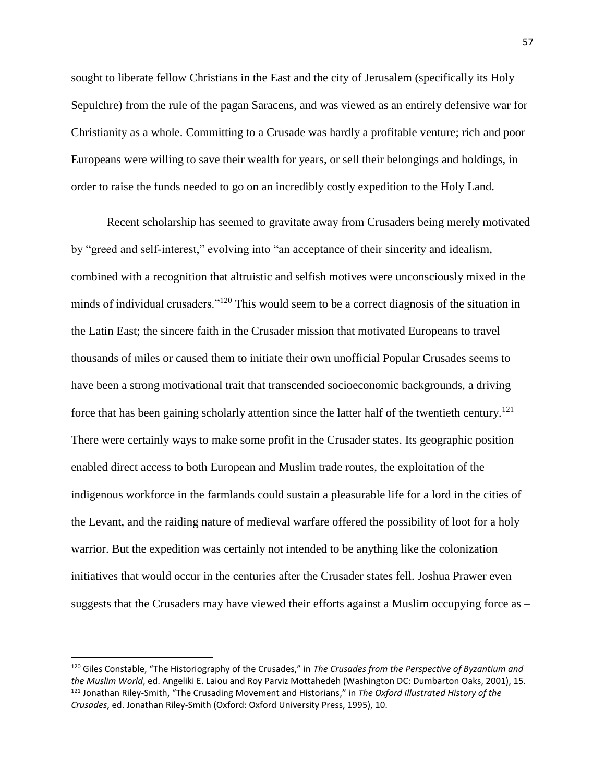sought to liberate fellow Christians in the East and the city of Jerusalem (specifically its Holy Sepulchre) from the rule of the pagan Saracens, and was viewed as an entirely defensive war for Christianity as a whole. Committing to a Crusade was hardly a profitable venture; rich and poor Europeans were willing to save their wealth for years, or sell their belongings and holdings, in order to raise the funds needed to go on an incredibly costly expedition to the Holy Land.

Recent scholarship has seemed to gravitate away from Crusaders being merely motivated by "greed and self-interest," evolving into "an acceptance of their sincerity and idealism, combined with a recognition that altruistic and selfish motives were unconsciously mixed in the minds of individual crusaders."<sup>120</sup> This would seem to be a correct diagnosis of the situation in the Latin East; the sincere faith in the Crusader mission that motivated Europeans to travel thousands of miles or caused them to initiate their own unofficial Popular Crusades seems to have been a strong motivational trait that transcended socioeconomic backgrounds, a driving force that has been gaining scholarly attention since the latter half of the twentieth century.<sup>121</sup> There were certainly ways to make some profit in the Crusader states. Its geographic position enabled direct access to both European and Muslim trade routes, the exploitation of the indigenous workforce in the farmlands could sustain a pleasurable life for a lord in the cities of the Levant, and the raiding nature of medieval warfare offered the possibility of loot for a holy warrior. But the expedition was certainly not intended to be anything like the colonization initiatives that would occur in the centuries after the Crusader states fell. Joshua Prawer even suggests that the Crusaders may have viewed their efforts against a Muslim occupying force as –

<sup>120</sup> Giles Constable, "The Historiography of the Crusades," in *The Crusades from the Perspective of Byzantium and the Muslim World*, ed. Angeliki E. Laiou and Roy Parviz Mottahedeh (Washington DC: Dumbarton Oaks, 2001), 15. <sup>121</sup> Jonathan Riley-Smith, "The Crusading Movement and Historians," in *The Oxford Illustrated History of the Crusades*, ed. Jonathan Riley-Smith (Oxford: Oxford University Press, 1995), 10.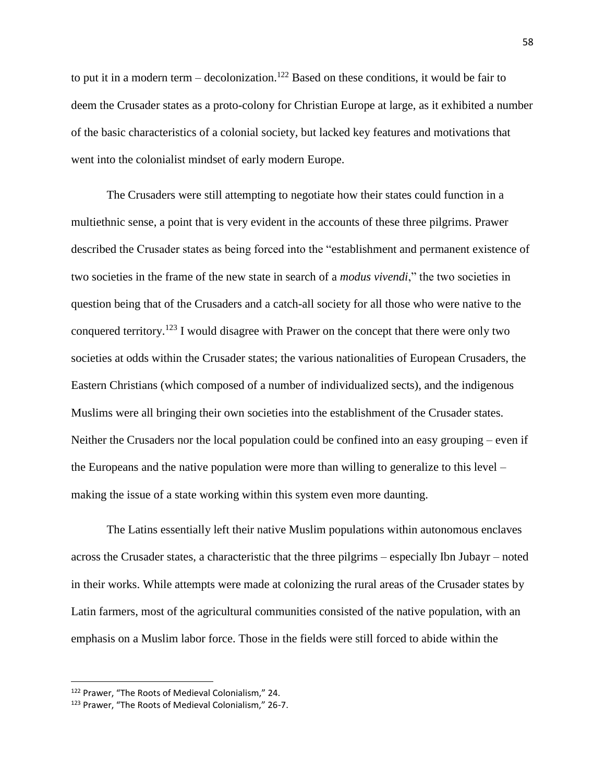to put it in a modern term – decolonization.<sup>122</sup> Based on these conditions, it would be fair to deem the Crusader states as a proto-colony for Christian Europe at large, as it exhibited a number of the basic characteristics of a colonial society, but lacked key features and motivations that went into the colonialist mindset of early modern Europe.

The Crusaders were still attempting to negotiate how their states could function in a multiethnic sense, a point that is very evident in the accounts of these three pilgrims. Prawer described the Crusader states as being forced into the "establishment and permanent existence of two societies in the frame of the new state in search of a *modus vivendi*," the two societies in question being that of the Crusaders and a catch-all society for all those who were native to the conquered territory.<sup>123</sup> I would disagree with Prawer on the concept that there were only two societies at odds within the Crusader states; the various nationalities of European Crusaders, the Eastern Christians (which composed of a number of individualized sects), and the indigenous Muslims were all bringing their own societies into the establishment of the Crusader states. Neither the Crusaders nor the local population could be confined into an easy grouping – even if the Europeans and the native population were more than willing to generalize to this level – making the issue of a state working within this system even more daunting.

The Latins essentially left their native Muslim populations within autonomous enclaves across the Crusader states, a characteristic that the three pilgrims – especially Ibn Jubayr – noted in their works. While attempts were made at colonizing the rural areas of the Crusader states by Latin farmers, most of the agricultural communities consisted of the native population, with an emphasis on a Muslim labor force. Those in the fields were still forced to abide within the

<sup>122</sup> Prawer, "The Roots of Medieval Colonialism," 24.

<sup>123</sup> Prawer, "The Roots of Medieval Colonialism," 26-7.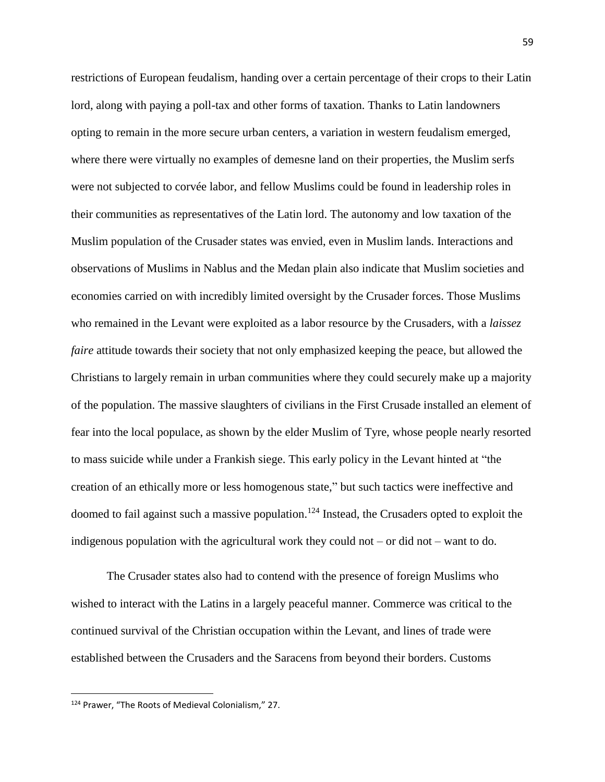restrictions of European feudalism, handing over a certain percentage of their crops to their Latin lord, along with paying a poll-tax and other forms of taxation. Thanks to Latin landowners opting to remain in the more secure urban centers, a variation in western feudalism emerged, where there were virtually no examples of demesne land on their properties, the Muslim serfs were not subjected to corvée labor, and fellow Muslims could be found in leadership roles in their communities as representatives of the Latin lord. The autonomy and low taxation of the Muslim population of the Crusader states was envied, even in Muslim lands. Interactions and observations of Muslims in Nablus and the Medan plain also indicate that Muslim societies and economies carried on with incredibly limited oversight by the Crusader forces. Those Muslims who remained in the Levant were exploited as a labor resource by the Crusaders, with a *laissez faire* attitude towards their society that not only emphasized keeping the peace, but allowed the Christians to largely remain in urban communities where they could securely make up a majority of the population. The massive slaughters of civilians in the First Crusade installed an element of fear into the local populace, as shown by the elder Muslim of Tyre, whose people nearly resorted to mass suicide while under a Frankish siege. This early policy in the Levant hinted at "the creation of an ethically more or less homogenous state," but such tactics were ineffective and doomed to fail against such a massive population.<sup>124</sup> Instead, the Crusaders opted to exploit the indigenous population with the agricultural work they could not – or did not – want to do.

The Crusader states also had to contend with the presence of foreign Muslims who wished to interact with the Latins in a largely peaceful manner. Commerce was critical to the continued survival of the Christian occupation within the Levant, and lines of trade were established between the Crusaders and the Saracens from beyond their borders. Customs

<sup>124</sup> Prawer, "The Roots of Medieval Colonialism," 27.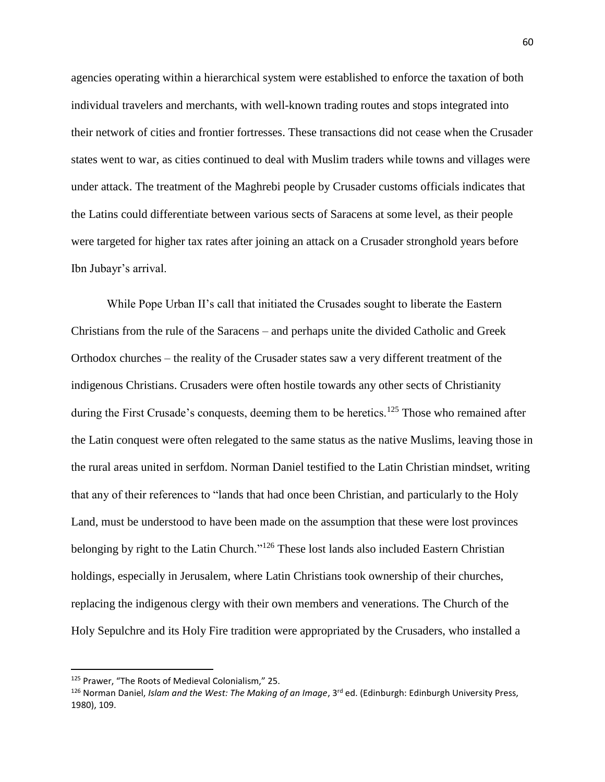agencies operating within a hierarchical system were established to enforce the taxation of both individual travelers and merchants, with well-known trading routes and stops integrated into their network of cities and frontier fortresses. These transactions did not cease when the Crusader states went to war, as cities continued to deal with Muslim traders while towns and villages were under attack. The treatment of the Maghrebi people by Crusader customs officials indicates that the Latins could differentiate between various sects of Saracens at some level, as their people were targeted for higher tax rates after joining an attack on a Crusader stronghold years before Ibn Jubayr's arrival.

While Pope Urban II's call that initiated the Crusades sought to liberate the Eastern Christians from the rule of the Saracens – and perhaps unite the divided Catholic and Greek Orthodox churches – the reality of the Crusader states saw a very different treatment of the indigenous Christians. Crusaders were often hostile towards any other sects of Christianity during the First Crusade's conquests, deeming them to be heretics.<sup>125</sup> Those who remained after the Latin conquest were often relegated to the same status as the native Muslims, leaving those in the rural areas united in serfdom. Norman Daniel testified to the Latin Christian mindset, writing that any of their references to "lands that had once been Christian, and particularly to the Holy Land, must be understood to have been made on the assumption that these were lost provinces belonging by right to the Latin Church."<sup>126</sup> These lost lands also included Eastern Christian holdings, especially in Jerusalem, where Latin Christians took ownership of their churches, replacing the indigenous clergy with their own members and venerations. The Church of the Holy Sepulchre and its Holy Fire tradition were appropriated by the Crusaders, who installed a

<sup>125</sup> Prawer, "The Roots of Medieval Colonialism," 25.

<sup>&</sup>lt;sup>126</sup> Norman Daniel, *Islam and the West: The Making of an Image*, 3<sup>rd</sup> ed. (Edinburgh: Edinburgh University Press, 1980), 109.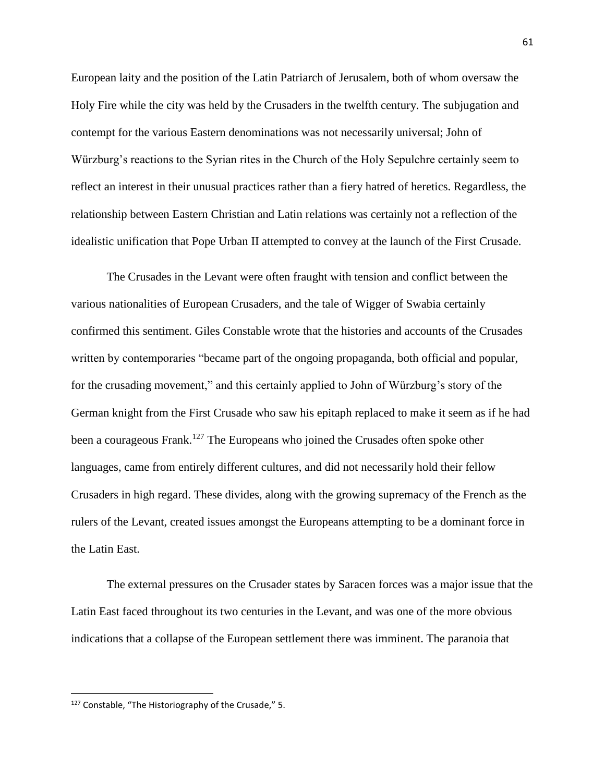European laity and the position of the Latin Patriarch of Jerusalem, both of whom oversaw the Holy Fire while the city was held by the Crusaders in the twelfth century. The subjugation and contempt for the various Eastern denominations was not necessarily universal; John of Würzburg's reactions to the Syrian rites in the Church of the Holy Sepulchre certainly seem to reflect an interest in their unusual practices rather than a fiery hatred of heretics. Regardless, the relationship between Eastern Christian and Latin relations was certainly not a reflection of the idealistic unification that Pope Urban II attempted to convey at the launch of the First Crusade.

The Crusades in the Levant were often fraught with tension and conflict between the various nationalities of European Crusaders, and the tale of Wigger of Swabia certainly confirmed this sentiment. Giles Constable wrote that the histories and accounts of the Crusades written by contemporaries "became part of the ongoing propaganda, both official and popular, for the crusading movement," and this certainly applied to John of Würzburg's story of the German knight from the First Crusade who saw his epitaph replaced to make it seem as if he had been a courageous Frank.<sup>127</sup> The Europeans who joined the Crusades often spoke other languages, came from entirely different cultures, and did not necessarily hold their fellow Crusaders in high regard. These divides, along with the growing supremacy of the French as the rulers of the Levant, created issues amongst the Europeans attempting to be a dominant force in the Latin East.

The external pressures on the Crusader states by Saracen forces was a major issue that the Latin East faced throughout its two centuries in the Levant, and was one of the more obvious indications that a collapse of the European settlement there was imminent. The paranoia that

<sup>127</sup> Constable, "The Historiography of the Crusade," 5.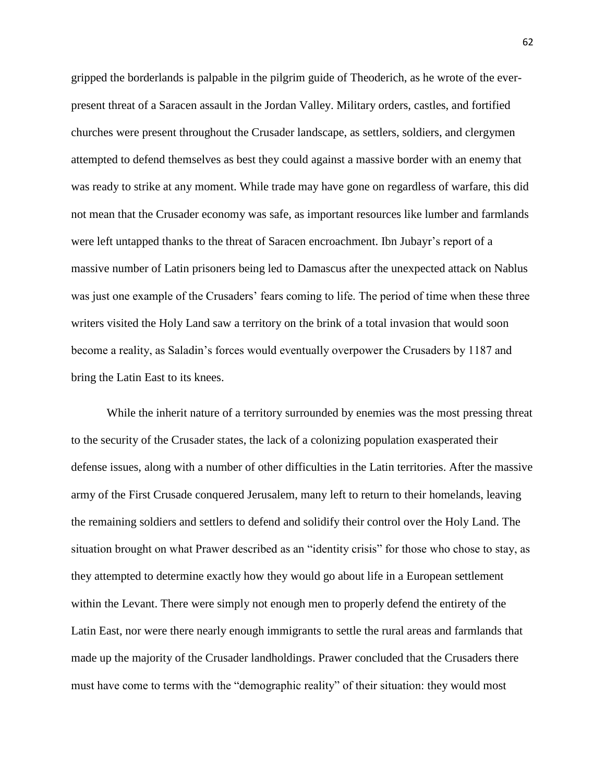gripped the borderlands is palpable in the pilgrim guide of Theoderich, as he wrote of the everpresent threat of a Saracen assault in the Jordan Valley. Military orders, castles, and fortified churches were present throughout the Crusader landscape, as settlers, soldiers, and clergymen attempted to defend themselves as best they could against a massive border with an enemy that was ready to strike at any moment. While trade may have gone on regardless of warfare, this did not mean that the Crusader economy was safe, as important resources like lumber and farmlands were left untapped thanks to the threat of Saracen encroachment. Ibn Jubayr's report of a massive number of Latin prisoners being led to Damascus after the unexpected attack on Nablus was just one example of the Crusaders' fears coming to life. The period of time when these three writers visited the Holy Land saw a territory on the brink of a total invasion that would soon become a reality, as Saladin's forces would eventually overpower the Crusaders by 1187 and bring the Latin East to its knees.

While the inherit nature of a territory surrounded by enemies was the most pressing threat to the security of the Crusader states, the lack of a colonizing population exasperated their defense issues, along with a number of other difficulties in the Latin territories. After the massive army of the First Crusade conquered Jerusalem, many left to return to their homelands, leaving the remaining soldiers and settlers to defend and solidify their control over the Holy Land. The situation brought on what Prawer described as an "identity crisis" for those who chose to stay, as they attempted to determine exactly how they would go about life in a European settlement within the Levant. There were simply not enough men to properly defend the entirety of the Latin East, nor were there nearly enough immigrants to settle the rural areas and farmlands that made up the majority of the Crusader landholdings. Prawer concluded that the Crusaders there must have come to terms with the "demographic reality" of their situation: they would most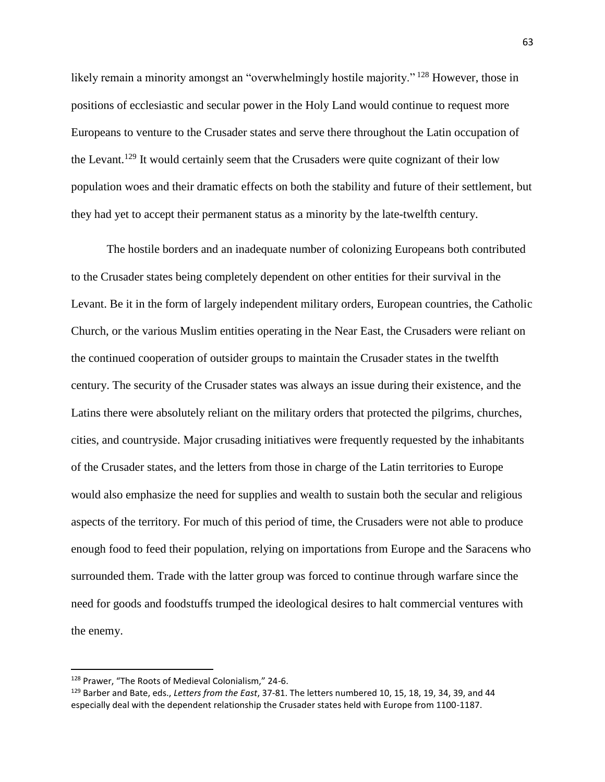likely remain a minority amongst an "overwhelmingly hostile majority." <sup>128</sup> However, those in positions of ecclesiastic and secular power in the Holy Land would continue to request more Europeans to venture to the Crusader states and serve there throughout the Latin occupation of the Levant.<sup>129</sup> It would certainly seem that the Crusaders were quite cognizant of their low population woes and their dramatic effects on both the stability and future of their settlement, but they had yet to accept their permanent status as a minority by the late-twelfth century.

The hostile borders and an inadequate number of colonizing Europeans both contributed to the Crusader states being completely dependent on other entities for their survival in the Levant. Be it in the form of largely independent military orders, European countries, the Catholic Church, or the various Muslim entities operating in the Near East, the Crusaders were reliant on the continued cooperation of outsider groups to maintain the Crusader states in the twelfth century. The security of the Crusader states was always an issue during their existence, and the Latins there were absolutely reliant on the military orders that protected the pilgrims, churches, cities, and countryside. Major crusading initiatives were frequently requested by the inhabitants of the Crusader states, and the letters from those in charge of the Latin territories to Europe would also emphasize the need for supplies and wealth to sustain both the secular and religious aspects of the territory. For much of this period of time, the Crusaders were not able to produce enough food to feed their population, relying on importations from Europe and the Saracens who surrounded them. Trade with the latter group was forced to continue through warfare since the need for goods and foodstuffs trumped the ideological desires to halt commercial ventures with the enemy.

<sup>128</sup> Prawer, "The Roots of Medieval Colonialism," 24-6.

<sup>129</sup> Barber and Bate, eds., *Letters from the East*, 37-81. The letters numbered 10, 15, 18, 19, 34, 39, and 44 especially deal with the dependent relationship the Crusader states held with Europe from 1100-1187.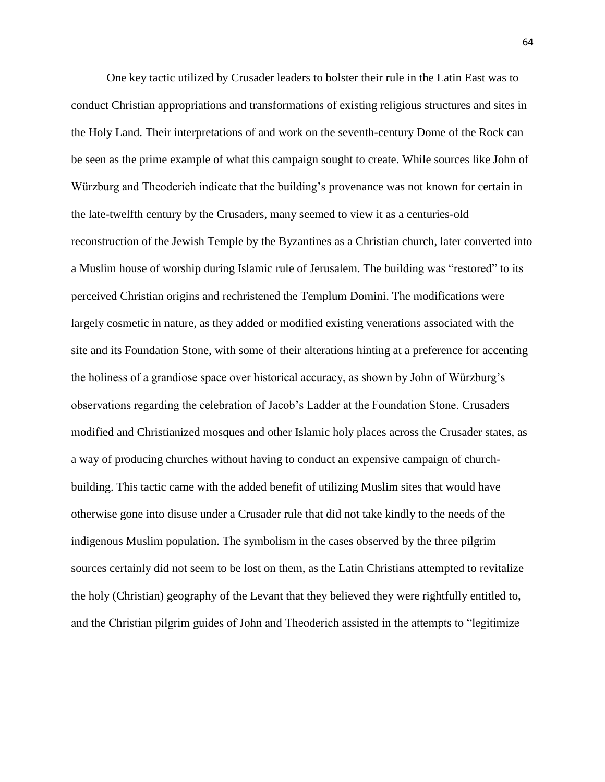One key tactic utilized by Crusader leaders to bolster their rule in the Latin East was to conduct Christian appropriations and transformations of existing religious structures and sites in the Holy Land. Their interpretations of and work on the seventh-century Dome of the Rock can be seen as the prime example of what this campaign sought to create. While sources like John of Würzburg and Theoderich indicate that the building's provenance was not known for certain in the late-twelfth century by the Crusaders, many seemed to view it as a centuries-old reconstruction of the Jewish Temple by the Byzantines as a Christian church, later converted into a Muslim house of worship during Islamic rule of Jerusalem. The building was "restored" to its perceived Christian origins and rechristened the Templum Domini. The modifications were largely cosmetic in nature, as they added or modified existing venerations associated with the site and its Foundation Stone, with some of their alterations hinting at a preference for accenting the holiness of a grandiose space over historical accuracy, as shown by John of Würzburg's observations regarding the celebration of Jacob's Ladder at the Foundation Stone. Crusaders modified and Christianized mosques and other Islamic holy places across the Crusader states, as a way of producing churches without having to conduct an expensive campaign of churchbuilding. This tactic came with the added benefit of utilizing Muslim sites that would have otherwise gone into disuse under a Crusader rule that did not take kindly to the needs of the indigenous Muslim population. The symbolism in the cases observed by the three pilgrim sources certainly did not seem to be lost on them, as the Latin Christians attempted to revitalize the holy (Christian) geography of the Levant that they believed they were rightfully entitled to, and the Christian pilgrim guides of John and Theoderich assisted in the attempts to "legitimize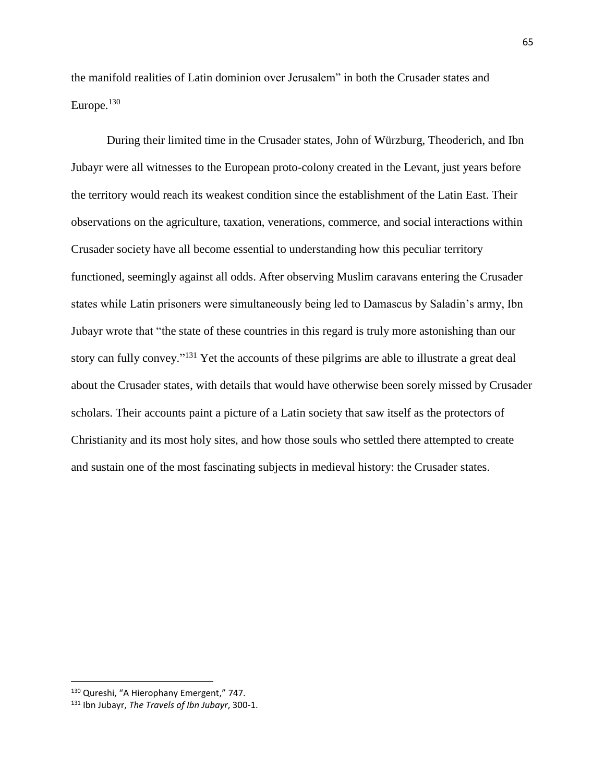the manifold realities of Latin dominion over Jerusalem" in both the Crusader states and Europe.<sup>130</sup>

During their limited time in the Crusader states, John of Würzburg, Theoderich, and Ibn Jubayr were all witnesses to the European proto-colony created in the Levant, just years before the territory would reach its weakest condition since the establishment of the Latin East. Their observations on the agriculture, taxation, venerations, commerce, and social interactions within Crusader society have all become essential to understanding how this peculiar territory functioned, seemingly against all odds. After observing Muslim caravans entering the Crusader states while Latin prisoners were simultaneously being led to Damascus by Saladin's army, Ibn Jubayr wrote that "the state of these countries in this regard is truly more astonishing than our story can fully convey."<sup>131</sup> Yet the accounts of these pilgrims are able to illustrate a great deal about the Crusader states, with details that would have otherwise been sorely missed by Crusader scholars. Their accounts paint a picture of a Latin society that saw itself as the protectors of Christianity and its most holy sites, and how those souls who settled there attempted to create and sustain one of the most fascinating subjects in medieval history: the Crusader states.

<sup>130</sup> Qureshi, "A Hierophany Emergent," 747.

<sup>131</sup> Ibn Jubayr, *The Travels of Ibn Jubayr*, 300-1.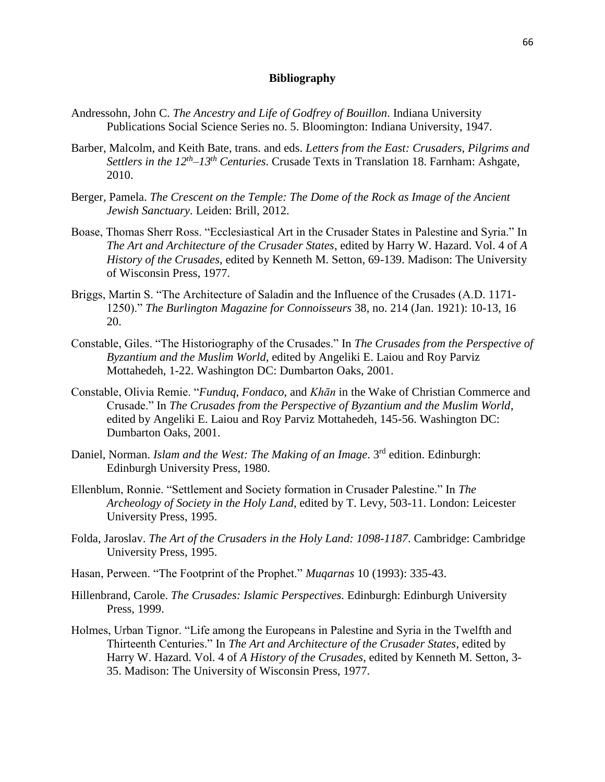## **Bibliography**

- Andressohn, John C. *The Ancestry and Life of Godfrey of Bouillon*. Indiana University Publications Social Science Series no. 5. Bloomington: Indiana University, 1947.
- Barber, Malcolm, and Keith Bate, trans. and eds. *Letters from the East: Crusaders, Pilgrims and Settlers in the 12th –13th Centuries*. Crusade Texts in Translation 18. Farnham: Ashgate, 2010.
- Berger, Pamela. *The Crescent on the Temple: The Dome of the Rock as Image of the Ancient Jewish Sanctuary*. Leiden: Brill, 2012.
- Boase, Thomas Sherr Ross. "Ecclesiastical Art in the Crusader States in Palestine and Syria." In *The Art and Architecture of the Crusader States*, edited by Harry W. Hazard. Vol. 4 of *A History of the Crusades*, edited by Kenneth M. Setton, 69-139. Madison: The University of Wisconsin Press, 1977.
- Briggs, Martin S. "The Architecture of Saladin and the Influence of the Crusades (A.D. 1171- 1250)." *The Burlington Magazine for Connoisseurs* 38, no. 214 (Jan. 1921): 10-13, 16 20.
- Constable, Giles. "The Historiography of the Crusades." In *The Crusades from the Perspective of Byzantium and the Muslim World*, edited by Angeliki E. Laiou and Roy Parviz Mottahedeh, 1-22. Washington DC: Dumbarton Oaks, 2001.
- Constable, Olivia Remie. "*Funduq*, *Fondaco*, and *Khān* in the Wake of Christian Commerce and Crusade." In *The Crusades from the Perspective of Byzantium and the Muslim World*, edited by Angeliki E. Laiou and Roy Parviz Mottahedeh, 145-56. Washington DC: Dumbarton Oaks, 2001.
- Daniel, Norman. *Islam and the West: The Making of an Image*. 3rd edition. Edinburgh: Edinburgh University Press, 1980.
- Ellenblum, Ronnie. "Settlement and Society formation in Crusader Palestine." In *The Archeology of Society in the Holy Land*, edited by T. Levy, 503-11. London: Leicester University Press, 1995.
- Folda, Jaroslav. *The Art of the Crusaders in the Holy Land: 1098-1187*. Cambridge: Cambridge University Press, 1995.
- Hasan, Perween. "The Footprint of the Prophet." *Muqarnas* 10 (1993): 335-43.
- Hillenbrand, Carole. *The Crusades: Islamic Perspectives*. Edinburgh: Edinburgh University Press, 1999.
- Holmes, Urban Tignor. "Life among the Europeans in Palestine and Syria in the Twelfth and Thirteenth Centuries." In *The Art and Architecture of the Crusader States*, edited by Harry W. Hazard. Vol. 4 of *A History of the Crusades*, edited by Kenneth M. Setton, 3- 35. Madison: The University of Wisconsin Press, 1977.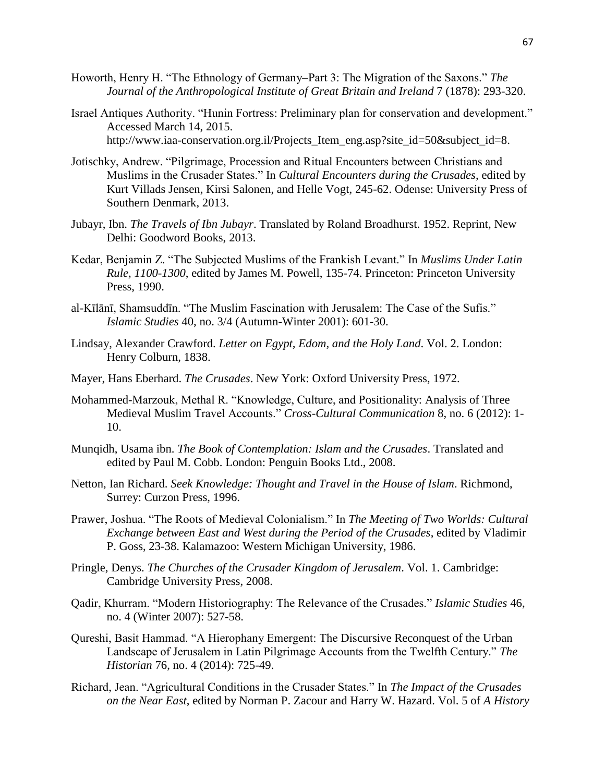- Howorth, Henry H. "The Ethnology of Germany–Part 3: The Migration of the Saxons." *The Journal of the Anthropological Institute of Great Britain and Ireland* 7 (1878): 293-320.
- Israel Antiques Authority. "Hunin Fortress: Preliminary plan for conservation and development." Accessed March 14, 2015. http://www.iaa-conservation.org.il/Projects\_Item\_eng.asp?site\_id=50&subject\_id=8.
- Jotischky, Andrew. "Pilgrimage, Procession and Ritual Encounters between Christians and Muslims in the Crusader States." In *Cultural Encounters during the Crusades*, edited by Kurt Villads Jensen, Kirsi Salonen, and Helle Vogt, 245-62. Odense: University Press of Southern Denmark, 2013.
- Jubayr, Ibn. *The Travels of Ibn Jubayr*. Translated by Roland Broadhurst. 1952. Reprint, New Delhi: Goodword Books, 2013.
- Kedar, Benjamin Z. "The Subjected Muslims of the Frankish Levant." In *Muslims Under Latin Rule, 1100-1300*, edited by James M. Powell, 135-74. Princeton: Princeton University Press, 1990.
- al-Kīlānī, Shamsuddīn. "The Muslim Fascination with Jerusalem: The Case of the Sufis." *Islamic Studies* 40, no. 3/4 (Autumn-Winter 2001): 601-30.
- Lindsay, Alexander Crawford. *Letter on Egypt, Edom, and the Holy Land*. Vol. 2. London: Henry Colburn, 1838.
- Mayer, Hans Eberhard. *The Crusades*. New York: Oxford University Press, 1972.
- Mohammed-Marzouk, Methal R. "Knowledge, Culture, and Positionality: Analysis of Three Medieval Muslim Travel Accounts." *Cross-Cultural Communication* 8, no. 6 (2012): 1- 10.
- Munqidh, Usama ibn. *The Book of Contemplation: Islam and the Crusades*. Translated and edited by Paul M. Cobb. London: Penguin Books Ltd., 2008.
- Netton, Ian Richard. *Seek Knowledge: Thought and Travel in the House of Islam*. Richmond, Surrey: Curzon Press, 1996.
- Prawer, Joshua. "The Roots of Medieval Colonialism." In *The Meeting of Two Worlds: Cultural Exchange between East and West during the Period of the Crusades*, edited by Vladimir P. Goss, 23-38. Kalamazoo: Western Michigan University, 1986.
- Pringle, Denys. *The Churches of the Crusader Kingdom of Jerusalem*. Vol. 1. Cambridge: Cambridge University Press, 2008.
- Qadir, Khurram. "Modern Historiography: The Relevance of the Crusades." *Islamic Studies* 46, no. 4 (Winter 2007): 527-58.
- Qureshi, Basit Hammad. "A Hierophany Emergent: The Discursive Reconquest of the Urban Landscape of Jerusalem in Latin Pilgrimage Accounts from the Twelfth Century." *The Historian* 76, no. 4 (2014): 725-49.
- Richard, Jean. "Agricultural Conditions in the Crusader States." In *The Impact of the Crusades on the Near East*, edited by Norman P. Zacour and Harry W. Hazard. Vol. 5 of *A History*